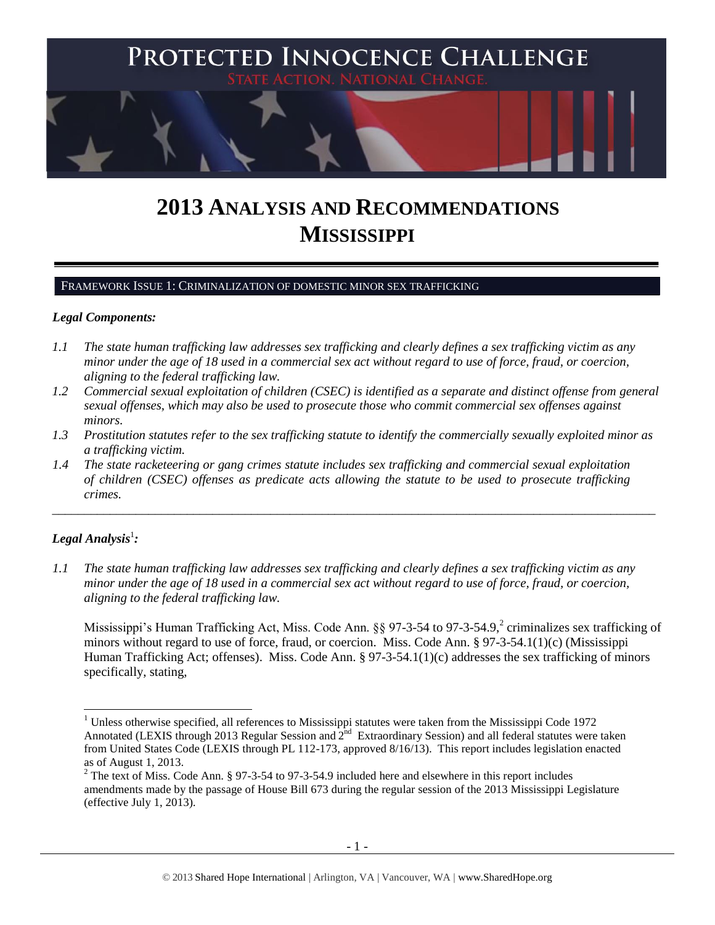

# **2013 ANALYSIS AND RECOMMENDATIONS MISSISSIPPI**

FRAMEWORK ISSUE 1: CRIMINALIZATION OF DOMESTIC MINOR SEX TRAFFICKING

#### *Legal Components:*

- *1.1 The state human trafficking law addresses sex trafficking and clearly defines a sex trafficking victim as any minor under the age of 18 used in a commercial sex act without regard to use of force, fraud, or coercion, aligning to the federal trafficking law.*
- *1.2 Commercial sexual exploitation of children (CSEC) is identified as a separate and distinct offense from general sexual offenses, which may also be used to prosecute those who commit commercial sex offenses against minors.*
- *1.3 Prostitution statutes refer to the sex trafficking statute to identify the commercially sexually exploited minor as a trafficking victim.*

\_\_\_\_\_\_\_\_\_\_\_\_\_\_\_\_\_\_\_\_\_\_\_\_\_\_\_\_\_\_\_\_\_\_\_\_\_\_\_\_\_\_\_\_\_\_\_\_\_\_\_\_\_\_\_\_\_\_\_\_\_\_\_\_\_\_\_\_\_\_\_\_\_\_\_\_\_\_\_\_\_\_\_\_\_\_\_\_\_\_\_\_\_\_

*1.4 The state racketeering or gang crimes statute includes sex trafficking and commercial sexual exploitation of children (CSEC) offenses as predicate acts allowing the statute to be used to prosecute trafficking crimes.* 

# $\bm{L}$ egal Analysis $^1$ :

 $\overline{a}$ 

*1.1 The state human trafficking law addresses sex trafficking and clearly defines a sex trafficking victim as any minor under the age of 18 used in a commercial sex act without regard to use of force, fraud, or coercion, aligning to the federal trafficking law.*

<span id="page-0-0"></span>Mississippi's Human Trafficking Act, Miss. Code Ann. §§ 97-3-54 to 97-3-54.9,<sup>2</sup> criminalizes sex trafficking of minors without regard to use of force, fraud, or coercion. Miss. Code Ann. § 97-3-54.1(1)(c) (Mississippi Human Trafficking Act; offenses). Miss. Code Ann.  $\S 97-3-54.1(1)(c)$  addresses the sex trafficking of minors specifically, stating,

 $1$  Unless otherwise specified, all references to Mississippi statutes were taken from the Mississippi Code 1972 Annotated (LEXIS through 2013 Regular Session and  $2^{nd}$  Extraordinary Session) and all federal statutes were taken from United States Code (LEXIS through PL 112-173, approved 8/16/13). This report includes legislation enacted as of August 1, 2013.

<sup>&</sup>lt;sup>2</sup> The text of Miss. Code Ann. § 97-3-54 to 97-3-54.9 included here and elsewhere in this report includes amendments made by the passage of House Bill 673 during the regular session of the 2013 Mississippi Legislature (effective July 1, 2013).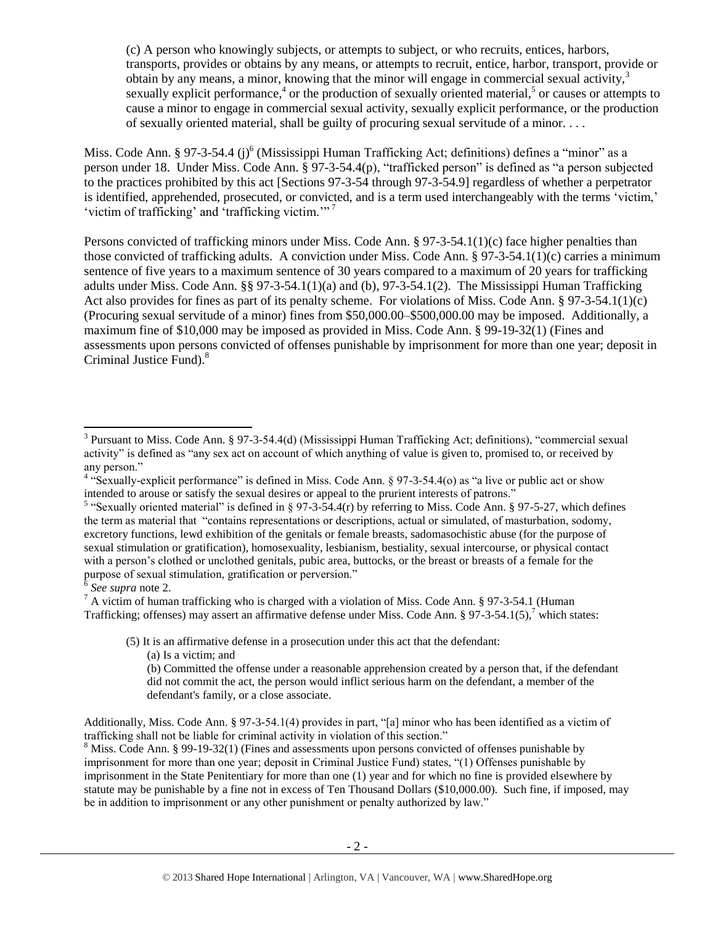(c) A person who knowingly subjects, or attempts to subject, or who recruits, entices, harbors, transports, provides or obtains by any means, or attempts to recruit, entice, harbor, transport, provide or obtain by any means, a minor, knowing that the minor will engage in commercial sexual activity.<sup>3</sup> sexually explicit performance,<sup>4</sup> or the production of sexually oriented material,<sup>5</sup> or causes or attempts to cause a minor to engage in commercial sexual activity, sexually explicit performance, or the production of sexually oriented material, shall be guilty of procuring sexual servitude of a minor. . . .

Miss. Code Ann. § 97-3-54.4 (j)<sup>6</sup> (Mississippi Human Trafficking Act; definitions) defines a "minor" as a person under 18. Under Miss. Code Ann. § 97-3-54.4(p), "trafficked person" is defined as "a person subjected to the practices prohibited by this act [Sections 97-3-54 through 97-3-54.9] regardless of whether a perpetrator is identified, apprehended, prosecuted, or convicted, and is a term used interchangeably with the terms 'victim,' 'victim of trafficking' and 'trafficking victim.'" <sup>7</sup>

Persons convicted of trafficking minors under Miss. Code Ann. § 97-3-54.1(1)(c) face higher penalties than those convicted of trafficking adults. A conviction under Miss. Code Ann. § 97-3-54.1(1)(c) carries a minimum sentence of five years to a maximum sentence of 30 years compared to a maximum of 20 years for trafficking adults under Miss. Code Ann. §§ 97-3-54.1(1)(a) and (b), 97-3-54.1(2). The Mississippi Human Trafficking Act also provides for fines as part of its penalty scheme. For violations of Miss. Code Ann. § 97-3-54.1(1)(c) (Procuring sexual servitude of a minor) fines from \$50,000.00–\$500,000.00 may be imposed. Additionally, a maximum fine of \$10,000 may be imposed as provided in Miss. Code Ann. § 99-19-32(1) (Fines and assessments upon persons convicted of offenses punishable by imprisonment for more than one year; deposit in Criminal Justice Fund).<sup>8</sup>

 $\overline{a}$ 

 $\frac{7}{1}$  A victim of human trafficking who is charged with a violation of Miss. Code Ann. § 97-3-54.1 (Human Trafficking; offenses) may assert an affirmative defense under Miss. Code Ann. § 97-3-54.1(5),<sup>7</sup> which states:

(5) It is an affirmative defense in a prosecution under this act that the defendant:

(a) Is a victim; and

(b) Committed the offense under a reasonable apprehension created by a person that, if the defendant did not commit the act, the person would inflict serious harm on the defendant, a member of the defendant's family, or a close associate.

Additionally, Miss. Code Ann. § 97-3-54.1(4) provides in part, "[a] minor who has been identified as a victim of trafficking shall not be liable for criminal activity in violation of this section."

<sup>8</sup> Miss. Code Ann. § 99-19-32(1) (Fines and assessments upon persons convicted of offenses punishable by imprisonment for more than one year; deposit in Criminal Justice Fund) states, "(1) Offenses punishable by imprisonment in the State Penitentiary for more than one (1) year and for which no fine is provided elsewhere by statute may be punishable by a fine not in excess of Ten Thousand Dollars (\$10,000.00). Such fine, if imposed, may be in addition to imprisonment or any other punishment or penalty authorized by law."

<sup>&</sup>lt;sup>3</sup> Pursuant to Miss. Code Ann. § 97-3-54.4(d) (Mississippi Human Trafficking Act; definitions), "commercial sexual activity" is defined as "any sex act on account of which anything of value is given to, promised to, or received by any person."

<sup>&</sup>lt;sup>4</sup> "Sexually-explicit performance" is defined in Miss. Code Ann. § 97-3-54.4(o) as "a live or public act or show intended to arouse or satisfy the sexual desires or appeal to the prurient interests of patrons."

<sup>&</sup>lt;sup>5</sup> "Sexually oriented material" is defined in § 97-3-54.4(r) by referring to Miss. Code Ann. § 97-5-27, which defines the term as material that "contains representations or descriptions, actual or simulated, of masturbation, sodomy, excretory functions, lewd exhibition of the genitals or female breasts, sadomasochistic abuse (for the purpose of sexual stimulation or gratification), homosexuality, lesbianism, bestiality, sexual intercourse, or physical contact with a person's clothed or unclothed genitals, pubic area, buttocks, or the breast or breasts of a female for the purpose of sexual stimulation, gratification or perversion." 6 *See supra* note [2.](#page-0-0)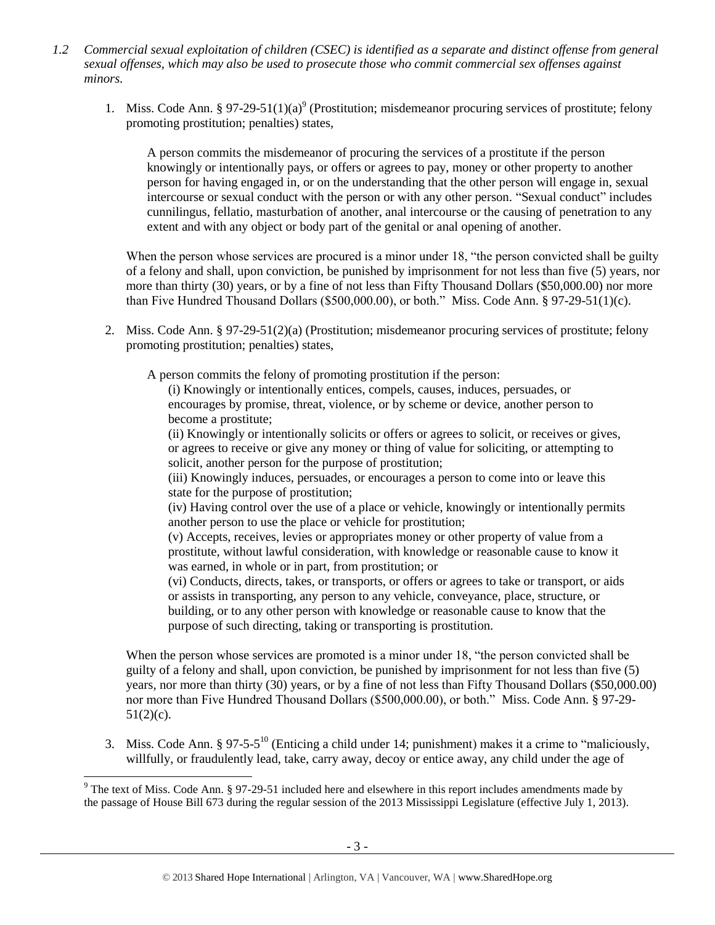- *1.2 Commercial sexual exploitation of children (CSEC) is identified as a separate and distinct offense from general sexual offenses, which may also be used to prosecute those who commit commercial sex offenses against minors.*
	- 1. Miss. Code Ann. § 97-29-51(1)(a)<sup>9</sup> (Prostitution; misdemeanor procuring services of prostitute; felony promoting prostitution; penalties) states,

<span id="page-2-0"></span>A person commits the misdemeanor of procuring the services of a prostitute if the person knowingly or intentionally pays, or offers or agrees to pay, money or other property to another person for having engaged in, or on the understanding that the other person will engage in, sexual intercourse or sexual conduct with the person or with any other person. "Sexual conduct" includes cunnilingus, fellatio, masturbation of another, anal intercourse or the causing of penetration to any extent and with any object or body part of the genital or anal opening of another.

When the person whose services are procured is a minor under 18, "the person convicted shall be guilty of a felony and shall, upon conviction, be punished by imprisonment for not less than five (5) years, nor more than thirty (30) years, or by a fine of not less than Fifty Thousand Dollars (\$50,000.00) nor more than Five Hundred Thousand Dollars (\$500,000.00), or both." Miss. Code Ann. § 97-29-51(1)(c).

2. Miss. Code Ann. § 97-29-51(2)(a) (Prostitution; misdemeanor procuring services of prostitute; felony promoting prostitution; penalties) states,

A person commits the felony of promoting prostitution if the person:

(i) Knowingly or intentionally entices, compels, causes, induces, persuades, or encourages by promise, threat, violence, or by scheme or device, another person to become a prostitute;

(ii) Knowingly or intentionally solicits or offers or agrees to solicit, or receives or gives, or agrees to receive or give any money or thing of value for soliciting, or attempting to solicit, another person for the purpose of prostitution;

(iii) Knowingly induces, persuades, or encourages a person to come into or leave this state for the purpose of prostitution;

(iv) Having control over the use of a place or vehicle, knowingly or intentionally permits another person to use the place or vehicle for prostitution;

(v) Accepts, receives, levies or appropriates money or other property of value from a prostitute, without lawful consideration, with knowledge or reasonable cause to know it was earned, in whole or in part, from prostitution; or

(vi) Conducts, directs, takes, or transports, or offers or agrees to take or transport, or aids or assists in transporting, any person to any vehicle, conveyance, place, structure, or building, or to any other person with knowledge or reasonable cause to know that the purpose of such directing, taking or transporting is prostitution.

When the person whose services are promoted is a minor under 18, "the person convicted shall be guilty of a felony and shall, upon conviction, be punished by imprisonment for not less than five (5) years, nor more than thirty (30) years, or by a fine of not less than Fifty Thousand Dollars (\$50,000.00) nor more than Five Hundred Thousand Dollars (\$500,000.00), or both." Miss. Code Ann. § 97-29-  $51(2)(c)$ .

<span id="page-2-1"></span>3. Miss. Code Ann. §  $97-5-5^{10}$  (Enticing a child under 14; punishment) makes it a crime to "maliciously, willfully, or fraudulently lead, take, carry away, decoy or entice away, any child under the age of

l  $9$  The text of Miss. Code Ann. § 97-29-51 included here and elsewhere in this report includes amendments made by the passage of House Bill 673 during the regular session of the 2013 Mississippi Legislature (effective July 1, 2013).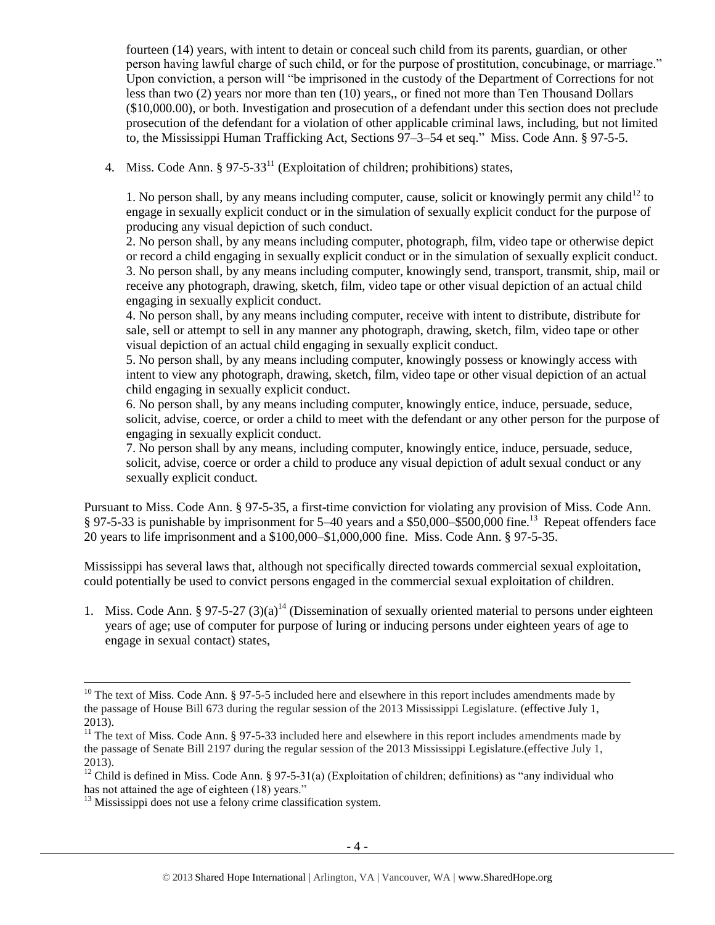fourteen (14) years, with intent to detain or conceal such child from its parents, guardian, or other person having lawful charge of such child, or for the purpose of prostitution, concubinage, or marriage." Upon conviction, a person will "be imprisoned in the custody of the Department of Corrections for not less than two (2) years nor more than ten (10) years,, or fined not more than Ten Thousand Dollars (\$10,000.00), or both. Investigation and prosecution of a defendant under this section does not preclude prosecution of the defendant for a violation of other applicable criminal laws, including, but not limited to, the Mississippi Human Trafficking Act, Sections 97–3–54 et seq." Miss. Code Ann. § 97-5-5.

4. Miss. Code Ann.  $\S 97-5-33<sup>11</sup>$  (Exploitation of children; prohibitions) states,

<span id="page-3-1"></span>1. No person shall, by any means including computer, cause, solicit or knowingly permit any child $^{12}$  to engage in sexually explicit conduct or in the simulation of sexually explicit conduct for the purpose of producing any visual depiction of such conduct.

2. No person shall, by any means including computer, photograph, film, video tape or otherwise depict or record a child engaging in sexually explicit conduct or in the simulation of sexually explicit conduct. 3. No person shall, by any means including computer, knowingly send, transport, transmit, ship, mail or receive any photograph, drawing, sketch, film, video tape or other visual depiction of an actual child engaging in sexually explicit conduct.

4. No person shall, by any means including computer, receive with intent to distribute, distribute for sale, sell or attempt to sell in any manner any photograph, drawing, sketch, film, video tape or other visual depiction of an actual child engaging in sexually explicit conduct.

5. No person shall, by any means including computer, knowingly possess or knowingly access with intent to view any photograph, drawing, sketch, film, video tape or other visual depiction of an actual child engaging in sexually explicit conduct.

6. No person shall, by any means including computer, knowingly entice, induce, persuade, seduce, solicit, advise, coerce, or order a child to meet with the defendant or any other person for the purpose of engaging in sexually explicit conduct.

7. No person shall by any means, including computer, knowingly entice, induce, persuade, seduce, solicit, advise, coerce or order a child to produce any visual depiction of adult sexual conduct or any sexually explicit conduct.

Pursuant to Miss. Code Ann. § 97-5-35, a first-time conviction for violating any provision of Miss. Code Ann. § 97-5-33 is punishable by imprisonment for 5–40 years and a \$50,000–\$500,000 fine.<sup>13</sup> Repeat offenders face 20 years to life imprisonment and a \$100,000–\$1,000,000 fine. Miss. Code Ann. § 97-5-35.

Mississippi has several laws that, although not specifically directed towards commercial sexual exploitation, could potentially be used to convict persons engaged in the commercial sexual exploitation of children.

<span id="page-3-0"></span>1. Miss. Code Ann. § 97-5-27 (3)(a)<sup>14</sup> (Dissemination of sexually oriented material to persons under eighteen years of age; use of computer for purpose of luring or inducing persons under eighteen years of age to engage in sexual contact) states,

<sup>13</sup> Mississippi does not use a felony crime classification system*.*

<sup>&</sup>lt;sup>10</sup> The text of Miss. Code Ann. § 97-5-5 included here and elsewhere in this report includes amendments made by the passage of House Bill 673 during the regular session of the 2013 Mississippi Legislature. (effective July 1, 2013).

<sup>&</sup>lt;sup>11</sup> The text of Miss. Code Ann. § 97-5-33 included here and elsewhere in this report includes amendments made by the passage of Senate Bill 2197 during the regular session of the 2013 Mississippi Legislature.(effective July 1, 2013).

<sup>&</sup>lt;sup>12</sup> Child is defined in Miss. Code Ann. § 97-5-31(a) (Exploitation of children; definitions) as "any individual who has not attained the age of eighteen (18) years."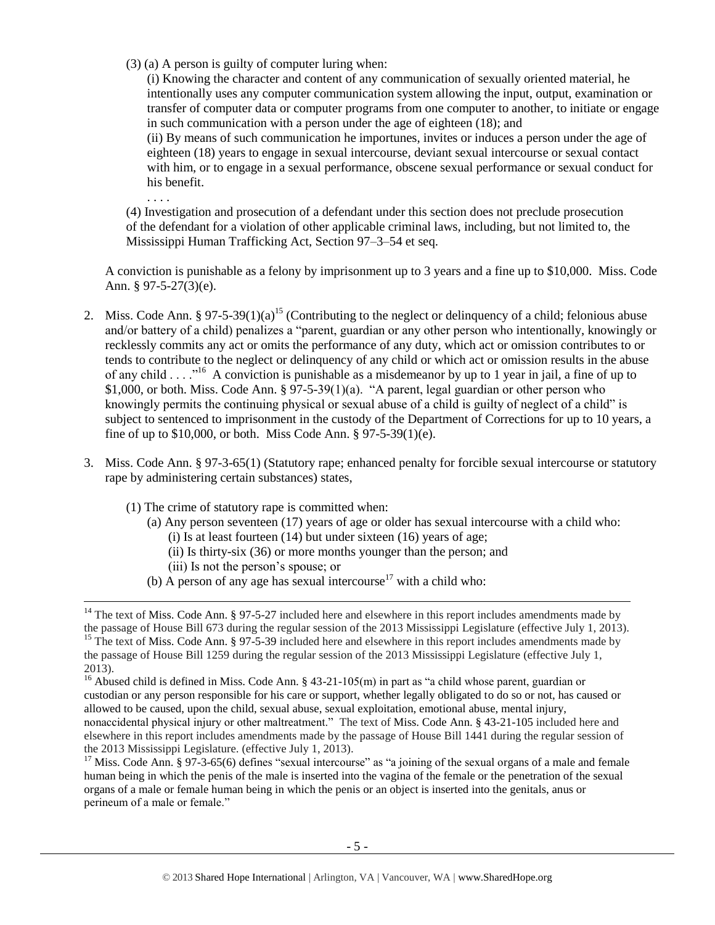(3) (a) A person is guilty of computer luring when:

<span id="page-4-0"></span>. . . .

l

(i) Knowing the character and content of any communication of sexually oriented material, he intentionally uses any computer communication system allowing the input, output, examination or transfer of computer data or computer programs from one computer to another, to initiate or engage in such communication with a person under the age of eighteen (18); and (ii) By means of such communication he importunes, invites or induces a person under the age of eighteen (18) years to engage in sexual intercourse, deviant sexual intercourse or sexual contact with him, or to engage in a sexual performance, obscene sexual performance or sexual conduct for his benefit.

(4) Investigation and prosecution of a defendant under this section does not preclude prosecution of the defendant for a violation of other applicable criminal laws, including, but not limited to, the Mississippi Human Trafficking Act, Section 97–3–54 et seq.

A conviction is punishable as a felony by imprisonment up to 3 years and a fine up to \$10,000. Miss. Code Ann. § 97-5-27 $(3)$ (e).

- <span id="page-4-1"></span>2. Miss. Code Ann. § 97-5-39(1)(a)<sup>15</sup> (Contributing to the neglect or delinquency of a child; felonious abuse and/or battery of a child) penalizes a "parent, guardian or any other person who intentionally, knowingly or recklessly commits any act or omits the performance of any duty, which act or omission contributes to or tends to contribute to the neglect or delinquency of any child or which act or omission results in the abuse of any child . . . .<sup>16</sup> A conviction is punishable as a misdemeanor by up to 1 year in jail, a fine of up to \$1,000, or both. Miss. Code Ann.  $\S$  97-5-39(1)(a). "A parent, legal guardian or other person who knowingly permits the continuing physical or sexual abuse of a child is guilty of neglect of a child" is subject to sentenced to imprisonment in the custody of the Department of Corrections for up to 10 years, a fine of up to \$10,000, or both. Miss Code Ann. § 97-5-39(1)(e).
- 3. Miss. Code Ann. § 97-3-65(1) (Statutory rape; enhanced penalty for forcible sexual intercourse or statutory rape by administering certain substances) states,
	- (1) The crime of statutory rape is committed when:
		- (a) Any person seventeen (17) years of age or older has sexual intercourse with a child who:  $(i)$  Is at least fourteen  $(14)$  but under sixteen  $(16)$  years of age;
			- (ii) Is thirty-six (36) or more months younger than the person; and (iii) Is not the person's spouse; or
		- (b) A person of any age has sexual intercourse<sup>17</sup> with a child who:

<sup>17</sup> Miss. Code Ann. § 97-3-65(6) defines "sexual intercourse" as "a joining of the sexual organs of a male and female human being in which the penis of the male is inserted into the vagina of the female or the penetration of the sexual organs of a male or female human being in which the penis or an object is inserted into the genitals, anus or perineum of a male or female."

 $14$  The text of Miss. Code Ann. § 97-5-27 included here and elsewhere in this report includes amendments made by the passage of House Bill 673 during the regular session of the 2013 Mississippi Legislature (effective July 1, 2013). <sup>15</sup> The text of Miss. Code Ann. § 97-5-39 included here and elsewhere in this report includes amendments made by the passage of House Bill 1259 during the regular session of the 2013 Mississippi Legislature (effective July 1, 2013).

<sup>&</sup>lt;sup>16</sup> Abused child is defined in Miss. Code Ann. § 43-21-105(m) in part as "a child whose parent, guardian or custodian or any person responsible for his care or support, whether legally obligated to do so or not, has caused or allowed to be caused, upon the child, sexual abuse, sexual exploitation, emotional abuse, mental injury, nonaccidental physical injury or other maltreatment." The text of Miss. Code Ann. § 43-21-105 included here and elsewhere in this report includes amendments made by the passage of House Bill 1441 during the regular session of the 2013 Mississippi Legislature. (effective July 1, 2013).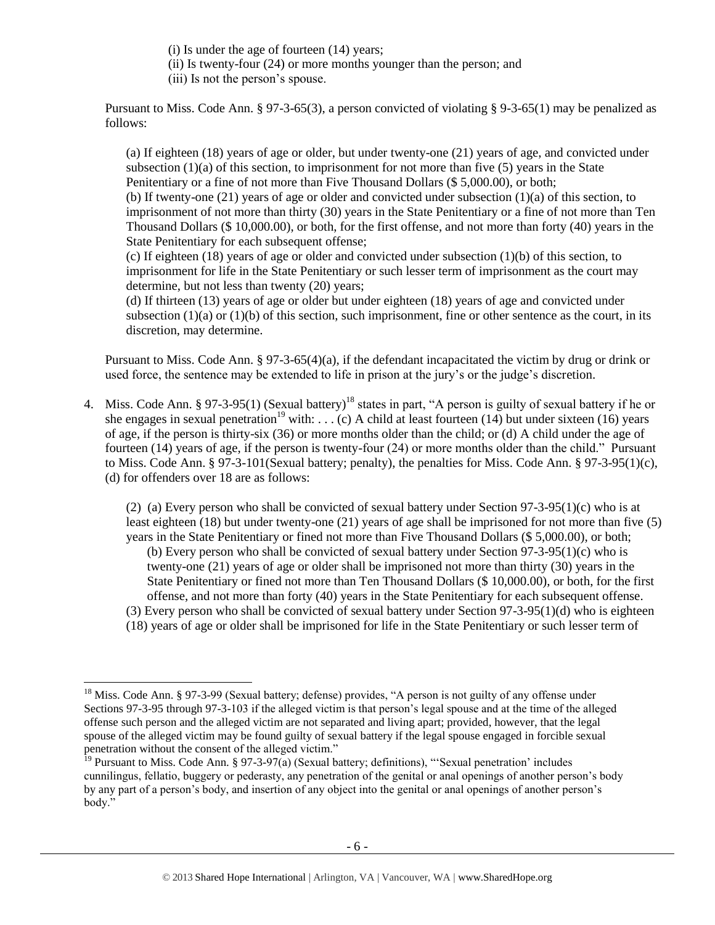(i) Is under the age of fourteen (14) years;

(ii) Is twenty-four (24) or more months younger than the person; and

(iii) Is not the person's spouse.

Pursuant to Miss. Code Ann. § 97-3-65(3), a person convicted of violating § 9-3-65(1) may be penalized as follows:

(a) If eighteen (18) years of age or older, but under twenty-one (21) years of age, and convicted under subsection  $(1)(a)$  of this section, to imprisonment for not more than five (5) years in the State Penitentiary or a fine of not more than Five Thousand Dollars (\$ 5,000.00), or both;

(b) If twenty-one (21) years of age or older and convicted under subsection (1)(a) of this section, to imprisonment of not more than thirty (30) years in the State Penitentiary or a fine of not more than Ten Thousand Dollars (\$ 10,000.00), or both, for the first offense, and not more than forty (40) years in the State Penitentiary for each subsequent offense;

(c) If eighteen (18) years of age or older and convicted under subsection (1)(b) of this section, to imprisonment for life in the State Penitentiary or such lesser term of imprisonment as the court may determine, but not less than twenty (20) years;

(d) If thirteen (13) years of age or older but under eighteen (18) years of age and convicted under subsection  $(1)(a)$  or  $(1)(b)$  of this section, such imprisonment, fine or other sentence as the court, in its discretion, may determine.

Pursuant to Miss. Code Ann. § 97-3-65(4)(a), if the defendant incapacitated the victim by drug or drink or used force, the sentence may be extended to life in prison at the jury's or the judge's discretion.

4. Miss. Code Ann. § 97-3-95(1) (Sexual battery)<sup>18</sup> states in part, "A person is guilty of sexual battery if he or she engages in sexual penetration<sup>19</sup> with: . . . (c) A child at least fourteen (14) but under sixteen (16) years of age, if the person is thirty-six (36) or more months older than the child; or (d) A child under the age of fourteen (14) years of age, if the person is twenty-four (24) or more months older than the child." Pursuant to Miss. Code Ann. § 97-3-101(Sexual battery; penalty), the penalties for Miss. Code Ann. § 97-3-95(1)(c), (d) for offenders over 18 are as follows:

(2) (a) Every person who shall be convicted of sexual battery under Section 97-3-95(1)(c) who is at least eighteen (18) but under twenty-one (21) years of age shall be imprisoned for not more than five (5) years in the State Penitentiary or fined not more than Five Thousand Dollars (\$ 5,000.00), or both;

(b) Every person who shall be convicted of sexual battery under Section 97-3-95(1)(c) who is twenty-one (21) years of age or older shall be imprisoned not more than thirty (30) years in the State Penitentiary or fined not more than Ten Thousand Dollars (\$ 10,000.00), or both, for the first offense, and not more than forty (40) years in the State Penitentiary for each subsequent offense.

- (3) Every person who shall be convicted of sexual battery under Section 97-3-95(1)(d) who is eighteen
- (18) years of age or older shall be imprisoned for life in the State Penitentiary or such lesser term of

<sup>&</sup>lt;sup>18</sup> Miss. Code Ann. § 97-3-99 (Sexual battery; defense) provides, "A person is not guilty of any offense under Sections 97-3-95 through 97-3-103 if the alleged victim is that person's legal spouse and at the time of the alleged offense such person and the alleged victim are not separated and living apart; provided, however, that the legal spouse of the alleged victim may be found guilty of sexual battery if the legal spouse engaged in forcible sexual penetration without the consent of the alleged victim."

<sup>&</sup>lt;sup>19</sup> Pursuant to Miss. Code Ann. § 97-3-97(a) (Sexual battery; definitions), "Sexual penetration' includes cunnilingus, fellatio, buggery or pederasty, any penetration of the genital or anal openings of another person's body by any part of a person's body, and insertion of any object into the genital or anal openings of another person's body."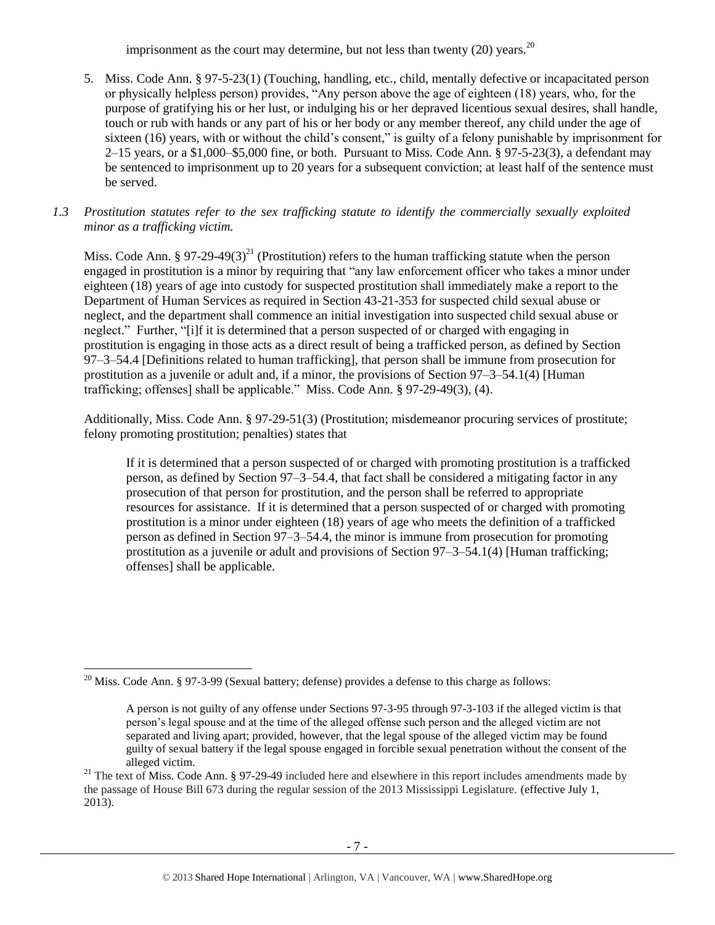imprisonment as the court may determine, but not less than twenty (20) years.<sup>20</sup>

- 5. Miss. Code Ann. § 97-5-23(1) (Touching, handling, etc., child, mentally defective or incapacitated person or physically helpless person) provides, "Any person above the age of eighteen (18) years, who, for the purpose of gratifying his or her lust, or indulging his or her depraved licentious sexual desires, shall handle, touch or rub with hands or any part of his or her body or any member thereof, any child under the age of sixteen (16) years, with or without the child's consent," is guilty of a felony punishable by imprisonment for 2–15 years, or a \$1,000–\$5,000 fine, or both. Pursuant to Miss. Code Ann. § 97-5-23(3), a defendant may be sentenced to imprisonment up to 20 years for a subsequent conviction; at least half of the sentence must be served.
- *1.3 Prostitution statutes refer to the sex trafficking statute to identify the commercially sexually exploited minor as a trafficking victim.*

<span id="page-6-0"></span>Miss. Code Ann. § 97-29-49(3)<sup>21</sup> (Prostitution) refers to the human trafficking statute when the person engaged in prostitution is a minor by requiring that "any law enforcement officer who takes a minor under eighteen (18) years of age into custody for suspected prostitution shall immediately make a report to the Department of Human Services as required in Section 43-21-353 for suspected child sexual abuse or neglect, and the department shall commence an initial investigation into suspected child sexual abuse or neglect." Further, "[i]f it is determined that a person suspected of or charged with engaging in prostitution is engaging in those acts as a direct result of being a trafficked person, as defined by Section 97–3–54.4 [Definitions related to human trafficking], that person shall be immune from prosecution for prostitution as a juvenile or adult and, if a minor, the provisions of Section 97–3–54.1(4) [Human trafficking; offenses] shall be applicable." Miss. Code Ann. § 97-29-49(3), (4).

Additionally, Miss. Code Ann. § 97-29-51(3) (Prostitution; misdemeanor procuring services of prostitute; felony promoting prostitution; penalties) states that

If it is determined that a person suspected of or charged with promoting prostitution is a trafficked person, as defined by Section 97–3–54.4, that fact shall be considered a mitigating factor in any prosecution of that person for prostitution, and the person shall be referred to appropriate resources for assistance. If it is determined that a person suspected of or charged with promoting prostitution is a minor under eighteen (18) years of age who meets the definition of a trafficked person as defined in Section 97–3–54.4, the minor is immune from prosecution for promoting prostitution as a juvenile or adult and provisions of Section 97–3–54.1(4) [Human trafficking; offenses] shall be applicable.

 $\overline{a}$ <sup>20</sup> Miss. Code Ann. § 97-3-99 (Sexual battery; defense) provides a defense to this charge as follows:

A person is not guilty of any offense under Sections 97-3-95 through 97-3-103 if the alleged victim is that person's legal spouse and at the time of the alleged offense such person and the alleged victim are not separated and living apart; provided, however, that the legal spouse of the alleged victim may be found guilty of sexual battery if the legal spouse engaged in forcible sexual penetration without the consent of the alleged victim.

<sup>&</sup>lt;sup>21</sup> The text of Miss. Code Ann. § 97-29-49 included here and elsewhere in this report includes amendments made by the passage of House Bill 673 during the regular session of the 2013 Mississippi Legislature. (effective July 1, 2013).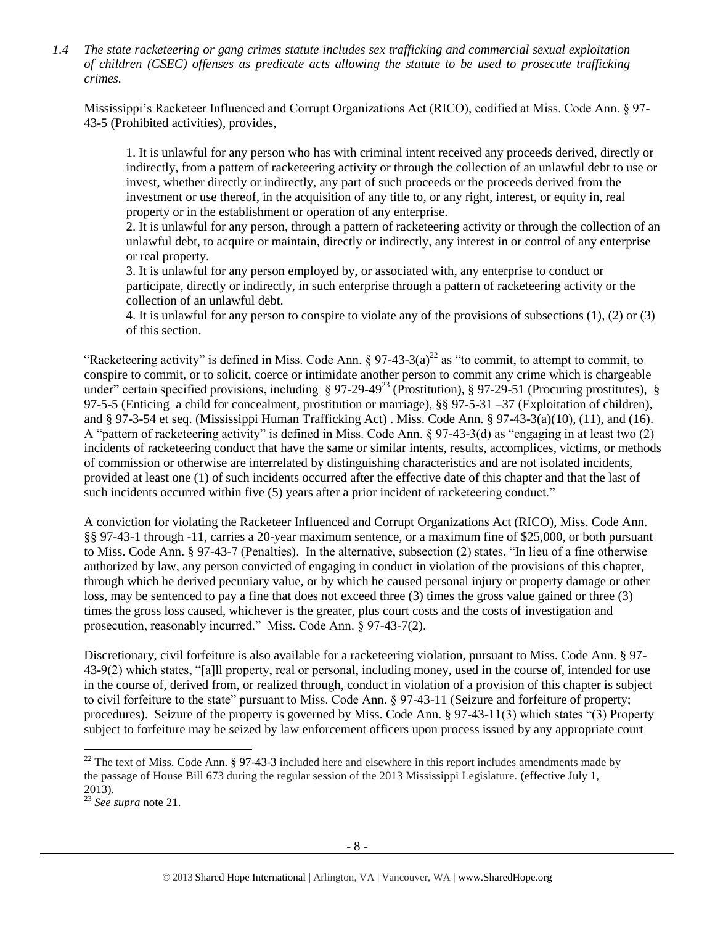*1.4 The state racketeering or gang crimes statute includes sex trafficking and commercial sexual exploitation of children (CSEC) offenses as predicate acts allowing the statute to be used to prosecute trafficking crimes.* 

Mississippi's Racketeer Influenced and Corrupt Organizations Act (RICO), codified at Miss. Code Ann. § 97- 43-5 (Prohibited activities), provides,

1. It is unlawful for any person who has with criminal intent received any proceeds derived, directly or indirectly, from a pattern of racketeering activity or through the collection of an unlawful debt to use or invest, whether directly or indirectly, any part of such proceeds or the proceeds derived from the investment or use thereof, in the acquisition of any title to, or any right, interest, or equity in, real property or in the establishment or operation of any enterprise.

2. It is unlawful for any person, through a pattern of racketeering activity or through the collection of an unlawful debt, to acquire or maintain, directly or indirectly, any interest in or control of any enterprise or real property.

3. It is unlawful for any person employed by, or associated with, any enterprise to conduct or participate, directly or indirectly, in such enterprise through a pattern of racketeering activity or the collection of an unlawful debt.

4. It is unlawful for any person to conspire to violate any of the provisions of subsections (1), (2) or (3) of this section.

"Racketeering activity" is defined in Miss. Code Ann.  $\S 97-43-3(a)^{22}$  as "to commit, to attempt to commit, to conspire to commit, or to solicit, coerce or intimidate another person to commit any crime which is chargeable under" certain specified provisions, including  $\S 97-29-49^{23}$  (Prostitution),  $\S 97-29-51$  (Procuring prostitutes),  $\S$ 97-5-5 (Enticing a child for concealment, prostitution or marriage), §§ 97-5-31 –37 (Exploitation of children), and § 97-3-54 et seq. (Mississippi Human Trafficking Act) . Miss. Code Ann. § 97-43-3(a)(10), (11), and (16). A "pattern of racketeering activity" is defined in Miss. Code Ann.  $\S 97-43-3(d)$  as "engaging in at least two (2) incidents of racketeering conduct that have the same or similar intents, results, accomplices, victims, or methods of commission or otherwise are interrelated by distinguishing characteristics and are not isolated incidents, provided at least one (1) of such incidents occurred after the effective date of this chapter and that the last of such incidents occurred within five (5) years after a prior incident of racketeering conduct."

A conviction for violating the Racketeer Influenced and Corrupt Organizations Act (RICO), Miss. Code Ann. §§ 97-43-1 through -11, carries a 20-year maximum sentence, or a maximum fine of \$25,000, or both pursuant to Miss. Code Ann. § 97-43-7 (Penalties). In the alternative, subsection (2) states, "In lieu of a fine otherwise authorized by law, any person convicted of engaging in conduct in violation of the provisions of this chapter, through which he derived pecuniary value, or by which he caused personal injury or property damage or other loss, may be sentenced to pay a fine that does not exceed three (3) times the gross value gained or three (3) times the gross loss caused, whichever is the greater, plus court costs and the costs of investigation and prosecution, reasonably incurred." Miss. Code Ann. § 97-43-7(2).

Discretionary, civil forfeiture is also available for a racketeering violation, pursuant to Miss. Code Ann. § 97- 43-9(2) which states, "[a]ll property, real or personal, including money, used in the course of, intended for use in the course of, derived from, or realized through, conduct in violation of a provision of this chapter is subject to civil forfeiture to the state" pursuant to Miss. Code Ann. § 97-43-11 (Seizure and forfeiture of property; procedures). Seizure of the property is governed by Miss. Code Ann. § 97-43-11(3) which states "(3) Property subject to forfeiture may be seized by law enforcement officers upon process issued by any appropriate court

 $\overline{a}$ 

 $^{22}$  The text of Miss. Code Ann. § 97-43-3 included here and elsewhere in this report includes amendments made by the passage of House Bill 673 during the regular session of the 2013 Mississippi Legislature. (effective July 1, 2013).

<sup>23</sup> *See supra* note [21.](#page-6-0)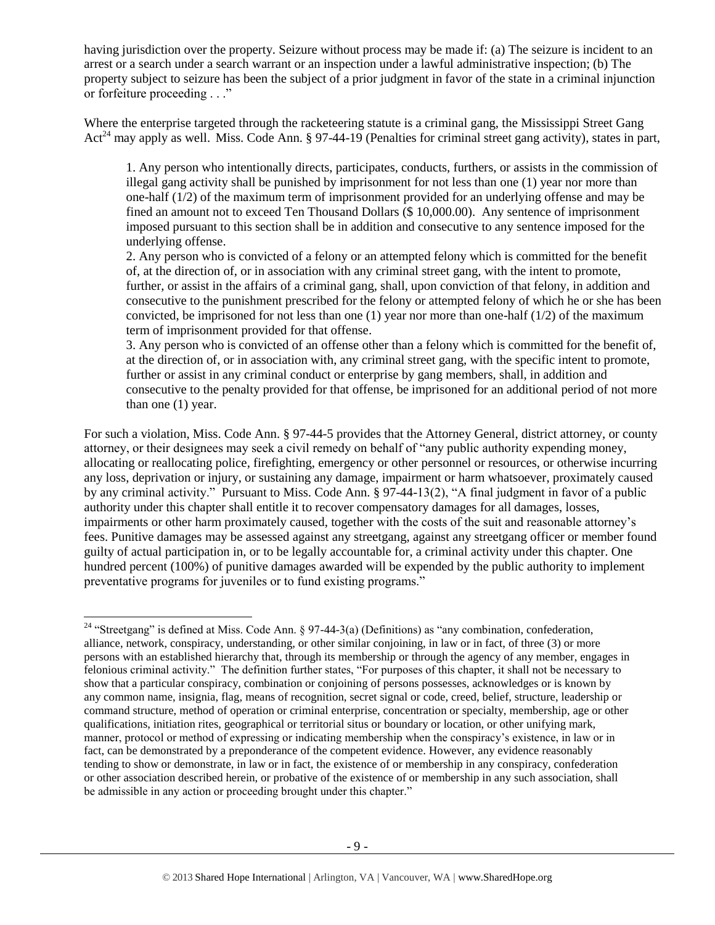having jurisdiction over the property. Seizure without process may be made if: (a) The seizure is incident to an arrest or a search under a search warrant or an inspection under a lawful administrative inspection; (b) The property subject to seizure has been the subject of a prior judgment in favor of the state in a criminal injunction or forfeiture proceeding . . ."

Where the enterprise targeted through the racketeering statute is a criminal gang, the Mississippi Street Gang Act<sup>24</sup> may apply as well. Miss. Code Ann. § 97-44-19 (Penalties for criminal street gang activity), states in part,

1. Any person who intentionally directs, participates, conducts, furthers, or assists in the commission of illegal gang activity shall be punished by imprisonment for not less than one (1) year nor more than one-half (1/2) of the maximum term of imprisonment provided for an underlying offense and may be fined an amount not to exceed Ten Thousand Dollars (\$10,000.00). Any sentence of imprisonment imposed pursuant to this section shall be in addition and consecutive to any sentence imposed for the underlying offense.

2. Any person who is convicted of a felony or an attempted felony which is committed for the benefit of, at the direction of, or in association with any criminal street gang, with the intent to promote, further, or assist in the affairs of a criminal gang, shall, upon conviction of that felony, in addition and consecutive to the punishment prescribed for the felony or attempted felony of which he or she has been convicted, be imprisoned for not less than one  $(1)$  year nor more than one-half  $(1/2)$  of the maximum term of imprisonment provided for that offense.

3. Any person who is convicted of an offense other than a felony which is committed for the benefit of, at the direction of, or in association with, any criminal street gang, with the specific intent to promote, further or assist in any criminal conduct or enterprise by gang members, shall, in addition and consecutive to the penalty provided for that offense, be imprisoned for an additional period of not more than one (1) year.

For such a violation, Miss. Code Ann. § 97-44-5 provides that the Attorney General, district attorney, or county attorney, or their designees may seek a civil remedy on behalf of "any public authority expending money, allocating or reallocating police, firefighting, emergency or other personnel or resources, or otherwise incurring any loss, deprivation or injury, or sustaining any damage, impairment or harm whatsoever, proximately caused by any criminal activity." Pursuant to Miss. Code Ann. § 97-44-13(2), "A final judgment in favor of a public authority under this chapter shall entitle it to recover compensatory damages for all damages, losses, impairments or other harm proximately caused, together with the costs of the suit and reasonable attorney's fees. Punitive damages may be assessed against any streetgang, against any streetgang officer or member found guilty of actual participation in, or to be legally accountable for, a criminal activity under this chapter. One hundred percent (100%) of punitive damages awarded will be expended by the public authority to implement preventative programs for juveniles or to fund existing programs."

<sup>&</sup>lt;sup>24</sup> "Streetgang" is defined at Miss. Code Ann. § 97-44-3(a) (Definitions) as "any combination, confederation, alliance, network, conspiracy, understanding, or other similar conjoining, in law or in fact, of three (3) or more persons with an established hierarchy that, through its membership or through the agency of any member, engages in felonious criminal activity." The definition further states, "For purposes of this chapter, it shall not be necessary to show that a particular conspiracy, combination or conjoining of persons possesses, acknowledges or is known by any common name, insignia, flag, means of recognition, secret signal or code, creed, belief, structure, leadership or command structure, method of operation or criminal enterprise, concentration or specialty, membership, age or other qualifications, initiation rites, geographical or territorial situs or boundary or location, or other unifying mark, manner, protocol or method of expressing or indicating membership when the conspiracy's existence, in law or in fact, can be demonstrated by a preponderance of the competent evidence. However, any evidence reasonably tending to show or demonstrate, in law or in fact, the existence of or membership in any conspiracy, confederation or other association described herein, or probative of the existence of or membership in any such association, shall be admissible in any action or proceeding brought under this chapter."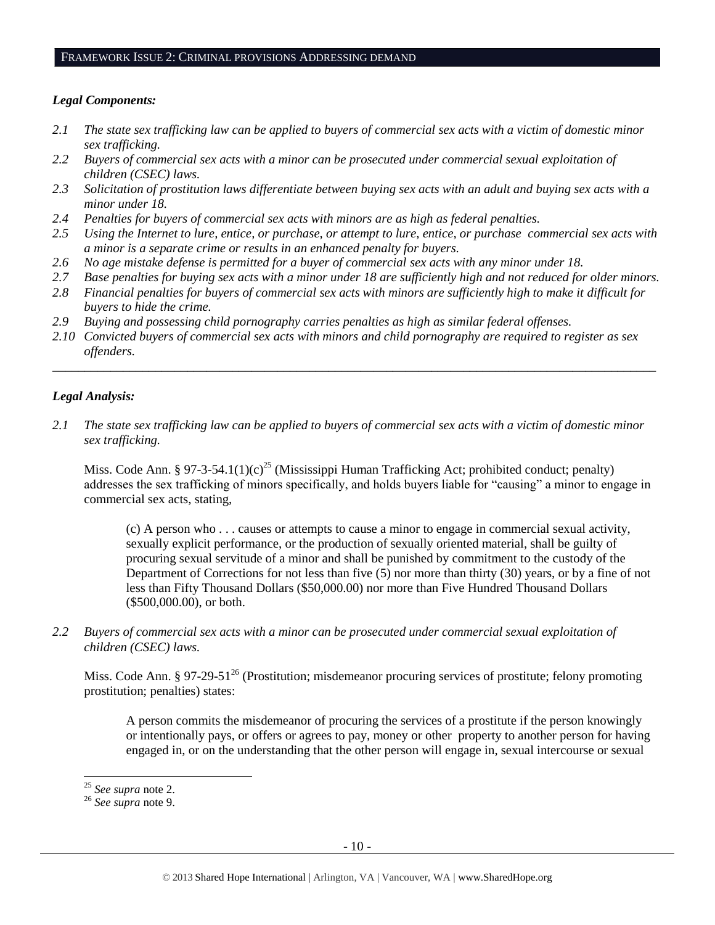#### FRAMEWORK ISSUE 2: CRIMINAL PROVISIONS ADDRESSING DEMAND

#### *Legal Components:*

- *2.1 The state sex trafficking law can be applied to buyers of commercial sex acts with a victim of domestic minor sex trafficking.*
- *2.2 Buyers of commercial sex acts with a minor can be prosecuted under commercial sexual exploitation of children (CSEC) laws.*
- *2.3 Solicitation of prostitution laws differentiate between buying sex acts with an adult and buying sex acts with a minor under 18.*
- *2.4 Penalties for buyers of commercial sex acts with minors are as high as federal penalties.*
- *2.5 Using the Internet to lure, entice, or purchase, or attempt to lure, entice, or purchase commercial sex acts with a minor is a separate crime or results in an enhanced penalty for buyers.*
- *2.6 No age mistake defense is permitted for a buyer of commercial sex acts with any minor under 18.*
- *2.7 Base penalties for buying sex acts with a minor under 18 are sufficiently high and not reduced for older minors.*
- *2.8 Financial penalties for buyers of commercial sex acts with minors are sufficiently high to make it difficult for buyers to hide the crime.*
- *2.9 Buying and possessing child pornography carries penalties as high as similar federal offenses.*
- *2.10 Convicted buyers of commercial sex acts with minors and child pornography are required to register as sex offenders.*

\_\_\_\_\_\_\_\_\_\_\_\_\_\_\_\_\_\_\_\_\_\_\_\_\_\_\_\_\_\_\_\_\_\_\_\_\_\_\_\_\_\_\_\_\_\_\_\_\_\_\_\_\_\_\_\_\_\_\_\_\_\_\_\_\_\_\_\_\_\_\_\_\_\_\_\_\_\_\_\_\_\_\_\_\_\_\_\_\_\_\_\_\_\_

#### *Legal Analysis:*

*2.1 The state sex trafficking law can be applied to buyers of commercial sex acts with a victim of domestic minor sex trafficking.* 

Miss. Code Ann. § 97-3-54.1(1)(c)<sup>25</sup> (Mississippi Human Trafficking Act; prohibited conduct; penalty) addresses the sex trafficking of minors specifically, and holds buyers liable for "causing" a minor to engage in commercial sex acts, stating,

(c) A person who . . . causes or attempts to cause a minor to engage in commercial sexual activity, sexually explicit performance, or the production of sexually oriented material, shall be guilty of procuring sexual servitude of a minor and shall be punished by commitment to the custody of the Department of Corrections for not less than five  $(5)$  nor more than thirty  $(30)$  years, or by a fine of not less than Fifty Thousand Dollars (\$50,000.00) nor more than Five Hundred Thousand Dollars (\$500,000.00), or both.

*2.2 Buyers of commercial sex acts with a minor can be prosecuted under commercial sexual exploitation of children (CSEC) laws.*

Miss. Code Ann. § 97-29-51<sup>26</sup> (Prostitution; misdemeanor procuring services of prostitute; felony promoting prostitution; penalties) states:

A person commits the misdemeanor of procuring the services of a prostitute if the person knowingly or intentionally pays, or offers or agrees to pay, money or other property to another person for having engaged in, or on the understanding that the other person will engage in, sexual intercourse or sexual

<sup>25</sup> *See supra* note [2.](#page-0-0)

<sup>26</sup> *See supra* note [9.](#page-2-0)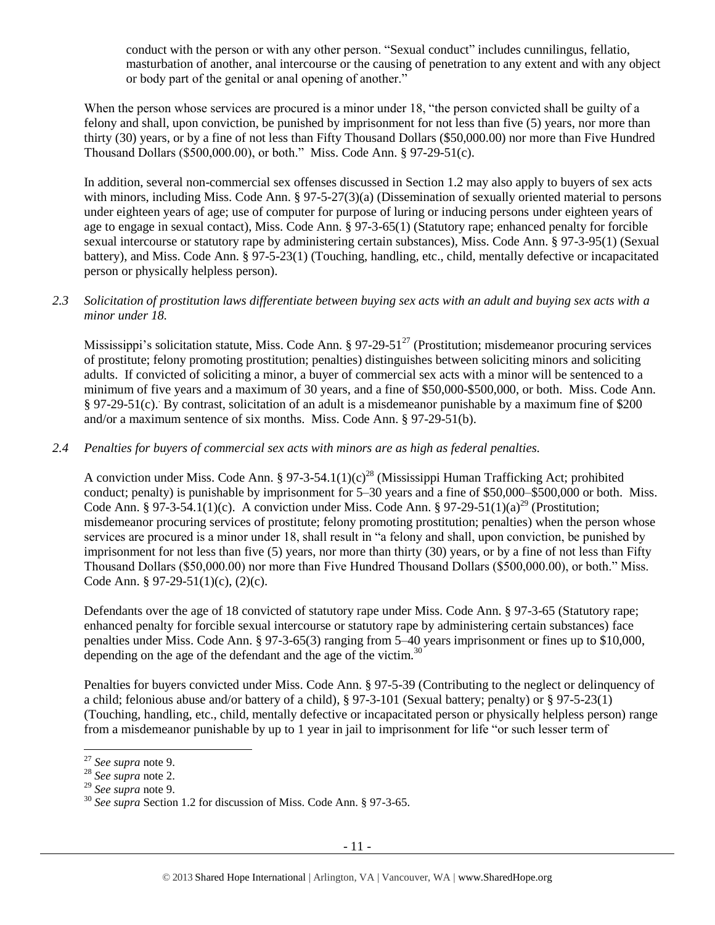conduct with the person or with any other person. "Sexual conduct" includes cunnilingus, fellatio, masturbation of another, anal intercourse or the causing of penetration to any extent and with any object or body part of the genital or anal opening of another."

When the person whose services are procured is a minor under 18, "the person convicted shall be guilty of a felony and shall, upon conviction, be punished by imprisonment for not less than five (5) years, nor more than thirty (30) years, or by a fine of not less than Fifty Thousand Dollars (\$50,000.00) nor more than Five Hundred Thousand Dollars (\$500,000.00), or both." Miss. Code Ann. § 97-29-51(c).

In addition, several non-commercial sex offenses discussed in Section 1.2 may also apply to buyers of sex acts with minors, including Miss. Code Ann. § 97-5-27(3)(a) (Dissemination of sexually oriented material to persons under eighteen years of age; use of computer for purpose of luring or inducing persons under eighteen years of age to engage in sexual contact), Miss. Code Ann. § 97-3-65(1) (Statutory rape; enhanced penalty for forcible sexual intercourse or statutory rape by administering certain substances), Miss. Code Ann. § 97-3-95(1) (Sexual battery), and Miss. Code Ann. § 97-5-23(1) (Touching, handling, etc., child, mentally defective or incapacitated person or physically helpless person).

*2.3 Solicitation of prostitution laws differentiate between buying sex acts with an adult and buying sex acts with a minor under 18.*

Mississippi's solicitation statute, Miss. Code Ann.  $\S 97-29-51<sup>27</sup>$  (Prostitution; misdemeanor procuring services of prostitute; felony promoting prostitution; penalties) distinguishes between soliciting minors and soliciting adults. If convicted of soliciting a minor, a buyer of commercial sex acts with a minor will be sentenced to a minimum of five years and a maximum of 30 years, and a fine of \$50,000-\$500,000, or both. Miss. Code Ann. § 97-29-51(c). By contrast, solicitation of an adult is a misdemeanor punishable by a maximum fine of \$200 and/or a maximum sentence of six months. Miss. Code Ann. § 97-29-51(b).

*2.4 Penalties for buyers of commercial sex acts with minors are as high as federal penalties.*

A conviction under Miss. Code Ann. § 97-3-54.1(1)(c)<sup>28</sup> (Mississippi Human Trafficking Act; prohibited conduct; penalty) is punishable by imprisonment for 5–30 years and a fine of \$50,000–\$500,000 or both. Miss. Code Ann. § 97-3-54.1(1)(c). A conviction under Miss. Code Ann. § 97-29-51(1)(a)<sup>29</sup> (Prostitution; misdemeanor procuring services of prostitute; felony promoting prostitution; penalties) when the person whose services are procured is a minor under 18, shall result in "a felony and shall, upon conviction, be punished by imprisonment for not less than five (5) years, nor more than thirty (30) years, or by a fine of not less than Fifty Thousand Dollars (\$50,000.00) nor more than Five Hundred Thousand Dollars (\$500,000.00), or both." Miss. Code Ann. § 97-29-51(1)(c), (2)(c).

Defendants over the age of 18 convicted of statutory rape under Miss. Code Ann. § 97-3-65 (Statutory rape; enhanced penalty for forcible sexual intercourse or statutory rape by administering certain substances) face penalties under Miss. Code Ann. § 97-3-65(3) ranging from 5–40 years imprisonment or fines up to \$10,000, depending on the age of the defendant and the age of the victim. $30<sup>30</sup>$ 

Penalties for buyers convicted under Miss. Code Ann. § 97-5-39 (Contributing to the neglect or delinquency of a child; felonious abuse and/or battery of a child), § 97-3-101 (Sexual battery; penalty) or § 97-5-23(1) (Touching, handling, etc., child, mentally defective or incapacitated person or physically helpless person) range from a misdemeanor punishable by up to 1 year in jail to imprisonment for life "or such lesser term of

 $\overline{a}$ 

<sup>27</sup> *See supra* note [9.](#page-2-0)

<sup>28</sup> *See supra* note [2.](#page-0-0)

<sup>29</sup> *See supra* note [9.](#page-2-0)

<sup>30</sup> *See supra* Section 1.2 for discussion of Miss. Code Ann. § 97-3-65.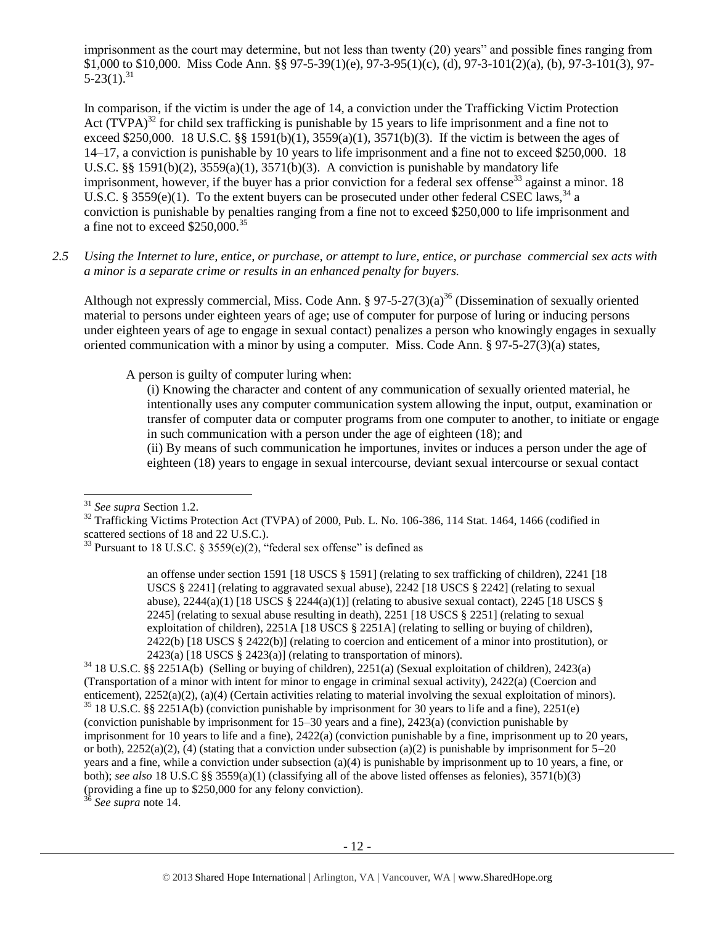imprisonment as the court may determine, but not less than twenty (20) years" and possible fines ranging from \$1,000 to \$10,000. Miss Code Ann. §§ 97-5-39(1)(e), 97-3-95(1)(c), (d), 97-3-101(2)(a), (b), 97-3-101(3), 97-  $5-23(1).^{31}$ 

<span id="page-11-0"></span>In comparison, if the victim is under the age of 14, a conviction under the Trafficking Victim Protection Act  $(TVPA)^{32}$  for child sex trafficking is punishable by 15 years to life imprisonment and a fine not to exceed \$250,000. 18 U.S.C. §§ 1591(b)(1),  $3559(a)(1)$ ,  $3571(b)(3)$ . If the victim is between the ages of 14–17, a conviction is punishable by 10 years to life imprisonment and a fine not to exceed \$250,000. 18 U.S.C. §§ 1591(b)(2), 3559(a)(1), 3571(b)(3). A conviction is punishable by mandatory life imprisonment, however, if the buyer has a prior conviction for a federal sex offense<sup>33</sup> against a minor. 18 U.S.C. § 3559(e)(1). To the extent buyers can be prosecuted under other federal CSEC laws,  $34$  a conviction is punishable by penalties ranging from a fine not to exceed \$250,000 to life imprisonment and a fine not to exceed  $$250,000.<sup>35</sup>$ 

*2.5 Using the Internet to lure, entice, or purchase, or attempt to lure, entice, or purchase commercial sex acts with a minor is a separate crime or results in an enhanced penalty for buyers.*

Although not expressly commercial, Miss. Code Ann.  $\S 97-5-27(3)(a)^{36}$  (Dissemination of sexually oriented material to persons under eighteen years of age; use of computer for purpose of luring or inducing persons under eighteen years of age to engage in sexual contact) penalizes a person who knowingly engages in sexually oriented communication with a minor by using a computer. Miss. Code Ann. § 97-5-27(3)(a) states,

A person is guilty of computer luring when:

<span id="page-11-1"></span>(i) Knowing the character and content of any communication of sexually oriented material, he intentionally uses any computer communication system allowing the input, output, examination or transfer of computer data or computer programs from one computer to another, to initiate or engage in such communication with a person under the age of eighteen (18); and

(ii) By means of such communication he importunes, invites or induces a person under the age of eighteen (18) years to engage in sexual intercourse, deviant sexual intercourse or sexual contact

<sup>36</sup> *See supra* note [14.](#page-3-0)

l <sup>31</sup> *See supra* Section 1.2.

<sup>&</sup>lt;sup>32</sup> Trafficking Victims Protection Act (TVPA) of 2000, Pub. L. No. 106-386, 114 Stat. 1464, 1466 (codified in scattered sections of 18 and 22 U.S.C.).

<sup>&</sup>lt;sup>33</sup> Pursuant to 18 U.S.C. § 3559(e)(2), "federal sex offense" is defined as

an offense under section 1591 [18 USCS § 1591] (relating to sex trafficking of children), 2241 [18 USCS § 2241] (relating to aggravated sexual abuse), 2242 [18 USCS § 2242] (relating to sexual abuse),  $2244(a)(1)$  [18 USCS  $\S$   $2244(a)(1)$ ] (relating to abusive sexual contact),  $2245$  [18 USCS  $\S$ 2245] (relating to sexual abuse resulting in death), 2251 [18 USCS § 2251] (relating to sexual exploitation of children), 2251A [18 USCS § 2251A] (relating to selling or buying of children), 2422(b) [18 USCS § 2422(b)] (relating to coercion and enticement of a minor into prostitution), or  $2423(a)$  [18 USCS § 2423(a)] (relating to transportation of minors).

<sup>34</sup> 18 U.S.C. §§ 2251A(b) (Selling or buying of children), 2251(a) (Sexual exploitation of children), 2423(a) (Transportation of a minor with intent for minor to engage in criminal sexual activity), 2422(a) (Coercion and enticement), 2252(a)(2), (a)(4) (Certain activities relating to material involving the sexual exploitation of minors). <sup>35</sup> 18 U.S.C. §§ 2251A(b) (conviction punishable by imprisonment for 30 years to life and a fine), 2251(e) (conviction punishable by imprisonment for 15–30 years and a fine), 2423(a) (conviction punishable by imprisonment for 10 years to life and a fine), 2422(a) (conviction punishable by a fine, imprisonment up to 20 years, or both),  $2252(a)(2)$ , (4) (stating that a conviction under subsection (a)(2) is punishable by imprisonment for  $5-20$ years and a fine, while a conviction under subsection (a)(4) is punishable by imprisonment up to 10 years, a fine, or both); *see also* 18 U.S.C §§ 3559(a)(1) (classifying all of the above listed offenses as felonies), 3571(b)(3) (providing a fine up to \$250,000 for any felony conviction).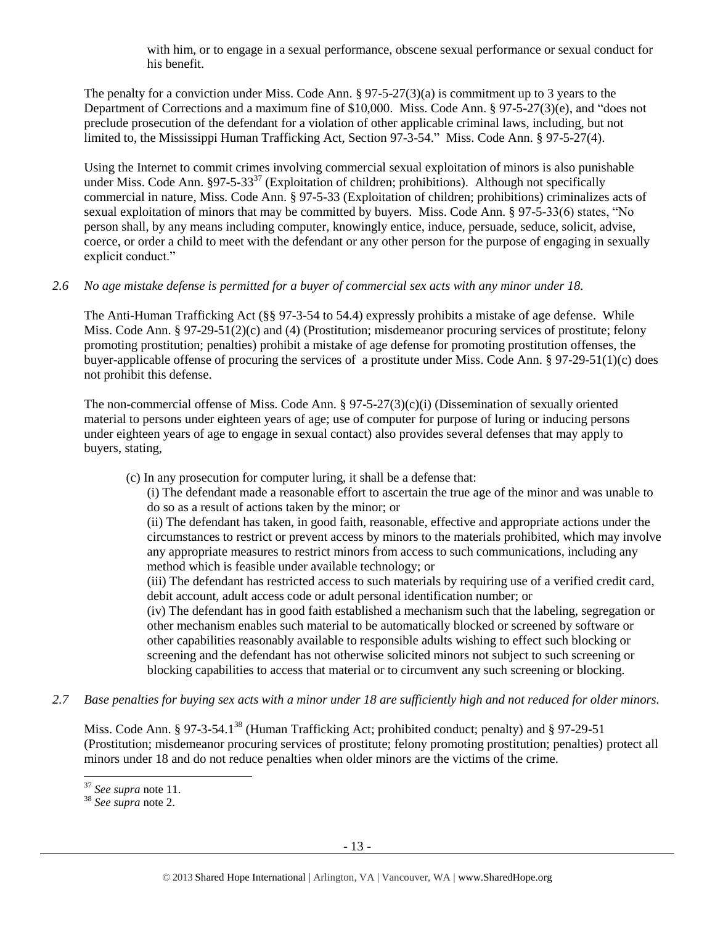with him, or to engage in a sexual performance, obscene sexual performance or sexual conduct for his benefit.

The penalty for a conviction under Miss. Code Ann. § 97-5-27(3)(a) is commitment up to 3 years to the Department of Corrections and a maximum fine of \$10,000. Miss. Code Ann. § 97-5-27(3)(e), and "does not preclude prosecution of the defendant for a violation of other applicable criminal laws, including, but not limited to, the Mississippi Human Trafficking Act, Section 97-3-54." Miss. Code Ann. § 97-5-27(4).

Using the Internet to commit crimes involving commercial sexual exploitation of minors is also punishable under Miss. Code Ann.  $§97-5-33^{37}$  (Exploitation of children; prohibitions). Although not specifically commercial in nature, Miss. Code Ann. § 97-5-33 (Exploitation of children; prohibitions) criminalizes acts of sexual exploitation of minors that may be committed by buyers. Miss. Code Ann. § 97-5-33(6) states, "No person shall, by any means including computer, knowingly entice, induce, persuade, seduce, solicit, advise, coerce, or order a child to meet with the defendant or any other person for the purpose of engaging in sexually explicit conduct."

# *2.6 No age mistake defense is permitted for a buyer of commercial sex acts with any minor under 18.*

The Anti-Human Trafficking Act (§§ 97-3-54 to 54.4) expressly prohibits a mistake of age defense. While Miss. Code Ann. § 97-29-51(2)(c) and (4) (Prostitution; misdemeanor procuring services of prostitute; felony promoting prostitution; penalties) prohibit a mistake of age defense for promoting prostitution offenses, the buyer-applicable offense of procuring the services of a prostitute under Miss. Code Ann. § 97-29-51(1)(c) does not prohibit this defense.

The non-commercial offense of Miss. Code Ann. § 97-5-27(3)(c)(i) (Dissemination of sexually oriented material to persons under eighteen years of age; use of computer for purpose of luring or inducing persons under eighteen years of age to engage in sexual contact) also provides several defenses that may apply to buyers, stating,

(c) In any prosecution for computer luring, it shall be a defense that:

(i) The defendant made a reasonable effort to ascertain the true age of the minor and was unable to do so as a result of actions taken by the minor; or

(ii) The defendant has taken, in good faith, reasonable, effective and appropriate actions under the circumstances to restrict or prevent access by minors to the materials prohibited, which may involve any appropriate measures to restrict minors from access to such communications, including any method which is feasible under available technology; or

(iii) The defendant has restricted access to such materials by requiring use of a verified credit card, debit account, adult access code or adult personal identification number; or

(iv) The defendant has in good faith established a mechanism such that the labeling, segregation or other mechanism enables such material to be automatically blocked or screened by software or other capabilities reasonably available to responsible adults wishing to effect such blocking or screening and the defendant has not otherwise solicited minors not subject to such screening or blocking capabilities to access that material or to circumvent any such screening or blocking.

*2.7 Base penalties for buying sex acts with a minor under 18 are sufficiently high and not reduced for older minors.*

Miss. Code Ann. § 97-3-54.1<sup>38</sup> (Human Trafficking Act; prohibited conduct; penalty) and § 97-29-51 (Prostitution; misdemeanor procuring services of prostitute; felony promoting prostitution; penalties) protect all minors under 18 and do not reduce penalties when older minors are the victims of the crime.

l <sup>37</sup> *See supra* note [11.](#page-3-1)

<sup>38</sup> *See supra* note [2.](#page-0-0)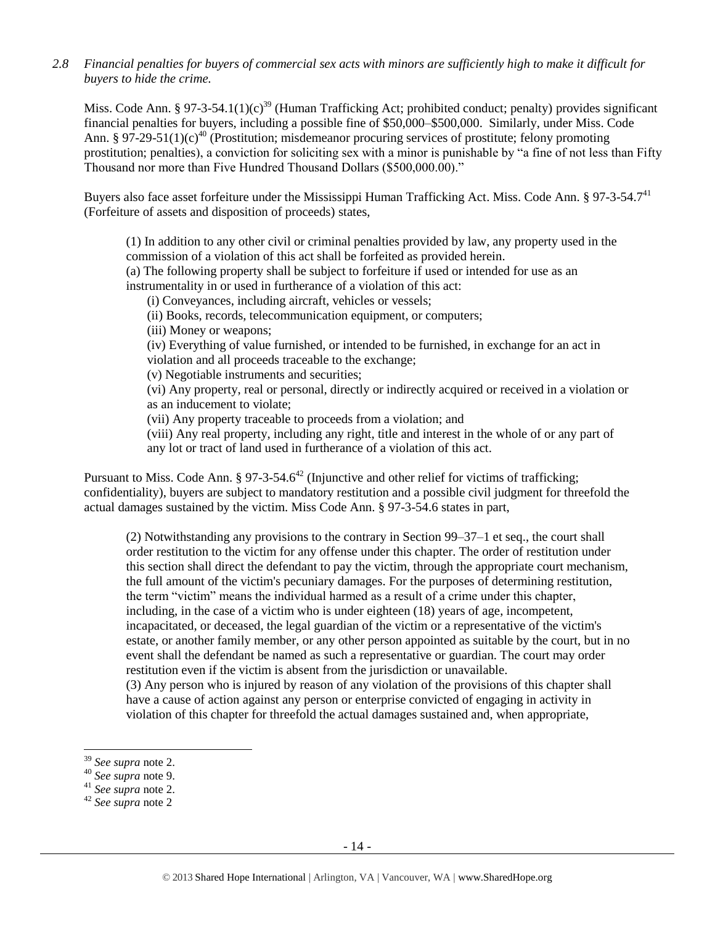*2.8 Financial penalties for buyers of commercial sex acts with minors are sufficiently high to make it difficult for buyers to hide the crime.*

Miss. Code Ann. § 97-3-54.1(1)(c)<sup>39</sup> (Human Trafficking Act; prohibited conduct; penalty) provides significant financial penalties for buyers, including a possible fine of \$50,000–\$500,000. Similarly, under Miss. Code Ann. § 97-29-51(1)(c)<sup>40</sup> (Prostitution; misdemeanor procuring services of prostitute; felony promoting prostitution; penalties), a conviction for soliciting sex with a minor is punishable by "a fine of not less than Fifty Thousand nor more than Five Hundred Thousand Dollars (\$500,000.00)."

Buyers also face asset forfeiture under the Mississippi Human Trafficking Act. Miss. Code Ann. § 97-3-54.7<sup>41</sup> (Forfeiture of assets and disposition of proceeds) states,

(1) In addition to any other civil or criminal penalties provided by law, any property used in the commission of a violation of this act shall be forfeited as provided herein.

(a) The following property shall be subject to forfeiture if used or intended for use as an instrumentality in or used in furtherance of a violation of this act:

(i) Conveyances, including aircraft, vehicles or vessels;

(ii) Books, records, telecommunication equipment, or computers;

(iii) Money or weapons;

(iv) Everything of value furnished, or intended to be furnished, in exchange for an act in violation and all proceeds traceable to the exchange;

(v) Negotiable instruments and securities;

(vi) Any property, real or personal, directly or indirectly acquired or received in a violation or as an inducement to violate;

(vii) Any property traceable to proceeds from a violation; and

(viii) Any real property, including any right, title and interest in the whole of or any part of any lot or tract of land used in furtherance of a violation of this act.

Pursuant to Miss. Code Ann.  $\S 97-3-54.6^{42}$  (Injunctive and other relief for victims of trafficking; confidentiality), buyers are subject to mandatory restitution and a possible civil judgment for threefold the actual damages sustained by the victim. Miss Code Ann. § 97-3-54.6 states in part,

(2) Notwithstanding any provisions to the contrary in Section 99–37–1 et seq., the court shall order restitution to the victim for any offense under this chapter. The order of restitution under this section shall direct the defendant to pay the victim, through the appropriate court mechanism, the full amount of the victim's pecuniary damages. For the purposes of determining restitution, the term "victim" means the individual harmed as a result of a crime under this chapter, including, in the case of a victim who is under eighteen (18) years of age, incompetent, incapacitated, or deceased, the legal guardian of the victim or a representative of the victim's estate, or another family member, or any other person appointed as suitable by the court, but in no event shall the defendant be named as such a representative or guardian. The court may order restitution even if the victim is absent from the jurisdiction or unavailable.

(3) Any person who is injured by reason of any violation of the provisions of this chapter shall have a cause of action against any person or enterprise convicted of engaging in activity in violation of this chapter for threefold the actual damages sustained and, when appropriate,

 $\overline{a}$ 

<sup>39</sup> *See supra* note [2.](#page-0-0)

<sup>40</sup> *See supra* note [9.](#page-2-0)

<sup>41</sup> *See supra* note [2.](#page-0-0)

<sup>42</sup> *See supra* note [2](#page-0-0)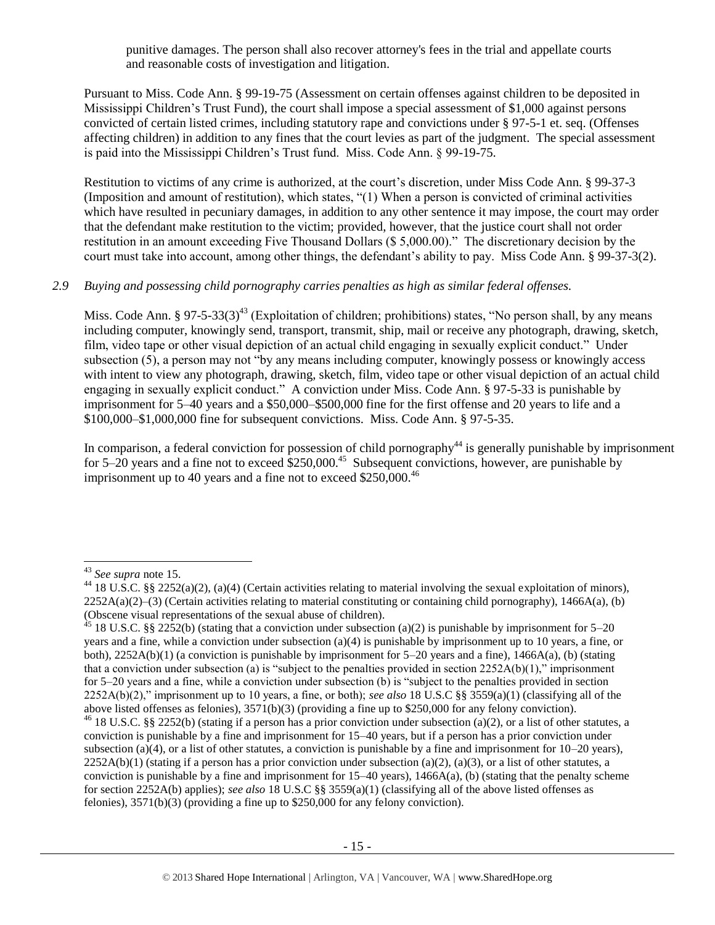punitive damages. The person shall also recover attorney's fees in the trial and appellate courts and reasonable costs of investigation and litigation.

Pursuant to Miss. Code Ann. § 99-19-75 (Assessment on certain offenses against children to be deposited in Mississippi Children's Trust Fund), the court shall impose a special assessment of \$1,000 against persons convicted of certain listed crimes, including statutory rape and convictions under § 97-5-1 et. seq. (Offenses affecting children) in addition to any fines that the court levies as part of the judgment. The special assessment is paid into the Mississippi Children's Trust fund. Miss. Code Ann. § 99-19-75.

Restitution to victims of any crime is authorized, at the court's discretion, under Miss Code Ann. § 99-37-3 (Imposition and amount of restitution), which states, "(1) When a person is convicted of criminal activities which have resulted in pecuniary damages, in addition to any other sentence it may impose, the court may order that the defendant make restitution to the victim; provided, however, that the justice court shall not order restitution in an amount exceeding Five Thousand Dollars (\$ 5,000.00)." The discretionary decision by the court must take into account, among other things, the defendant's ability to pay. Miss Code Ann. § 99-37-3(2).

#### *2.9 Buying and possessing child pornography carries penalties as high as similar federal offenses.*

Miss. Code Ann. § 97-5-33(3)<sup>43</sup> (Exploitation of children; prohibitions) states, "No person shall, by any means including computer, knowingly send, transport, transmit, ship, mail or receive any photograph, drawing, sketch, film, video tape or other visual depiction of an actual child engaging in sexually explicit conduct." Under subsection (5), a person may not "by any means including computer, knowingly possess or knowingly access with intent to view any photograph, drawing, sketch, film, video tape or other visual depiction of an actual child engaging in sexually explicit conduct." A conviction under Miss. Code Ann. § 97-5-33 is punishable by imprisonment for 5–40 years and a \$50,000–\$500,000 fine for the first offense and 20 years to life and a \$100,000–\$1,000,000 fine for subsequent convictions. Miss. Code Ann. § 97-5-35.

In comparison, a federal conviction for possession of child pornography<sup>44</sup> is generally punishable by imprisonment for  $5-20$  years and a fine not to exceed  $$250,000.<sup>45</sup>$  Subsequent convictions, however, are punishable by imprisonment up to 40 years and a fine not to exceed  $$250,000.<sup>46</sup>$ 

<sup>43</sup> *See supra* note [15.](#page-4-0)

<sup>44</sup> 18 U.S.C. §§ 2252(a)(2), (a)(4) (Certain activities relating to material involving the sexual exploitation of minors),  $2252A(a)(2)$ –(3) (Certain activities relating to material constituting or containing child pornography), 1466A(a), (b) (Obscene visual representations of the sexual abuse of children).

<sup>&</sup>lt;sup>45</sup> 18 U.S.C. §§ 2252(b) (stating that a conviction under subsection (a)(2) is punishable by imprisonment for 5–20 years and a fine, while a conviction under subsection (a)(4) is punishable by imprisonment up to 10 years, a fine, or both), 2252A(b)(1) (a conviction is punishable by imprisonment for 5–20 years and a fine), 1466A(a), (b) (stating that a conviction under subsection (a) is "subject to the penalties provided in section  $2252A(b)(1)$ ," imprisonment for 5–20 years and a fine, while a conviction under subsection (b) is "subject to the penalties provided in section 2252A(b)(2)," imprisonment up to 10 years, a fine, or both); *see also* 18 U.S.C §§ 3559(a)(1) (classifying all of the above listed offenses as felonies), 3571(b)(3) (providing a fine up to \$250,000 for any felony conviction).

<sup>&</sup>lt;sup>46</sup> 18 U.S.C. §§ 2252(b) (stating if a person has a prior conviction under subsection (a)(2), or a list of other statutes, a conviction is punishable by a fine and imprisonment for 15–40 years, but if a person has a prior conviction under subsection (a)(4), or a list of other statutes, a conviction is punishable by a fine and imprisonment for  $10-20$  years),  $2252A(b)(1)$  (stating if a person has a prior conviction under subsection (a)(2), (a)(3), or a list of other statutes, a conviction is punishable by a fine and imprisonment for  $15-40$  years),  $1466A(a)$ , (b) (stating that the penalty scheme for section 2252A(b) applies); *see also* 18 U.S.C §§ 3559(a)(1) (classifying all of the above listed offenses as felonies), 3571(b)(3) (providing a fine up to \$250,000 for any felony conviction).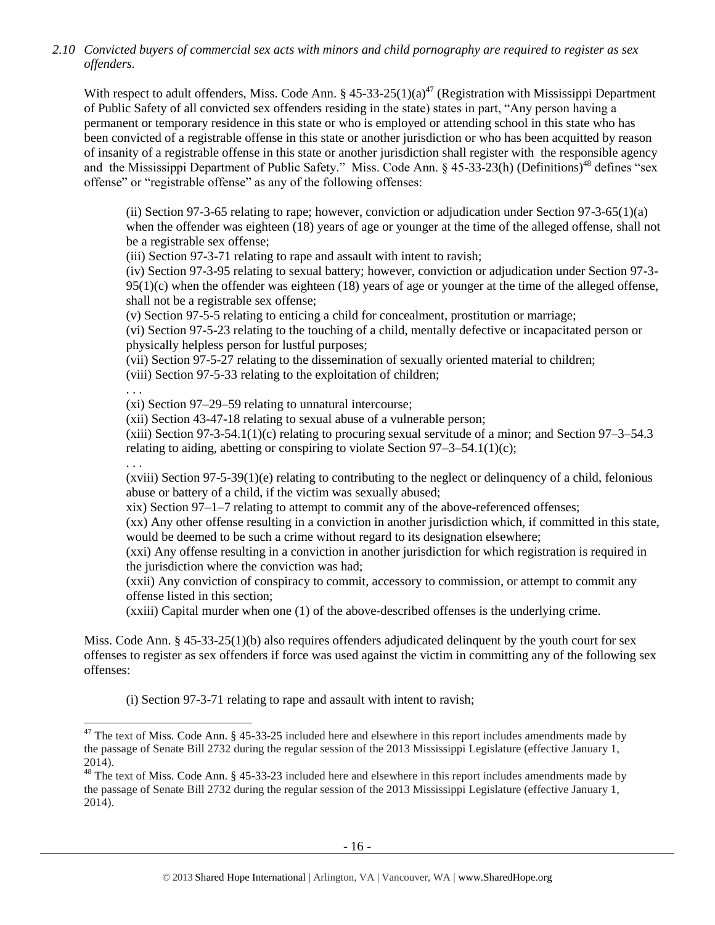*2.10 Convicted buyers of commercial sex acts with minors and child pornography are required to register as sex offenders.*

With respect to adult offenders, Miss. Code Ann. §  $45-33-25(1)(a)^{47}$  (Registration with Mississippi Department of Public Safety of all convicted sex offenders residing in the state) states in part, "Any person having a permanent or temporary residence in this state or who is employed or attending school in this state who has been convicted of a registrable offense in this state or another jurisdiction or who has been acquitted by reason of insanity of a registrable offense in this state or another jurisdiction shall register with the responsible agency and the Mississippi Department of Public Safety." Miss. Code Ann. § 45-33-23(h) (Definitions)<sup>48</sup> defines "sex offense" or "registrable offense" as any of the following offenses:

(ii) Section 97-3-65 relating to rape; however, conviction or adjudication under Section 97-3-65(1)(a) when the offender was eighteen (18) years of age or younger at the time of the alleged offense, shall not be a registrable sex offense;

(iii) Section 97-3-71 relating to rape and assault with intent to ravish;

(iv) Section 97-3-95 relating to sexual battery; however, conviction or adjudication under Section 97-3-  $95(1)(c)$  when the offender was eighteen (18) years of age or younger at the time of the alleged offense, shall not be a registrable sex offense;

(v) Section 97-5-5 relating to enticing a child for concealment, prostitution or marriage;

(vi) Section 97-5-23 relating to the touching of a child, mentally defective or incapacitated person or physically helpless person for lustful purposes;

(vii) Section 97-5-27 relating to the dissemination of sexually oriented material to children;

(viii) Section 97-5-33 relating to the exploitation of children;

. . .

(xi) Section 97–29–59 relating to unnatural intercourse;

(xii) Section 43-47-18 relating to sexual abuse of a vulnerable person;

 $(xiii)$  Section 97-3-54.1(1)(c) relating to procuring sexual servitude of a minor; and Section 97-3-54.3 relating to aiding, abetting or conspiring to violate Section  $97-3-54.1(1)(c)$ ;

. . .

l

 $(xviii)$  Section 97-5-39(1)(e) relating to contributing to the neglect or delinquency of a child, felonious abuse or battery of a child, if the victim was sexually abused;

xix) Section 97–1–7 relating to attempt to commit any of the above-referenced offenses;

(xx) Any other offense resulting in a conviction in another jurisdiction which, if committed in this state, would be deemed to be such a crime without regard to its designation elsewhere;

(xxi) Any offense resulting in a conviction in another jurisdiction for which registration is required in the jurisdiction where the conviction was had;

(xxii) Any conviction of conspiracy to commit, accessory to commission, or attempt to commit any offense listed in this section;

(xxiii) Capital murder when one (1) of the above-described offenses is the underlying crime.

Miss. Code Ann. § 45-33-25(1)(b) also requires offenders adjudicated delinquent by the youth court for sex offenses to register as sex offenders if force was used against the victim in committing any of the following sex offenses:

(i) Section 97-3-71 relating to rape and assault with intent to ravish;

 $47$  The text of Miss. Code Ann. § 45-33-25 included here and elsewhere in this report includes amendments made by the passage of Senate Bill 2732 during the regular session of the 2013 Mississippi Legislature (effective January 1, 2014).

<sup>&</sup>lt;sup>48</sup> The text of Miss. Code Ann. § 45-33-23 included here and elsewhere in this report includes amendments made by the passage of Senate Bill 2732 during the regular session of the 2013 Mississippi Legislature (effective January 1, 2014).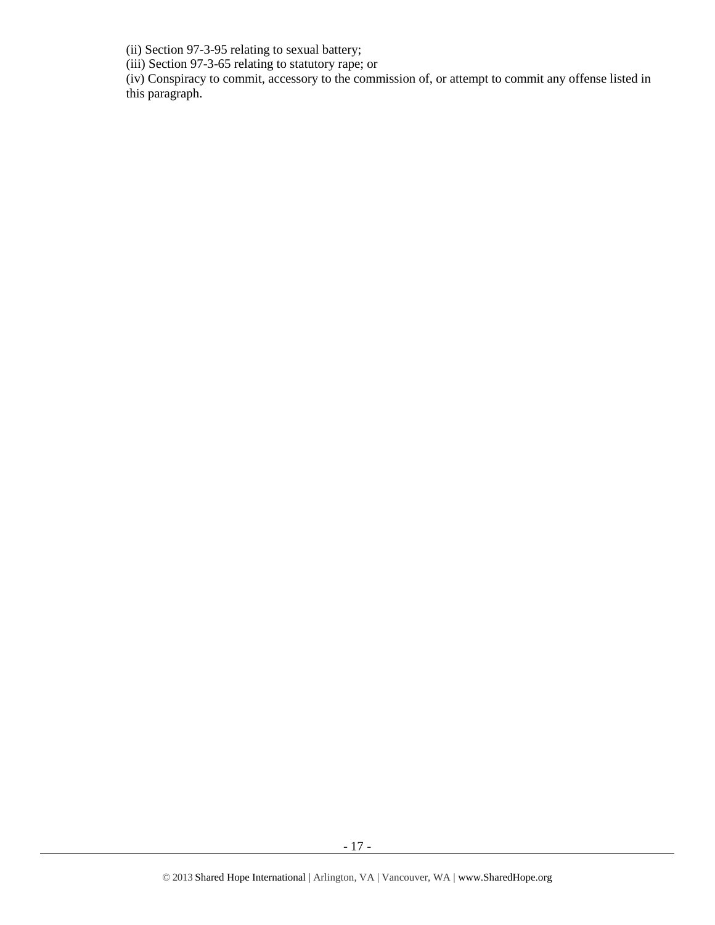(ii) Section 97-3-95 relating to sexual battery;

(iii) Section 97-3-65 relating to statutory rape; or

(iv) Conspiracy to commit, accessory to the commission of, or attempt to commit any offense listed in this paragraph.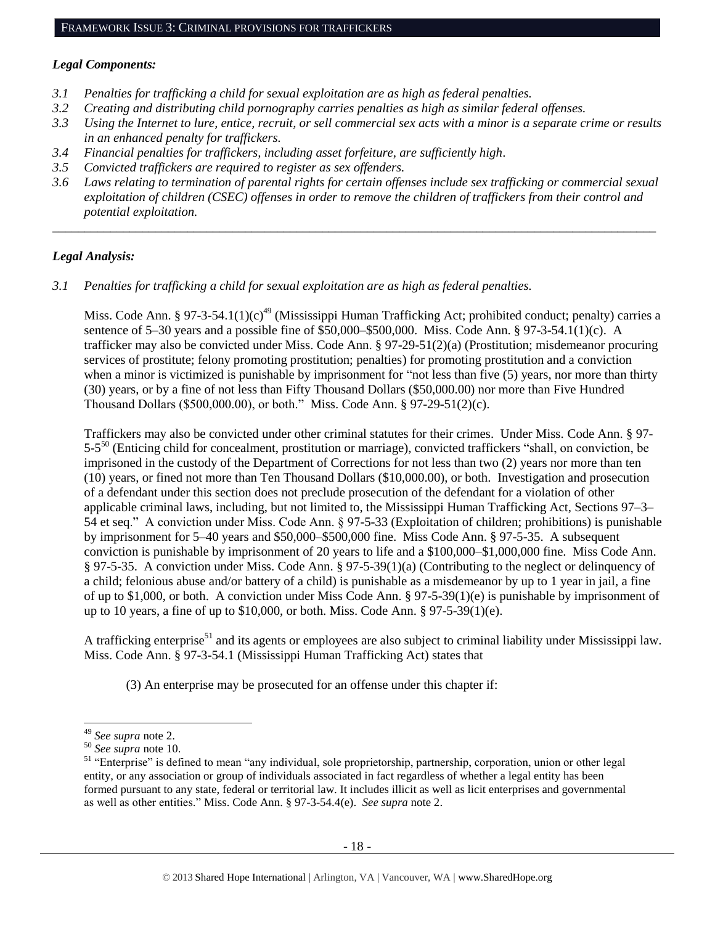#### *Legal Components:*

- *3.1 Penalties for trafficking a child for sexual exploitation are as high as federal penalties.*
- *3.2 Creating and distributing child pornography carries penalties as high as similar federal offenses.*
- *3.3 Using the Internet to lure, entice, recruit, or sell commercial sex acts with a minor is a separate crime or results in an enhanced penalty for traffickers.*
- *3.4 Financial penalties for traffickers, including asset forfeiture, are sufficiently high*.
- *3.5 Convicted traffickers are required to register as sex offenders.*
- *3.6 Laws relating to termination of parental rights for certain offenses include sex trafficking or commercial sexual exploitation of children (CSEC) offenses in order to remove the children of traffickers from their control and potential exploitation.*

*\_\_\_\_\_\_\_\_\_\_\_\_\_\_\_\_\_\_\_\_\_\_\_\_\_\_\_\_\_\_\_\_\_\_\_\_\_\_\_\_\_\_\_\_\_\_\_\_\_\_\_\_\_\_\_\_\_\_\_\_\_\_\_\_\_\_\_\_\_\_\_\_\_\_\_\_\_\_\_\_\_\_\_\_\_\_\_\_\_\_\_\_\_\_*

#### *Legal Analysis:*

*3.1 Penalties for trafficking a child for sexual exploitation are as high as federal penalties.* 

Miss. Code Ann. § 97-3-54.1(1)(c)<sup>49</sup> (Mississippi Human Trafficking Act; prohibited conduct; penalty) carries a sentence of 5–30 years and a possible fine of \$50,000–\$500,000. Miss. Code Ann. § 97-3-54.1(1)(c). A trafficker may also be convicted under Miss. Code Ann. § 97-29-51(2)(a) (Prostitution; misdemeanor procuring services of prostitute; felony promoting prostitution; penalties) for promoting prostitution and a conviction when a minor is victimized is punishable by imprisonment for "not less than five (5) years, nor more than thirty (30) years, or by a fine of not less than Fifty Thousand Dollars (\$50,000.00) nor more than Five Hundred Thousand Dollars (\$500,000.00), or both." Miss. Code Ann. § 97-29-51(2)(c).

Traffickers may also be convicted under other criminal statutes for their crimes. Under Miss. Code Ann. § 97- 5-5<sup>50</sup> (Enticing child for concealment, prostitution or marriage), convicted traffickers "shall, on conviction, be imprisoned in the custody of the Department of Corrections for not less than two (2) years nor more than ten (10) years, or fined not more than Ten Thousand Dollars (\$10,000.00), or both. Investigation and prosecution of a defendant under this section does not preclude prosecution of the defendant for a violation of other applicable criminal laws, including, but not limited to, the Mississippi Human Trafficking Act, Sections 97–3– 54 et seq." A conviction under Miss. Code Ann. § 97-5-33 (Exploitation of children; prohibitions) is punishable by imprisonment for 5–40 years and \$50,000–\$500,000 fine. Miss Code Ann. § 97-5-35. A subsequent conviction is punishable by imprisonment of 20 years to life and a \$100,000–\$1,000,000 fine. Miss Code Ann. § 97-5-35. A conviction under Miss. Code Ann. § 97-5-39(1)(a) (Contributing to the neglect or delinquency of a child; felonious abuse and/or battery of a child) is punishable as a misdemeanor by up to 1 year in jail, a fine of up to \$1,000, or both. A conviction under Miss Code Ann. § 97-5-39(1)(e) is punishable by imprisonment of up to 10 years, a fine of up to \$10,000, or both. Miss. Code Ann. § 97-5-39(1)(e).

A trafficking enterprise<sup>51</sup> and its agents or employees are also subject to criminal liability under Mississippi law. Miss. Code Ann. § 97-3-54.1 (Mississippi Human Trafficking Act) states that

<span id="page-17-0"></span>(3) An enterprise may be prosecuted for an offense under this chapter if:

<sup>49</sup> *See supra* note [2.](#page-0-0)

<sup>50</sup> *See supra* note [10.](#page-2-1)

<sup>&</sup>lt;sup>51</sup> "Enterprise" is defined to mean "any individual, sole proprietorship, partnership, corporation, union or other legal entity, or any association or group of individuals associated in fact regardless of whether a legal entity has been formed pursuant to any state, federal or territorial law. It includes illicit as well as licit enterprises and governmental as well as other entities." Miss. Code Ann. § 97-3-54.4(e). *See supra* not[e 2.](#page-0-0)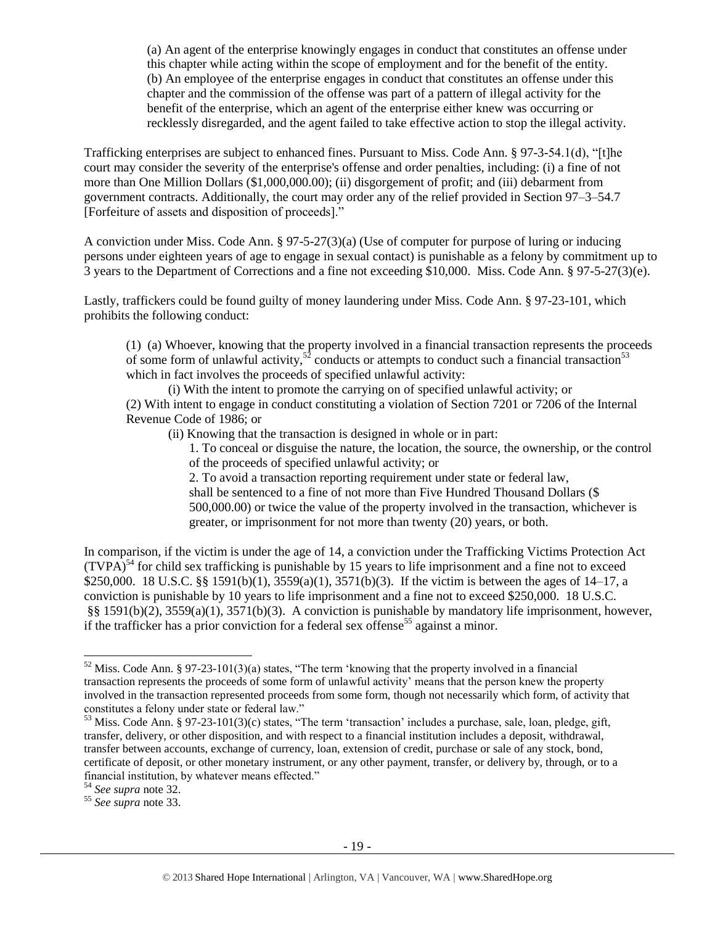(a) An agent of the enterprise knowingly engages in conduct that constitutes an offense under this chapter while acting within the scope of employment and for the benefit of the entity. (b) An employee of the enterprise engages in conduct that constitutes an offense under this chapter and the commission of the offense was part of a pattern of illegal activity for the benefit of the enterprise, which an agent of the enterprise either knew was occurring or recklessly disregarded, and the agent failed to take effective action to stop the illegal activity.

Trafficking enterprises are subject to enhanced fines. Pursuant to Miss. Code Ann. § 97-3-54.1(d), "[t]he court may consider the severity of the enterprise's offense and order penalties, including: (i) a fine of not more than One Million Dollars (\$1,000,000.00); (ii) disgorgement of profit; and (iii) debarment from government contracts. Additionally, the court may order any of the relief provided in Section 97–3–54.7 [Forfeiture of assets and disposition of proceeds]."

A conviction under Miss. Code Ann. § 97-5-27(3)(a) (Use of computer for purpose of luring or inducing persons under eighteen years of age to engage in sexual contact) is punishable as a felony by commitment up to 3 years to the Department of Corrections and a fine not exceeding \$10,000. Miss. Code Ann. § 97-5-27(3)(e).

Lastly, traffickers could be found guilty of money laundering under Miss. Code Ann. § 97-23-101, which prohibits the following conduct:

(1) (a) Whoever, knowing that the property involved in a financial transaction represents the proceeds of some form of unlawful activity,<sup>52</sup> conducts or attempts to conduct such a financial transaction<sup>53</sup> which in fact involves the proceeds of specified unlawful activity:

(i) With the intent to promote the carrying on of specified unlawful activity; or (2) With intent to engage in conduct constituting a violation of Section 7201 or 7206 of the Internal Revenue Code of 1986; or

(ii) Knowing that the transaction is designed in whole or in part:

<span id="page-18-1"></span><span id="page-18-0"></span>1. To conceal or disguise the nature, the location, the source, the ownership, or the control of the proceeds of specified unlawful activity; or

2. To avoid a transaction reporting requirement under state or federal law, shall be sentenced to a fine of not more than Five Hundred Thousand Dollars (\$ 500,000.00) or twice the value of the property involved in the transaction, whichever is greater, or imprisonment for not more than twenty (20) years, or both.

In comparison, if the victim is under the age of 14, a conviction under the Trafficking Victims Protection Act  $(TVPA)^{54}$  for child sex trafficking is punishable by 15 years to life imprisonment and a fine not to exceed \$250,000. 18 U.S.C. §§ 1591(b)(1), 3559(a)(1), 3571(b)(3). If the victim is between the ages of 14–17, a conviction is punishable by 10 years to life imprisonment and a fine not to exceed \$250,000. 18 U.S.C. §§ 1591(b)(2), 3559(a)(1), 3571(b)(3). A conviction is punishable by mandatory life imprisonment, however, if the trafficker has a prior conviction for a federal sex offense<sup>55</sup> against a minor.

 $52$  Miss. Code Ann. § 97-23-101(3)(a) states, "The term 'knowing that the property involved in a financial transaction represents the proceeds of some form of unlawful activity' means that the person knew the property involved in the transaction represented proceeds from some form, though not necessarily which form, of activity that constitutes a felony under state or federal law."

<sup>&</sup>lt;sup>53</sup> Miss. Code Ann. § 97-23-101(3)(c) states, "The term 'transaction' includes a purchase, sale, loan, pledge, gift, transfer, delivery, or other disposition, and with respect to a financial institution includes a deposit, withdrawal, transfer between accounts, exchange of currency, loan, extension of credit, purchase or sale of any stock, bond, certificate of deposit, or other monetary instrument, or any other payment, transfer, or delivery by, through, or to a financial institution, by whatever means effected."

<sup>54</sup> *See supra* note [32.](#page-11-0)

<sup>55</sup> *See supra* note [33.](#page-11-1)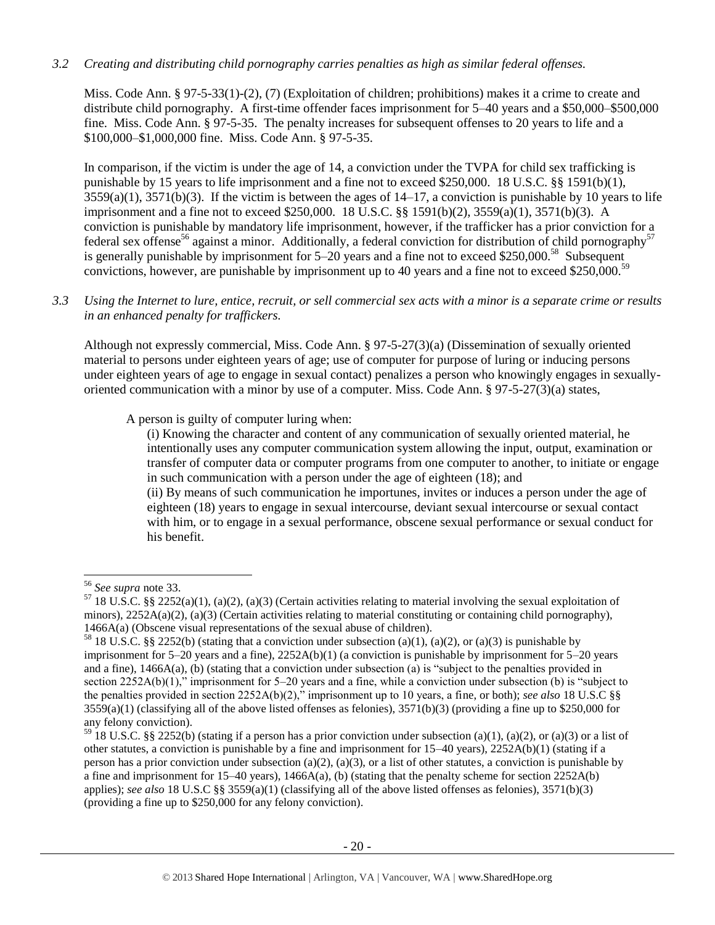# *3.2 Creating and distributing child pornography carries penalties as high as similar federal offenses.*

Miss. Code Ann. § 97-5-33(1)-(2), (7) (Exploitation of children; prohibitions) makes it a crime to create and distribute child pornography. A first-time offender faces imprisonment for 5–40 years and a \$50,000–\$500,000 fine. Miss. Code Ann. § 97-5-35. The penalty increases for subsequent offenses to 20 years to life and a \$100,000–\$1,000,000 fine. Miss. Code Ann. § 97-5-35.

In comparison, if the victim is under the age of 14, a conviction under the TVPA for child sex trafficking is punishable by 15 years to life imprisonment and a fine not to exceed \$250,000. 18 U.S.C. §§ 1591(b)(1),  $3559(a)(1)$ ,  $3571(b)(3)$ . If the victim is between the ages of  $14-17$ , a conviction is punishable by 10 years to life imprisonment and a fine not to exceed \$250,000. 18 U.S.C. §§ 1591(b)(2), 3559(a)(1), 3571(b)(3). A conviction is punishable by mandatory life imprisonment, however, if the trafficker has a prior conviction for a federal sex offense<sup>56</sup> against a minor. Additionally, a federal conviction for distribution of child pornography<sup>57</sup> is generally punishable by imprisonment for  $5-20$  years and a fine not to exceed \$250,000.<sup>58</sup> Subsequent convictions, however, are punishable by imprisonment up to 40 years and a fine not to exceed \$250,000.<sup>59</sup>

*3.3 Using the Internet to lure, entice, recruit, or sell commercial sex acts with a minor is a separate crime or results in an enhanced penalty for traffickers.*

Although not expressly commercial, Miss. Code Ann. § 97-5-27(3)(a) (Dissemination of sexually oriented material to persons under eighteen years of age; use of computer for purpose of luring or inducing persons under eighteen years of age to engage in sexual contact) penalizes a person who knowingly engages in sexuallyoriented communication with a minor by use of a computer. Miss. Code Ann. § 97-5-27(3)(a) states,

A person is guilty of computer luring when:

(i) Knowing the character and content of any communication of sexually oriented material, he intentionally uses any computer communication system allowing the input, output, examination or transfer of computer data or computer programs from one computer to another, to initiate or engage in such communication with a person under the age of eighteen (18); and (ii) By means of such communication he importunes, invites or induces a person under the age of eighteen (18) years to engage in sexual intercourse, deviant sexual intercourse or sexual contact with him, or to engage in a sexual performance, obscene sexual performance or sexual conduct for

his benefit.

l <sup>56</sup> *See supra* note [33.](#page-11-1)

 $57$  18 U.S.C. §§ 2252(a)(1), (a)(2), (a)(3) (Certain activities relating to material involving the sexual exploitation of minors), 2252A(a)(2), (a)(3) (Certain activities relating to material constituting or containing child pornography), 1466A(a) (Obscene visual representations of the sexual abuse of children).

<sup>&</sup>lt;sup>58</sup> 18 U.S.C. §§ 2252(b) (stating that a conviction under subsection (a)(1), (a)(2), or (a)(3) is punishable by imprisonment for 5–20 years and a fine), 2252A(b)(1) (a conviction is punishable by imprisonment for 5–20 years and a fine), 1466A(a), (b) (stating that a conviction under subsection (a) is "subject to the penalties provided in section 2252A(b)(1)," imprisonment for 5–20 years and a fine, while a conviction under subsection (b) is "subject to the penalties provided in section 2252A(b)(2)," imprisonment up to 10 years, a fine, or both); *see also* 18 U.S.C §§  $3559(a)(1)$  (classifying all of the above listed offenses as felonies),  $3571(b)(3)$  (providing a fine up to \$250,000 for any felony conviction).

 $59$  18 U.S.C. §§ 2252(b) (stating if a person has a prior conviction under subsection (a)(1), (a)(2), or (a)(3) or a list of other statutes, a conviction is punishable by a fine and imprisonment for  $15-40$  years),  $2252A(b)(1)$  (stating if a person has a prior conviction under subsection (a)(2), (a)(3), or a list of other statutes, a conviction is punishable by a fine and imprisonment for 15–40 years), 1466A(a), (b) (stating that the penalty scheme for section  $\frac{2252A(b)}{2252A(b)}$ applies); *see also* 18 U.S.C §§ 3559(a)(1) (classifying all of the above listed offenses as felonies), 3571(b)(3) (providing a fine up to \$250,000 for any felony conviction).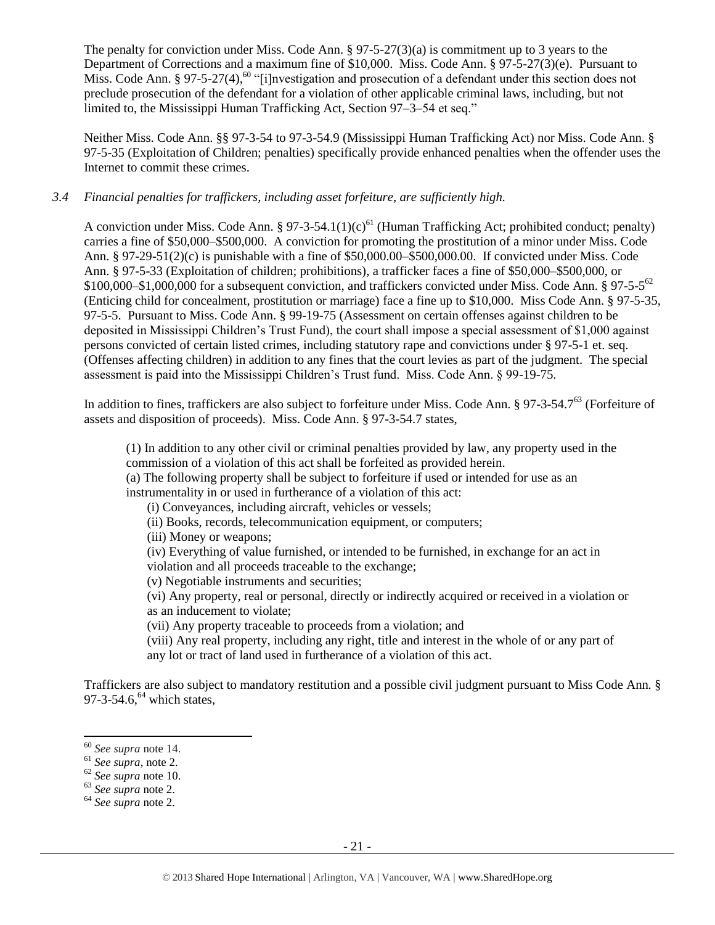The penalty for conviction under Miss. Code Ann. § 97-5-27(3)(a) is commitment up to 3 years to the Department of Corrections and a maximum fine of \$10,000. Miss. Code Ann. § 97-5-27(3)(e). Pursuant to Miss. Code Ann. § 97-5-27(4),<sup>60</sup> "[i]nvestigation and prosecution of a defendant under this section does not preclude prosecution of the defendant for a violation of other applicable criminal laws, including, but not limited to, the Mississippi Human Trafficking Act, Section 97–3–54 et seq."

Neither Miss. Code Ann. §§ 97-3-54 to 97-3-54.9 (Mississippi Human Trafficking Act) nor Miss. Code Ann. § 97-5-35 (Exploitation of Children; penalties) specifically provide enhanced penalties when the offender uses the Internet to commit these crimes.

#### *3.4 Financial penalties for traffickers, including asset forfeiture, are sufficiently high.*

A conviction under Miss. Code Ann. § 97-3-54.1(1)(c)<sup>61</sup> (Human Trafficking Act; prohibited conduct; penalty) carries a fine of \$50,000–\$500,000. A conviction for promoting the prostitution of a minor under Miss. Code Ann. § 97-29-51(2)(c) is punishable with a fine of \$50,000.00–\$500,000.00. If convicted under Miss. Code Ann. § 97-5-33 (Exploitation of children; prohibitions), a trafficker faces a fine of \$50,000–\$500,000, or  $$100,000–$1,000,000$  for a subsequent conviction, and traffickers convicted under Miss. Code Ann. § 97-5-5<sup>62</sup> (Enticing child for concealment, prostitution or marriage) face a fine up to \$10,000. Miss Code Ann. § 97-5-35, 97-5-5. Pursuant to Miss. Code Ann. § 99-19-75 (Assessment on certain offenses against children to be deposited in Mississippi Children's Trust Fund), the court shall impose a special assessment of \$1,000 against persons convicted of certain listed crimes, including statutory rape and convictions under § 97-5-1 et. seq. (Offenses affecting children) in addition to any fines that the court levies as part of the judgment. The special assessment is paid into the Mississippi Children's Trust fund. Miss. Code Ann. § 99-19-75.

In addition to fines, traffickers are also subject to forfeiture under Miss. Code Ann. § 97-3-54.7<sup>63</sup> (Forfeiture of assets and disposition of proceeds). Miss. Code Ann. § 97-3-54.7 states,

(1) In addition to any other civil or criminal penalties provided by law, any property used in the commission of a violation of this act shall be forfeited as provided herein.

(a) The following property shall be subject to forfeiture if used or intended for use as an instrumentality in or used in furtherance of a violation of this act:

(i) Conveyances, including aircraft, vehicles or vessels;

(ii) Books, records, telecommunication equipment, or computers;

(iii) Money or weapons;

(iv) Everything of value furnished, or intended to be furnished, in exchange for an act in violation and all proceeds traceable to the exchange;

(v) Negotiable instruments and securities;

(vi) Any property, real or personal, directly or indirectly acquired or received in a violation or as an inducement to violate;

(vii) Any property traceable to proceeds from a violation; and

(viii) Any real property, including any right, title and interest in the whole of or any part of any lot or tract of land used in furtherance of a violation of this act.

Traffickers are also subject to mandatory restitution and a possible civil judgment pursuant to Miss Code Ann. § 97-3-54.6, $^{64}$  which states,

<sup>60</sup> *See supra* note [14.](#page-3-0)

<sup>61</sup> *See supra*, note [2.](#page-0-0)

<sup>62</sup> *See supra* note [10.](#page-2-1)

<sup>63</sup> *See supra* note [2.](#page-0-0)

<sup>64</sup> *See supra* note [2.](#page-0-0)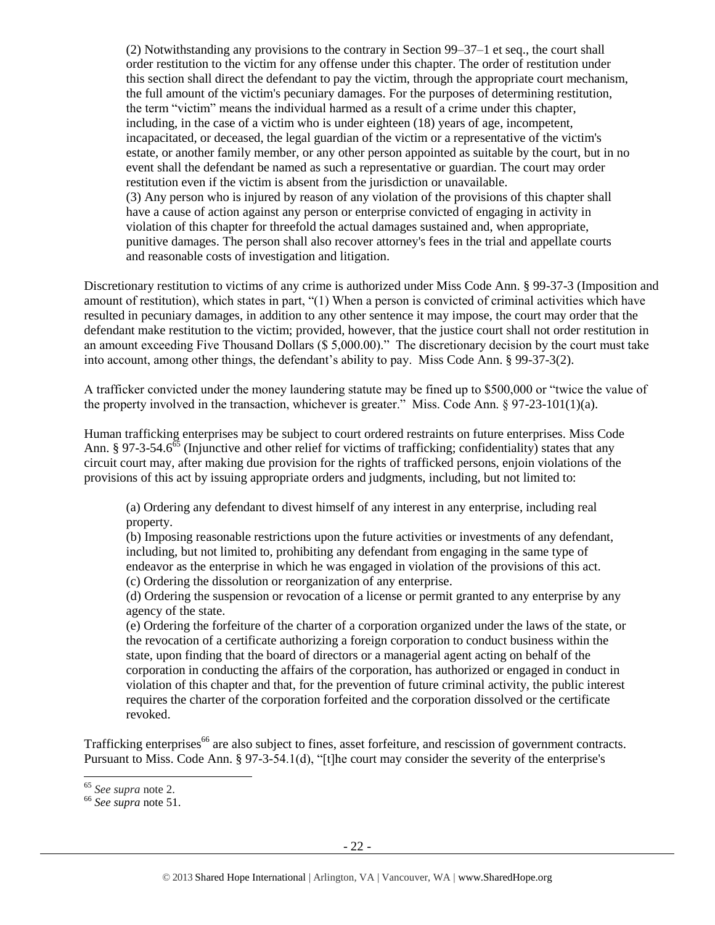(2) Notwithstanding any provisions to the contrary in Section 99–37–1 et seq., the court shall order restitution to the victim for any offense under this chapter. The order of restitution under this section shall direct the defendant to pay the victim, through the appropriate court mechanism, the full amount of the victim's pecuniary damages. For the purposes of determining restitution, the term "victim" means the individual harmed as a result of a crime under this chapter, including, in the case of a victim who is under eighteen (18) years of age, incompetent, incapacitated, or deceased, the legal guardian of the victim or a representative of the victim's estate, or another family member, or any other person appointed as suitable by the court, but in no event shall the defendant be named as such a representative or guardian. The court may order restitution even if the victim is absent from the jurisdiction or unavailable. (3) Any person who is injured by reason of any violation of the provisions of this chapter shall have a cause of action against any person or enterprise convicted of engaging in activity in violation of this chapter for threefold the actual damages sustained and, when appropriate, punitive damages. The person shall also recover attorney's fees in the trial and appellate courts and reasonable costs of investigation and litigation.

Discretionary restitution to victims of any crime is authorized under Miss Code Ann. § 99-37-3 (Imposition and amount of restitution), which states in part, "(1) When a person is convicted of criminal activities which have resulted in pecuniary damages, in addition to any other sentence it may impose, the court may order that the defendant make restitution to the victim; provided, however, that the justice court shall not order restitution in an amount exceeding Five Thousand Dollars (\$ 5,000.00)." The discretionary decision by the court must take into account, among other things, the defendant's ability to pay. Miss Code Ann. § 99-37-3(2).

A trafficker convicted under the money laundering statute may be fined up to \$500,000 or "twice the value of the property involved in the transaction, whichever is greater." Miss. Code Ann.  $\S 97-23-101(1)(a)$ .

Human trafficking enterprises may be subject to court ordered restraints on future enterprises. Miss Code Ann. § 97-3-54.6<sup>65</sup> (Injunctive and other relief for victims of trafficking; confidentiality) states that any circuit court may, after making due provision for the rights of trafficked persons, enjoin violations of the provisions of this act by issuing appropriate orders and judgments, including, but not limited to:

(a) Ordering any defendant to divest himself of any interest in any enterprise, including real property.

(b) Imposing reasonable restrictions upon the future activities or investments of any defendant, including, but not limited to, prohibiting any defendant from engaging in the same type of endeavor as the enterprise in which he was engaged in violation of the provisions of this act. (c) Ordering the dissolution or reorganization of any enterprise.

(d) Ordering the suspension or revocation of a license or permit granted to any enterprise by any agency of the state.

(e) Ordering the forfeiture of the charter of a corporation organized under the laws of the state, or the revocation of a certificate authorizing a foreign corporation to conduct business within the state, upon finding that the board of directors or a managerial agent acting on behalf of the corporation in conducting the affairs of the corporation, has authorized or engaged in conduct in violation of this chapter and that, for the prevention of future criminal activity, the public interest requires the charter of the corporation forfeited and the corporation dissolved or the certificate revoked.

Trafficking enterprises<sup>66</sup> are also subject to fines, asset forfeiture, and rescission of government contracts. Pursuant to Miss. Code Ann. § 97-3-54.1(d), "[t]he court may consider the severity of the enterprise's

l <sup>65</sup> *See supra* note [2.](#page-0-0)

<sup>66</sup> *See supra* note [51.](#page-17-0)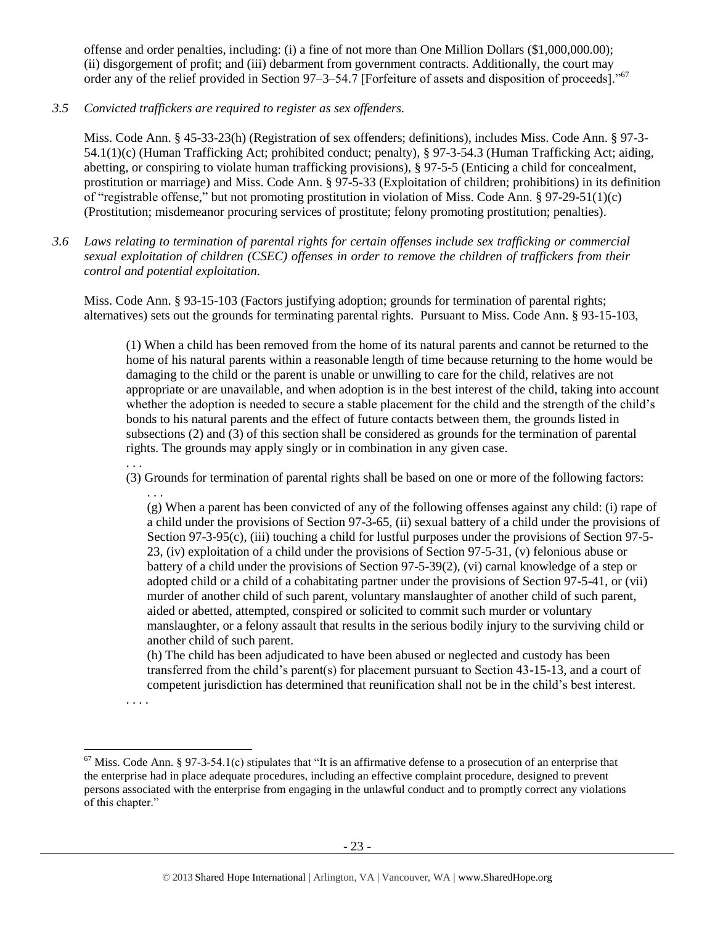offense and order penalties, including: (i) a fine of not more than One Million Dollars (\$1,000,000.00); (ii) disgorgement of profit; and (iii) debarment from government contracts. Additionally, the court may order any of the relief provided in Section 97–3–54.7 [Forfeiture of assets and disposition of proceeds]."<sup>67</sup>

*3.5 Convicted traffickers are required to register as sex offenders.*

Miss. Code Ann. § 45-33-23(h) (Registration of sex offenders; definitions), includes Miss. Code Ann. § 97-3- 54.1(1)(c) (Human Trafficking Act; prohibited conduct; penalty), § 97-3-54.3 (Human Trafficking Act; aiding, abetting, or conspiring to violate human trafficking provisions), § 97-5-5 (Enticing a child for concealment, prostitution or marriage) and Miss. Code Ann. § 97-5-33 (Exploitation of children; prohibitions) in its definition of "registrable offense," but not promoting prostitution in violation of Miss. Code Ann. § 97-29-51(1)(c) (Prostitution; misdemeanor procuring services of prostitute; felony promoting prostitution; penalties).

*3.6 Laws relating to termination of parental rights for certain offenses include sex trafficking or commercial sexual exploitation of children (CSEC) offenses in order to remove the children of traffickers from their control and potential exploitation.* 

Miss. Code Ann. § 93-15-103 (Factors justifying adoption; grounds for termination of parental rights; alternatives) sets out the grounds for terminating parental rights. Pursuant to Miss. Code Ann. § 93-15-103,

(1) When a child has been removed from the home of its natural parents and cannot be returned to the home of his natural parents within a reasonable length of time because returning to the home would be damaging to the child or the parent is unable or unwilling to care for the child, relatives are not appropriate or are unavailable, and when adoption is in the best interest of the child, taking into account whether the adoption is needed to secure a stable placement for the child and the strength of the child's bonds to his natural parents and the effect of future contacts between them, the grounds listed in subsections (2) and (3) of this section shall be considered as grounds for the termination of parental rights. The grounds may apply singly or in combination in any given case.

(3) Grounds for termination of parental rights shall be based on one or more of the following factors: . . .

(g) When a parent has been convicted of any of the following offenses against any child: (i) rape of a child under the provisions of Section 97-3-65, (ii) sexual battery of a child under the provisions of Section 97-3-95(c), (iii) touching a child for lustful purposes under the provisions of Section 97-5- 23, (iv) exploitation of a child under the provisions of Section 97-5-31, (v) felonious abuse or battery of a child under the provisions of Section 97-5-39(2), (vi) carnal knowledge of a step or adopted child or a child of a cohabitating partner under the provisions of Section 97-5-41, or (vii) murder of another child of such parent, voluntary manslaughter of another child of such parent, aided or abetted, attempted, conspired or solicited to commit such murder or voluntary manslaughter, or a felony assault that results in the serious bodily injury to the surviving child or another child of such parent.

(h) The child has been adjudicated to have been abused or neglected and custody has been transferred from the child's parent(s) for placement pursuant to Section 43-15-13, and a court of competent jurisdiction has determined that reunification shall not be in the child's best interest.

 $\overline{a}$ 

. . .

<sup>. . . .</sup>

 $67$  Miss. Code Ann. § 97-3-54.1(c) stipulates that "It is an affirmative defense to a prosecution of an enterprise that the enterprise had in place adequate procedures, including an effective complaint procedure, designed to prevent persons associated with the enterprise from engaging in the unlawful conduct and to promptly correct any violations of this chapter."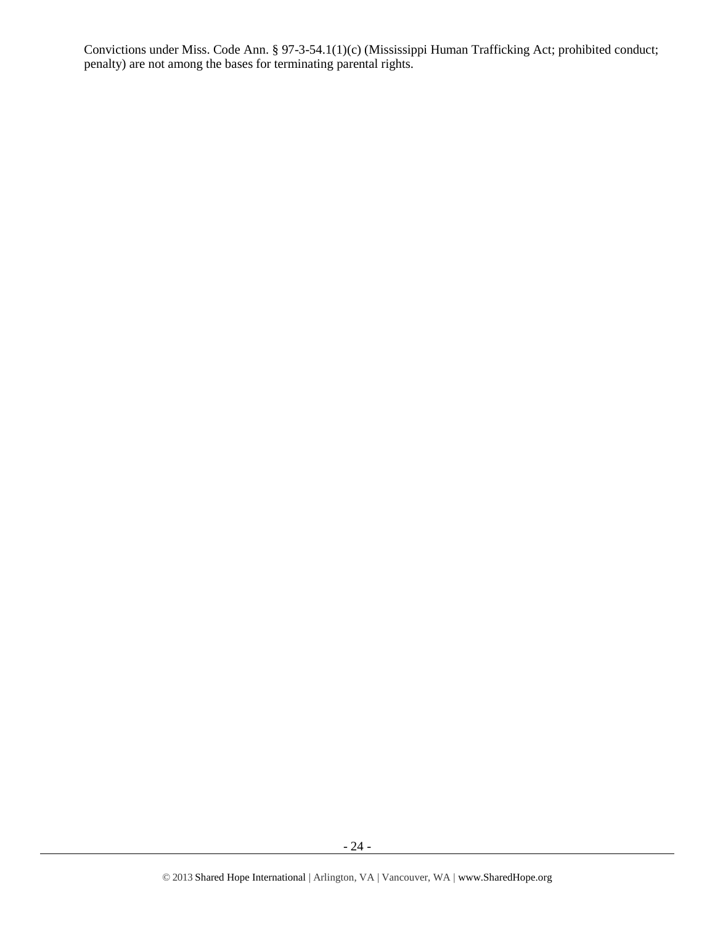Convictions under Miss. Code Ann. § 97-3-54.1(1)(c) (Mississippi Human Trafficking Act; prohibited conduct; penalty) are not among the bases for terminating parental rights.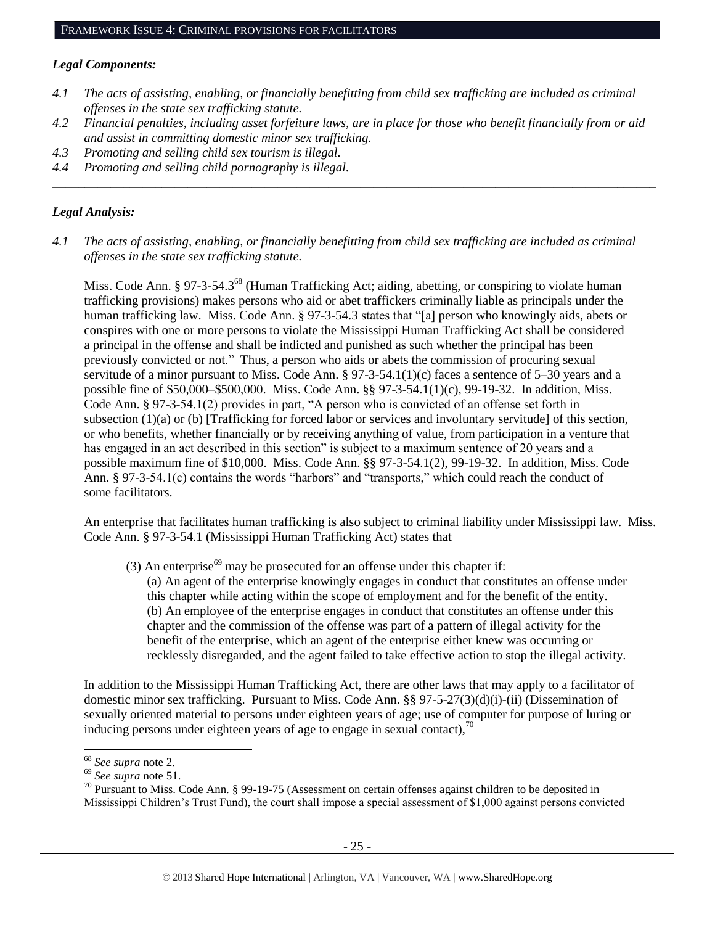### *Legal Components:*

- *4.1 The acts of assisting, enabling, or financially benefitting from child sex trafficking are included as criminal offenses in the state sex trafficking statute.*
- *4.2 Financial penalties, including asset forfeiture laws, are in place for those who benefit financially from or aid and assist in committing domestic minor sex trafficking.*

*\_\_\_\_\_\_\_\_\_\_\_\_\_\_\_\_\_\_\_\_\_\_\_\_\_\_\_\_\_\_\_\_\_\_\_\_\_\_\_\_\_\_\_\_\_\_\_\_\_\_\_\_\_\_\_\_\_\_\_\_\_\_\_\_\_\_\_\_\_\_\_\_\_\_\_\_\_\_\_\_\_\_\_\_\_\_\_\_\_\_\_\_\_\_*

- *4.3 Promoting and selling child sex tourism is illegal.*
- *4.4 Promoting and selling child pornography is illegal.*

### *Legal Analysis:*

*4.1 The acts of assisting, enabling, or financially benefitting from child sex trafficking are included as criminal offenses in the state sex trafficking statute.*

Miss. Code Ann. § 97-3-54.3<sup>68</sup> (Human Trafficking Act; aiding, abetting, or conspiring to violate human trafficking provisions) makes persons who aid or abet traffickers criminally liable as principals under the human trafficking law. Miss. Code Ann. § 97-3-54.3 states that "[a] person who knowingly aids, abets or conspires with one or more persons to violate the Mississippi Human Trafficking Act shall be considered a principal in the offense and shall be indicted and punished as such whether the principal has been previously convicted or not." Thus, a person who aids or abets the commission of procuring sexual servitude of a minor pursuant to Miss. Code Ann. § 97-3-54.1(1)(c) faces a sentence of 5–30 years and a possible fine of \$50,000–\$500,000. Miss. Code Ann. §§ 97-3-54.1(1)(c), 99-19-32. In addition, Miss. Code Ann. § 97-3-54.1(2) provides in part, "A person who is convicted of an offense set forth in subsection (1)(a) or (b) [Trafficking for forced labor or services and involuntary servitude] of this section, or who benefits, whether financially or by receiving anything of value, from participation in a venture that has engaged in an act described in this section" is subject to a maximum sentence of 20 years and a possible maximum fine of \$10,000. Miss. Code Ann. §§ 97-3-54.1(2), 99-19-32. In addition, Miss. Code Ann. § 97-3-54.1(c) contains the words "harbors" and "transports," which could reach the conduct of some facilitators.

An enterprise that facilitates human trafficking is also subject to criminal liability under Mississippi law. Miss. Code Ann. § 97-3-54.1 (Mississippi Human Trafficking Act) states that

- (3) An enterprise<sup>69</sup> may be prosecuted for an offense under this chapter if:
	- (a) An agent of the enterprise knowingly engages in conduct that constitutes an offense under this chapter while acting within the scope of employment and for the benefit of the entity. (b) An employee of the enterprise engages in conduct that constitutes an offense under this chapter and the commission of the offense was part of a pattern of illegal activity for the benefit of the enterprise, which an agent of the enterprise either knew was occurring or recklessly disregarded, and the agent failed to take effective action to stop the illegal activity.

In addition to the Mississippi Human Trafficking Act, there are other laws that may apply to a facilitator of domestic minor sex trafficking. Pursuant to Miss. Code Ann. §§ 97-5-27(3)(d)(i)-(ii) (Dissemination of sexually oriented material to persons under eighteen years of age; use of computer for purpose of luring or inducing persons under eighteen years of age to engage in sexual contact),  $\frac{70}{2}$ 

 $\overline{a}$ 

<sup>68</sup> *See supra* note [2.](#page-0-0)

<sup>69</sup> *See supra* note [51.](#page-17-0)

<sup>&</sup>lt;sup>70</sup> Pursuant to Miss. Code Ann. § 99-19-75 (Assessment on certain offenses against children to be deposited in Mississippi Children's Trust Fund), the court shall impose a special assessment of \$1,000 against persons convicted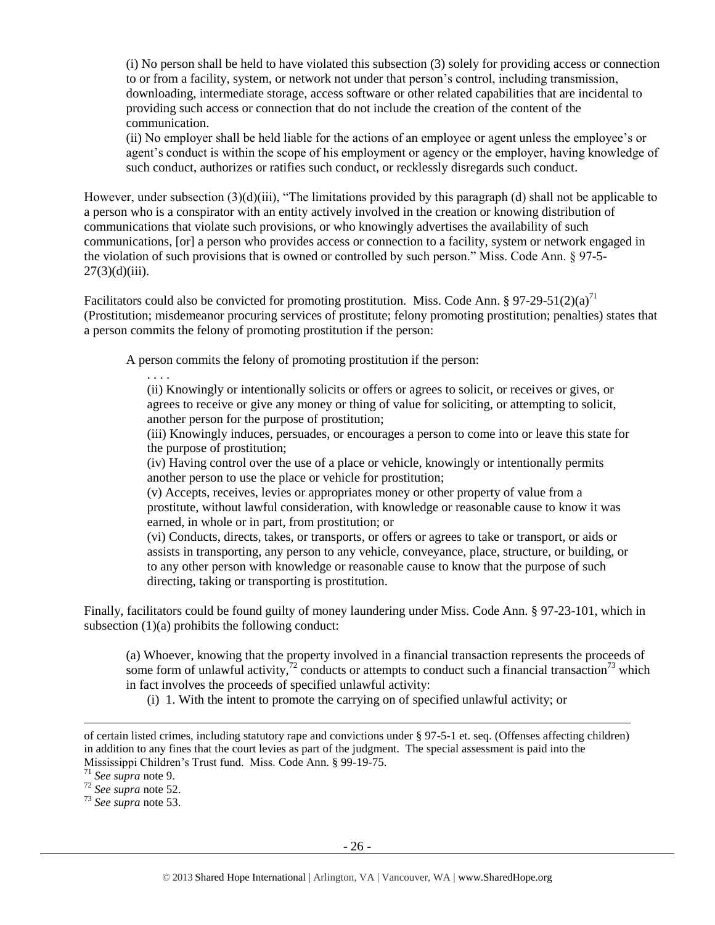(i) No person shall be held to have violated this subsection (3) solely for providing access or connection to or from a facility, system, or network not under that person's control, including transmission, downloading, intermediate storage, access software or other related capabilities that are incidental to providing such access or connection that do not include the creation of the content of the communication.

(ii) No employer shall be held liable for the actions of an employee or agent unless the employee's or agent's conduct is within the scope of his employment or agency or the employer, having knowledge of such conduct, authorizes or ratifies such conduct, or recklessly disregards such conduct.

However, under subsection (3)(d)(iii), "The limitations provided by this paragraph (d) shall not be applicable to a person who is a conspirator with an entity actively involved in the creation or knowing distribution of communications that violate such provisions, or who knowingly advertises the availability of such communications, [or] a person who provides access or connection to a facility, system or network engaged in the violation of such provisions that is owned or controlled by such person." Miss. Code Ann. § 97-5-  $27(3)(d)(iii)$ .

Facilitators could also be convicted for promoting prostitution. Miss. Code Ann. § 97-29-51(2)(a)<sup>71</sup> (Prostitution; misdemeanor procuring services of prostitute; felony promoting prostitution; penalties) states that a person commits the felony of promoting prostitution if the person:

A person commits the felony of promoting prostitution if the person:

(ii) Knowingly or intentionally solicits or offers or agrees to solicit, or receives or gives, or agrees to receive or give any money or thing of value for soliciting, or attempting to solicit, another person for the purpose of prostitution;

(iii) Knowingly induces, persuades, or encourages a person to come into or leave this state for the purpose of prostitution;

(iv) Having control over the use of a place or vehicle, knowingly or intentionally permits another person to use the place or vehicle for prostitution;

(v) Accepts, receives, levies or appropriates money or other property of value from a prostitute, without lawful consideration, with knowledge or reasonable cause to know it was earned, in whole or in part, from prostitution; or

(vi) Conducts, directs, takes, or transports, or offers or agrees to take or transport, or aids or assists in transporting, any person to any vehicle, conveyance, place, structure, or building, or to any other person with knowledge or reasonable cause to know that the purpose of such directing, taking or transporting is prostitution.

Finally, facilitators could be found guilty of money laundering under Miss. Code Ann. § 97-23-101, which in subsection  $(1)(a)$  prohibits the following conduct:

(a) Whoever, knowing that the property involved in a financial transaction represents the proceeds of some form of unlawful activity,<sup>72</sup> conducts or attempts to conduct such a financial transaction<sup>73</sup> which in fact involves the proceeds of specified unlawful activity:

(i) 1. With the intent to promote the carrying on of specified unlawful activity; or

l

. . . .

of certain listed crimes, including statutory rape and convictions under § 97-5-1 et. seq. (Offenses affecting children) in addition to any fines that the court levies as part of the judgment. The special assessment is paid into the Mississippi Children's Trust fund. Miss. Code Ann. § 99-19-75.

<sup>71</sup> *See supra* note [9.](#page-2-0)

<sup>72</sup> *See supra* note [52.](#page-18-0)

<sup>73</sup> *See supra* note [53.](#page-18-1)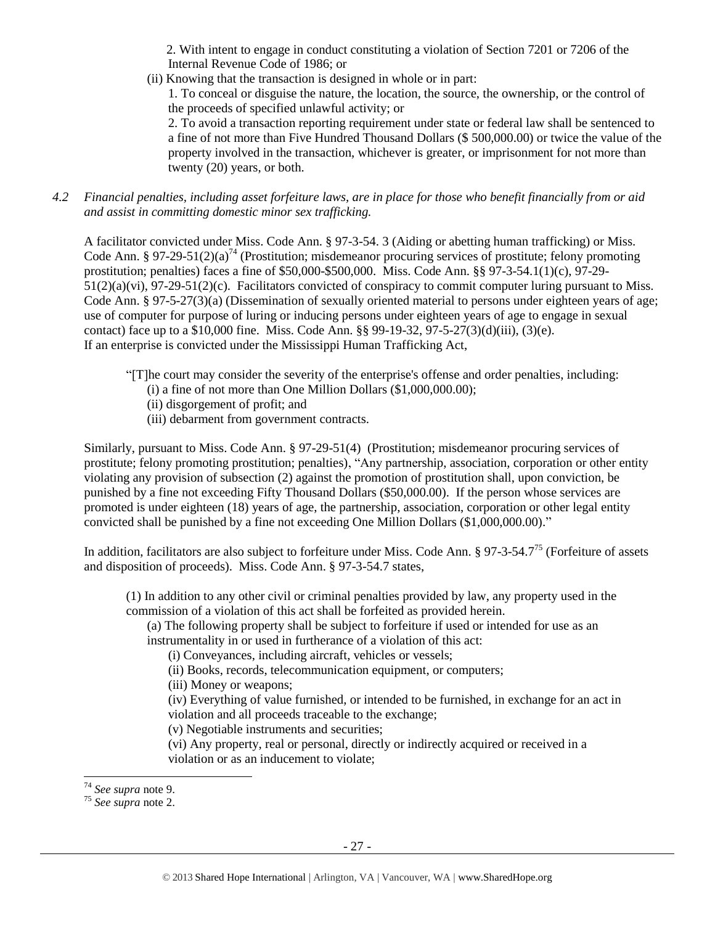2. With intent to engage in conduct constituting a violation of Section 7201 or 7206 of the Internal Revenue Code of 1986; or

(ii) Knowing that the transaction is designed in whole or in part:

1. To conceal or disguise the nature, the location, the source, the ownership, or the control of the proceeds of specified unlawful activity; or

2. To avoid a transaction reporting requirement under state or federal law shall be sentenced to a fine of not more than Five Hundred Thousand Dollars (\$ 500,000.00) or twice the value of the property involved in the transaction, whichever is greater, or imprisonment for not more than twenty (20) years, or both.

*4.2 Financial penalties, including asset forfeiture laws, are in place for those who benefit financially from or aid and assist in committing domestic minor sex trafficking.*

A facilitator convicted under Miss. Code Ann. § 97-3-54. 3 (Aiding or abetting human trafficking) or Miss. Code Ann. § 97-29-51(2)(a)<sup>74</sup> (Prostitution; misdemeanor procuring services of prostitute; felony promoting prostitution; penalties) faces a fine of \$50,000-\$500,000. Miss. Code Ann. §§ 97-3-54.1(1)(c), 97-29- 51(2)(a)(vi), 97-29-51(2)(c). Facilitators convicted of conspiracy to commit computer luring pursuant to Miss. Code Ann. § 97-5-27(3)(a) (Dissemination of sexually oriented material to persons under eighteen years of age; use of computer for purpose of luring or inducing persons under eighteen years of age to engage in sexual contact) face up to a \$10,000 fine. Miss. Code Ann. §§ 99-19-32, 97-5-27(3)(d)(iii), (3)(e). If an enterprise is convicted under the Mississippi Human Trafficking Act,

- "[T]he court may consider the severity of the enterprise's offense and order penalties, including:
	- (i) a fine of not more than One Million Dollars (\$1,000,000.00);
	- (ii) disgorgement of profit; and
	- (iii) debarment from government contracts.

Similarly, pursuant to Miss. Code Ann. § 97-29-51(4) (Prostitution; misdemeanor procuring services of prostitute; felony promoting prostitution; penalties), "Any partnership, association, corporation or other entity violating any provision of subsection (2) against the promotion of prostitution shall, upon conviction, be punished by a fine not exceeding Fifty Thousand Dollars (\$50,000.00). If the person whose services are promoted is under eighteen (18) years of age, the partnership, association, corporation or other legal entity convicted shall be punished by a fine not exceeding One Million Dollars (\$1,000,000.00)."

In addition, facilitators are also subject to forfeiture under Miss. Code Ann. § 97-3-54.7<sup>75</sup> (Forfeiture of assets and disposition of proceeds). Miss. Code Ann. § 97-3-54.7 states,

(1) In addition to any other civil or criminal penalties provided by law, any property used in the commission of a violation of this act shall be forfeited as provided herein.

(a) The following property shall be subject to forfeiture if used or intended for use as an instrumentality in or used in furtherance of a violation of this act:

(i) Conveyances, including aircraft, vehicles or vessels;

(ii) Books, records, telecommunication equipment, or computers;

(iii) Money or weapons;

(iv) Everything of value furnished, or intended to be furnished, in exchange for an act in violation and all proceeds traceable to the exchange;

(v) Negotiable instruments and securities;

(vi) Any property, real or personal, directly or indirectly acquired or received in a violation or as an inducement to violate;

<sup>74</sup> *See supra* note [9.](#page-2-0)

<sup>75</sup> *See supra* note [2.](#page-0-0)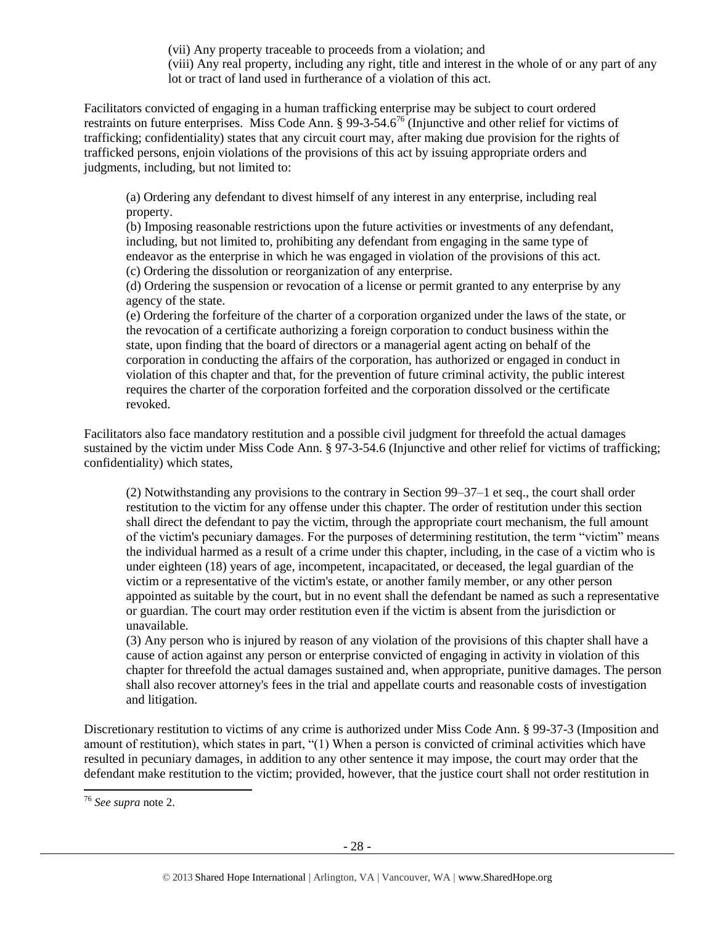(vii) Any property traceable to proceeds from a violation; and (viii) Any real property, including any right, title and interest in the whole of or any part of any lot or tract of land used in furtherance of a violation of this act.

Facilitators convicted of engaging in a human trafficking enterprise may be subject to court ordered restraints on future enterprises. Miss Code Ann. § 99-3-54.6<sup>76</sup> (Injunctive and other relief for victims of trafficking; confidentiality) states that any circuit court may, after making due provision for the rights of trafficked persons, enjoin violations of the provisions of this act by issuing appropriate orders and judgments, including, but not limited to:

(a) Ordering any defendant to divest himself of any interest in any enterprise, including real property.

(b) Imposing reasonable restrictions upon the future activities or investments of any defendant, including, but not limited to, prohibiting any defendant from engaging in the same type of endeavor as the enterprise in which he was engaged in violation of the provisions of this act. (c) Ordering the dissolution or reorganization of any enterprise.

(d) Ordering the suspension or revocation of a license or permit granted to any enterprise by any agency of the state.

(e) Ordering the forfeiture of the charter of a corporation organized under the laws of the state, or the revocation of a certificate authorizing a foreign corporation to conduct business within the state, upon finding that the board of directors or a managerial agent acting on behalf of the corporation in conducting the affairs of the corporation, has authorized or engaged in conduct in violation of this chapter and that, for the prevention of future criminal activity, the public interest requires the charter of the corporation forfeited and the corporation dissolved or the certificate revoked.

Facilitators also face mandatory restitution and a possible civil judgment for threefold the actual damages sustained by the victim under Miss Code Ann. § 97-3-54.6 (Injunctive and other relief for victims of trafficking; confidentiality) which states,

(2) Notwithstanding any provisions to the contrary in Section 99–37–1 et seq., the court shall order restitution to the victim for any offense under this chapter. The order of restitution under this section shall direct the defendant to pay the victim, through the appropriate court mechanism, the full amount of the victim's pecuniary damages. For the purposes of determining restitution, the term "victim" means the individual harmed as a result of a crime under this chapter, including, in the case of a victim who is under eighteen (18) years of age, incompetent, incapacitated, or deceased, the legal guardian of the victim or a representative of the victim's estate, or another family member, or any other person appointed as suitable by the court, but in no event shall the defendant be named as such a representative or guardian. The court may order restitution even if the victim is absent from the jurisdiction or unavailable.

(3) Any person who is injured by reason of any violation of the provisions of this chapter shall have a cause of action against any person or enterprise convicted of engaging in activity in violation of this chapter for threefold the actual damages sustained and, when appropriate, punitive damages. The person shall also recover attorney's fees in the trial and appellate courts and reasonable costs of investigation and litigation.

Discretionary restitution to victims of any crime is authorized under Miss Code Ann. § 99-37-3 (Imposition and amount of restitution), which states in part, "(1) When a person is convicted of criminal activities which have resulted in pecuniary damages, in addition to any other sentence it may impose, the court may order that the defendant make restitution to the victim; provided, however, that the justice court shall not order restitution in

<sup>76</sup> *See supra* note [2.](#page-0-0)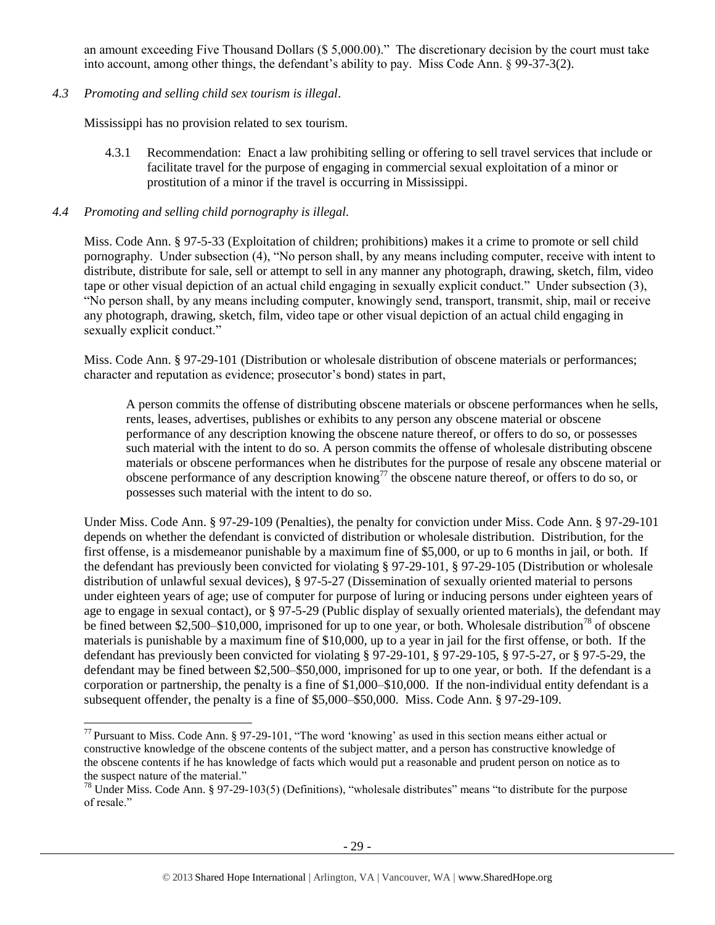an amount exceeding Five Thousand Dollars (\$ 5,000.00)." The discretionary decision by the court must take into account, among other things, the defendant's ability to pay. Miss Code Ann. § 99-37-3(2).

# *4.3 Promoting and selling child sex tourism is illegal*.

Mississippi has no provision related to sex tourism.

4.3.1 Recommendation: Enact a law prohibiting selling or offering to sell travel services that include or facilitate travel for the purpose of engaging in commercial sexual exploitation of a minor or prostitution of a minor if the travel is occurring in Mississippi.

### *4.4 Promoting and selling child pornography is illegal.*

l

Miss. Code Ann. § 97-5-33 (Exploitation of children; prohibitions) makes it a crime to promote or sell child pornography. Under subsection (4), "No person shall, by any means including computer, receive with intent to distribute, distribute for sale, sell or attempt to sell in any manner any photograph, drawing, sketch, film, video tape or other visual depiction of an actual child engaging in sexually explicit conduct." Under subsection (3), "No person shall, by any means including computer, knowingly send, transport, transmit, ship, mail or receive any photograph, drawing, sketch, film, video tape or other visual depiction of an actual child engaging in sexually explicit conduct."

Miss. Code Ann. § 97-29-101 (Distribution or wholesale distribution of obscene materials or performances; character and reputation as evidence; prosecutor's bond) states in part,

A person commits the offense of distributing obscene materials or obscene performances when he sells, rents, leases, advertises, publishes or exhibits to any person any obscene material or obscene performance of any description knowing the obscene nature thereof, or offers to do so, or possesses such material with the intent to do so. A person commits the offense of wholesale distributing obscene materials or obscene performances when he distributes for the purpose of resale any obscene material or obscene performance of any description knowing<sup>77</sup> the obscene nature thereof, or offers to do so, or possesses such material with the intent to do so.

Under Miss. Code Ann. § 97-29-109 (Penalties), the penalty for conviction under Miss. Code Ann. § 97-29-101 depends on whether the defendant is convicted of distribution or wholesale distribution. Distribution, for the first offense, is a misdemeanor punishable by a maximum fine of \$5,000, or up to 6 months in jail, or both. If the defendant has previously been convicted for violating § 97-29-101, § 97-29-105 (Distribution or wholesale distribution of unlawful sexual devices), § 97-5-27 (Dissemination of sexually oriented material to persons under eighteen years of age; use of computer for purpose of luring or inducing persons under eighteen years of age to engage in sexual contact), or § 97-5-29 (Public display of sexually oriented materials), the defendant may be fined between \$2,500–\$10,000, imprisoned for up to one year, or both. Wholesale distribution<sup>78</sup> of obscene materials is punishable by a maximum fine of \$10,000, up to a year in jail for the first offense, or both. If the defendant has previously been convicted for violating § 97-29-101, § 97-29-105, § 97-5-27, or § 97-5-29, the defendant may be fined between \$2,500–\$50,000, imprisoned for up to one year, or both. If the defendant is a corporation or partnership, the penalty is a fine of \$1,000–\$10,000. If the non-individual entity defendant is a subsequent offender, the penalty is a fine of \$5,000–\$50,000. Miss. Code Ann. § 97-29-109.

 $^{77}$  Pursuant to Miss. Code Ann. § 97-29-101, "The word 'knowing' as used in this section means either actual or constructive knowledge of the obscene contents of the subject matter, and a person has constructive knowledge of the obscene contents if he has knowledge of facts which would put a reasonable and prudent person on notice as to the suspect nature of the material."

<sup>&</sup>lt;sup>78</sup> Under Miss. Code Ann. § 97-29-103(5) (Definitions), "wholesale distributes" means "to distribute for the purpose of resale."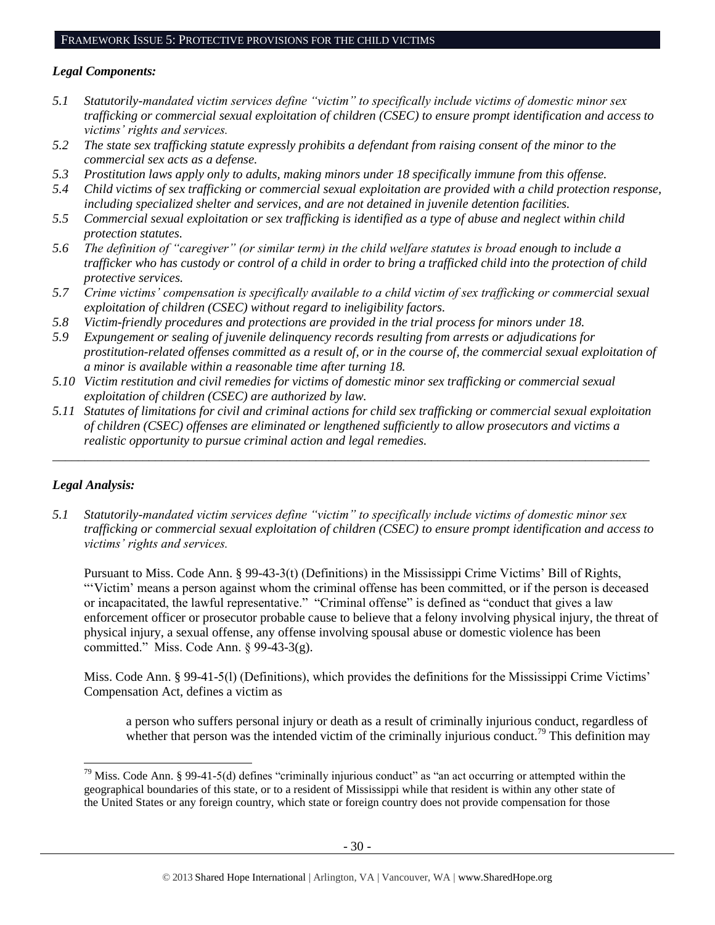#### *Legal Components:*

- *5.1 Statutorily-mandated victim services define "victim" to specifically include victims of domestic minor sex trafficking or commercial sexual exploitation of children (CSEC) to ensure prompt identification and access to victims' rights and services.*
- *5.2 The state sex trafficking statute expressly prohibits a defendant from raising consent of the minor to the commercial sex acts as a defense.*
- *5.3 Prostitution laws apply only to adults, making minors under 18 specifically immune from this offense.*
- *5.4 Child victims of sex trafficking or commercial sexual exploitation are provided with a child protection response, including specialized shelter and services, and are not detained in juvenile detention facilities.*
- *5.5 Commercial sexual exploitation or sex trafficking is identified as a type of abuse and neglect within child protection statutes.*
- *5.6 The definition of "caregiver" (or similar term) in the child welfare statutes is broad enough to include a trafficker who has custody or control of a child in order to bring a trafficked child into the protection of child protective services.*
- *5.7 Crime victims' compensation is specifically available to a child victim of sex trafficking or commercial sexual exploitation of children (CSEC) without regard to ineligibility factors.*
- *5.8 Victim-friendly procedures and protections are provided in the trial process for minors under 18.*
- *5.9 Expungement or sealing of juvenile delinquency records resulting from arrests or adjudications for prostitution-related offenses committed as a result of, or in the course of, the commercial sexual exploitation of a minor is available within a reasonable time after turning 18.*
- *5.10 Victim restitution and civil remedies for victims of domestic minor sex trafficking or commercial sexual exploitation of children (CSEC) are authorized by law.*
- *5.11 Statutes of limitations for civil and criminal actions for child sex trafficking or commercial sexual exploitation of children (CSEC) offenses are eliminated or lengthened sufficiently to allow prosecutors and victims a realistic opportunity to pursue criminal action and legal remedies.*

*\_\_\_\_\_\_\_\_\_\_\_\_\_\_\_\_\_\_\_\_\_\_\_\_\_\_\_\_\_\_\_\_\_\_\_\_\_\_\_\_\_\_\_\_\_\_\_\_\_\_\_\_\_\_\_\_\_\_\_\_\_\_\_\_\_\_\_\_\_\_\_\_\_\_\_\_\_\_\_\_\_\_\_\_\_\_\_\_\_\_\_\_\_*

# *Legal Analysis:*

l

*5.1 Statutorily-mandated victim services define "victim" to specifically include victims of domestic minor sex trafficking or commercial sexual exploitation of children (CSEC) to ensure prompt identification and access to victims' rights and services.*

Pursuant to Miss. Code Ann. § 99-43-3(t) (Definitions) in the Mississippi Crime Victims' Bill of Rights, "'Victim' means a person against whom the criminal offense has been committed, or if the person is deceased or incapacitated, the lawful representative." "Criminal offense" is defined as "conduct that gives a law enforcement officer or prosecutor probable cause to believe that a felony involving physical injury, the threat of physical injury, a sexual offense, any offense involving spousal abuse or domestic violence has been committed." Miss. Code Ann. § 99-43-3(g).

Miss. Code Ann. § 99-41-5(l) (Definitions), which provides the definitions for the Mississippi Crime Victims' Compensation Act, defines a victim as

a person who suffers personal injury or death as a result of criminally injurious conduct, regardless of whether that person was the intended victim of the criminally injurious conduct.<sup>79</sup> This definition may

<sup>&</sup>lt;sup>79</sup> Miss. Code Ann. § 99-41-5(d) defines "criminally injurious conduct" as "an act occurring or attempted within the geographical boundaries of this state, or to a resident of Mississippi while that resident is within any other state of the United States or any foreign country, which state or foreign country does not provide compensation for those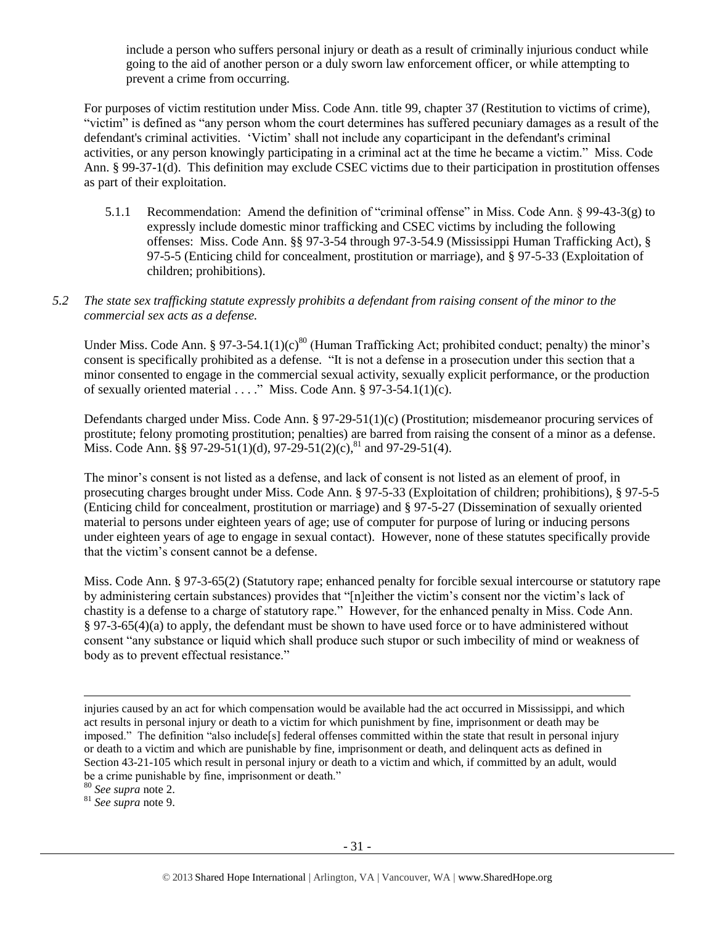include a person who suffers personal injury or death as a result of criminally injurious conduct while going to the aid of another person or a duly sworn law enforcement officer, or while attempting to prevent a crime from occurring.

For purposes of victim restitution under Miss. Code Ann. title 99, chapter 37 (Restitution to victims of crime), "victim" is defined as "any person whom the court determines has suffered pecuniary damages as a result of the defendant's criminal activities. 'Victim' shall not include any coparticipant in the defendant's criminal activities, or any person knowingly participating in a criminal act at the time he became a victim." Miss. Code Ann. § 99-37-1(d). This definition may exclude CSEC victims due to their participation in prostitution offenses as part of their exploitation.

- 5.1.1 Recommendation: Amend the definition of "criminal offense" in Miss. Code Ann. § 99-43-3(g) to expressly include domestic minor trafficking and CSEC victims by including the following offenses: Miss. Code Ann. §§ 97-3-54 through 97-3-54.9 (Mississippi Human Trafficking Act), § 97-5-5 (Enticing child for concealment, prostitution or marriage), and § 97-5-33 (Exploitation of children; prohibitions).
- *5.2 The state sex trafficking statute expressly prohibits a defendant from raising consent of the minor to the commercial sex acts as a defense.*

Under Miss. Code Ann. § 97-3-54.1(1)(c)<sup>80</sup> (Human Trafficking Act; prohibited conduct; penalty) the minor's consent is specifically prohibited as a defense. "It is not a defense in a prosecution under this section that a minor consented to engage in the commercial sexual activity, sexually explicit performance, or the production of sexually oriented material . . . ." Miss. Code Ann. § 97-3-54.1(1)(c).

Defendants charged under Miss. Code Ann. § 97-29-51(1)(c) (Prostitution; misdemeanor procuring services of prostitute; felony promoting prostitution; penalties) are barred from raising the consent of a minor as a defense. Miss. Code Ann.  $\S$ § 97-29-51(1)(d), 97-29-51(2)(c),<sup>81</sup> and 97-29-51(4).

The minor's consent is not listed as a defense, and lack of consent is not listed as an element of proof, in prosecuting charges brought under Miss. Code Ann. § 97-5-33 (Exploitation of children; prohibitions), § 97-5-5 (Enticing child for concealment, prostitution or marriage) and § 97-5-27 (Dissemination of sexually oriented material to persons under eighteen years of age; use of computer for purpose of luring or inducing persons under eighteen years of age to engage in sexual contact). However, none of these statutes specifically provide that the victim's consent cannot be a defense.

Miss. Code Ann. § 97-3-65(2) (Statutory rape; enhanced penalty for forcible sexual intercourse or statutory rape by administering certain substances) provides that "[n]either the victim's consent nor the victim's lack of chastity is a defense to a charge of statutory rape." However, for the enhanced penalty in Miss. Code Ann. § 97-3-65(4)(a) to apply, the defendant must be shown to have used force or to have administered without consent "any substance or liquid which shall produce such stupor or such imbecility of mind or weakness of body as to prevent effectual resistance."

<sup>80</sup> *See supra* note [2.](#page-0-0)

l

<sup>81</sup> *See supra* note [9.](#page-2-0)

injuries caused by an act for which compensation would be available had the act occurred in Mississippi, and which act results in personal injury or death to a victim for which punishment by fine, imprisonment or death may be imposed." The definition "also include[s] federal offenses committed within the state that result in personal injury or death to a victim and which are punishable by fine, imprisonment or death, and delinquent acts as defined in Section 43-21-105 which result in personal injury or death to a victim and which, if committed by an adult, would be a crime punishable by fine, imprisonment or death."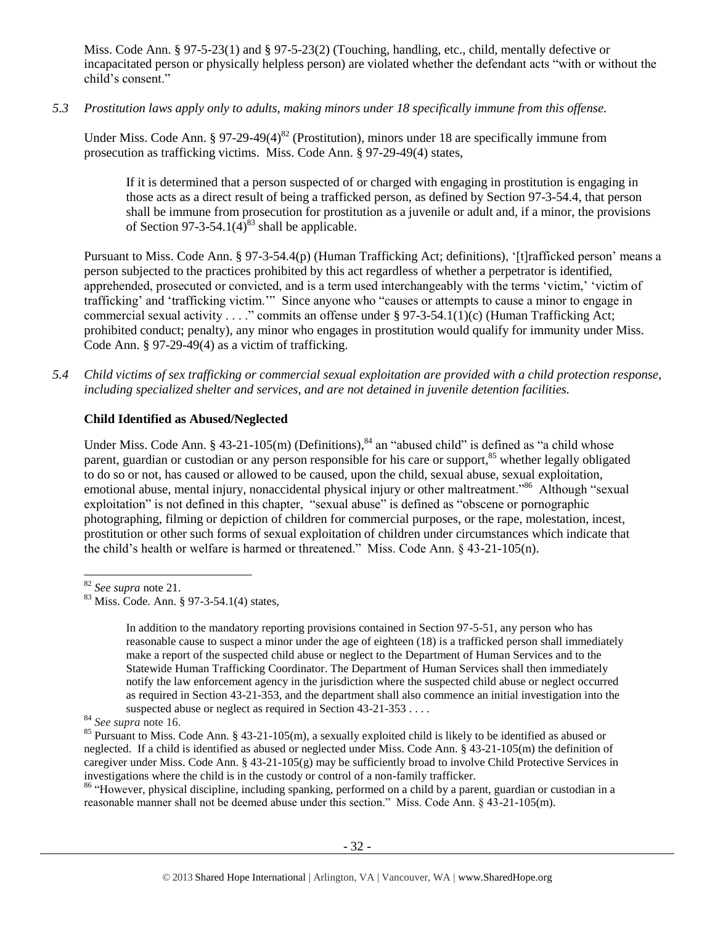Miss. Code Ann. § 97-5-23(1) and § 97-5-23(2) (Touching, handling, etc., child, mentally defective or incapacitated person or physically helpless person) are violated whether the defendant acts "with or without the child's consent."

*5.3 Prostitution laws apply only to adults, making minors under 18 specifically immune from this offense.*

Under Miss. Code Ann. § 97-29-49(4)<sup>82</sup> (Prostitution), minors under 18 are specifically immune from prosecution as trafficking victims. Miss. Code Ann. § 97-29-49(4) states,

If it is determined that a person suspected of or charged with engaging in prostitution is engaging in those acts as a direct result of being a trafficked person, as defined by Section 97-3-54.4, that person shall be immune from prosecution for prostitution as a juvenile or adult and, if a minor, the provisions of Section 97-3-54.1(4)<sup>83</sup> shall be applicable.

Pursuant to Miss. Code Ann. § 97-3-54.4(p) (Human Trafficking Act; definitions), '[t]rafficked person' means a person subjected to the practices prohibited by this act regardless of whether a perpetrator is identified, apprehended, prosecuted or convicted, and is a term used interchangeably with the terms 'victim,' 'victim of trafficking' and 'trafficking victim.'" Since anyone who "causes or attempts to cause a minor to engage in commercial sexual activity . . . ." commits an offense under § 97-3-54.1(1)(c) (Human Trafficking Act; prohibited conduct; penalty), any minor who engages in prostitution would qualify for immunity under Miss. Code Ann. § 97-29-49(4) as a victim of trafficking.

*5.4 Child victims of sex trafficking or commercial sexual exploitation are provided with a child protection response, including specialized shelter and services, and are not detained in juvenile detention facilities.*

#### **Child Identified as Abused/Neglected**

Under Miss. Code Ann. § 43-21-105(m) (Definitions),<sup>84</sup> an "abused child" is defined as "a child whose parent, guardian or custodian or any person responsible for his care or support,<sup>85</sup> whether legally obligated to do so or not, has caused or allowed to be caused, upon the child, sexual abuse, sexual exploitation, emotional abuse, mental injury, nonaccidental physical injury or other maltreatment."<sup>86</sup> Although "sexual exploitation" is not defined in this chapter, "sexual abuse" is defined as "obscene or pornographic photographing, filming or depiction of children for commercial purposes, or the rape, molestation, incest, prostitution or other such forms of sexual exploitation of children under circumstances which indicate that the child's health or welfare is harmed or threatened." Miss. Code Ann. § 43-21-105(n).

l

<sup>86</sup> "However, physical discipline, including spanking, performed on a child by a parent, guardian or custodian in a reasonable manner shall not be deemed abuse under this section." Miss. Code Ann. § 43-21-105(m).

<sup>82</sup> *See supra* note [21.](#page-6-0) 

 $83$  Miss. Code. Ann. § 97-3-54.1(4) states,

In addition to the mandatory reporting provisions contained in Section 97-5-51, any person who has reasonable cause to suspect a minor under the age of eighteen (18) is a trafficked person shall immediately make a report of the suspected child abuse or neglect to the Department of Human Services and to the Statewide Human Trafficking Coordinator. The Department of Human Services shall then immediately notify the law enforcement agency in the jurisdiction where the suspected child abuse or neglect occurred as required in Section 43-21-353, and the department shall also commence an initial investigation into the suspected abuse or neglect as required in Section 43-21-353 . . . .

<sup>84</sup> *See supra* note [16.](#page-4-1)

<sup>&</sup>lt;sup>85</sup> Pursuant to Miss. Code Ann. § 43-21-105(m), a sexually exploited child is likely to be identified as abused or neglected. If a child is identified as abused or neglected under Miss. Code Ann. § 43-21-105(m) the definition of caregiver under Miss. Code Ann. § 43-21-105(g) may be sufficiently broad to involve Child Protective Services in investigations where the child is in the custody or control of a non-family trafficker.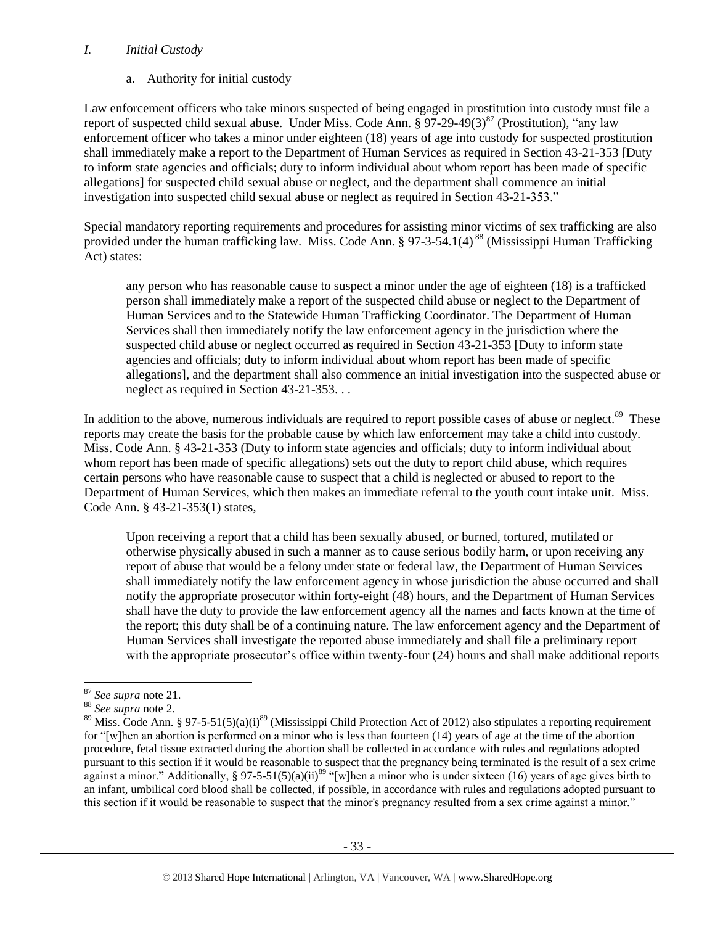#### *I. Initial Custody*

a. Authority for initial custody

Law enforcement officers who take minors suspected of being engaged in prostitution into custody must file a report of suspected child sexual abuse. Under Miss. Code Ann.  $\S 97-29-49(3)^{87}$  (Prostitution), "any law enforcement officer who takes a minor under eighteen (18) years of age into custody for suspected prostitution shall immediately make a report to the Department of Human Services as required in Section 43-21-353 [Duty to inform state agencies and officials; duty to inform individual about whom report has been made of specific allegations] for suspected child sexual abuse or neglect, and the department shall commence an initial investigation into suspected child sexual abuse or neglect as required in Section 43-21-353."

Special mandatory reporting requirements and procedures for assisting minor victims of sex trafficking are also provided under the human trafficking law. Miss. Code Ann. § 97-3-54.1(4)<sup>88</sup> (Mississippi Human Trafficking Act) states:

any person who has reasonable cause to suspect a minor under the age of eighteen (18) is a trafficked person shall immediately make a report of the suspected child abuse or neglect to the Department of Human Services and to the Statewide Human Trafficking Coordinator. The Department of Human Services shall then immediately notify the law enforcement agency in the jurisdiction where the suspected child abuse or neglect occurred as required in Section 43-21-353 [Duty to inform state agencies and officials; duty to inform individual about whom report has been made of specific allegations], and the department shall also commence an initial investigation into the suspected abuse or neglect as required in Section 43-21-353. . .

In addition to the above, numerous individuals are required to report possible cases of abuse or neglect.<sup>89</sup> These reports may create the basis for the probable cause by which law enforcement may take a child into custody. Miss. Code Ann. § 43-21-353 (Duty to inform state agencies and officials; duty to inform individual about whom report has been made of specific allegations) sets out the duty to report child abuse, which requires certain persons who have reasonable cause to suspect that a child is neglected or abused to report to the Department of Human Services, which then makes an immediate referral to the youth court intake unit. Miss. Code Ann. § 43-21-353(1) states,

Upon receiving a report that a child has been sexually abused, or burned, tortured, mutilated or otherwise physically abused in such a manner as to cause serious bodily harm, or upon receiving any report of abuse that would be a felony under state or federal law, the Department of Human Services shall immediately notify the law enforcement agency in whose jurisdiction the abuse occurred and shall notify the appropriate prosecutor within forty-eight (48) hours, and the Department of Human Services shall have the duty to provide the law enforcement agency all the names and facts known at the time of the report; this duty shall be of a continuing nature. The law enforcement agency and the Department of Human Services shall investigate the reported abuse immediately and shall file a preliminary report with the appropriate prosecutor's office within twenty-four (24) hours and shall make additional reports

l <sup>87</sup> *See supra* note [21.](#page-6-0)

<sup>88</sup> *See supra* note [2.](#page-0-0)

<sup>&</sup>lt;sup>89</sup> Miss. Code Ann. § 97-5-51(5)(a)(i)<sup>89</sup> (Mississippi Child Protection Act of 2012) also stipulates a reporting requirement for "[w]hen an abortion is performed on a minor who is less than fourteen (14) years of age at the time of the abortion procedure, fetal tissue extracted during the abortion shall be collected in accordance with rules and regulations adopted pursuant to this section if it would be reasonable to suspect that the pregnancy being terminated is the result of a sex crime against a minor." Additionally, § 97-5-51(5)(a)(ii)<sup>89</sup> "[w]hen a minor who is under sixteen (16) years of age gives birth to an infant, umbilical cord blood shall be collected, if possible, in accordance with rules and regulations adopted pursuant to this section if it would be reasonable to suspect that the minor's pregnancy resulted from a sex crime against a minor."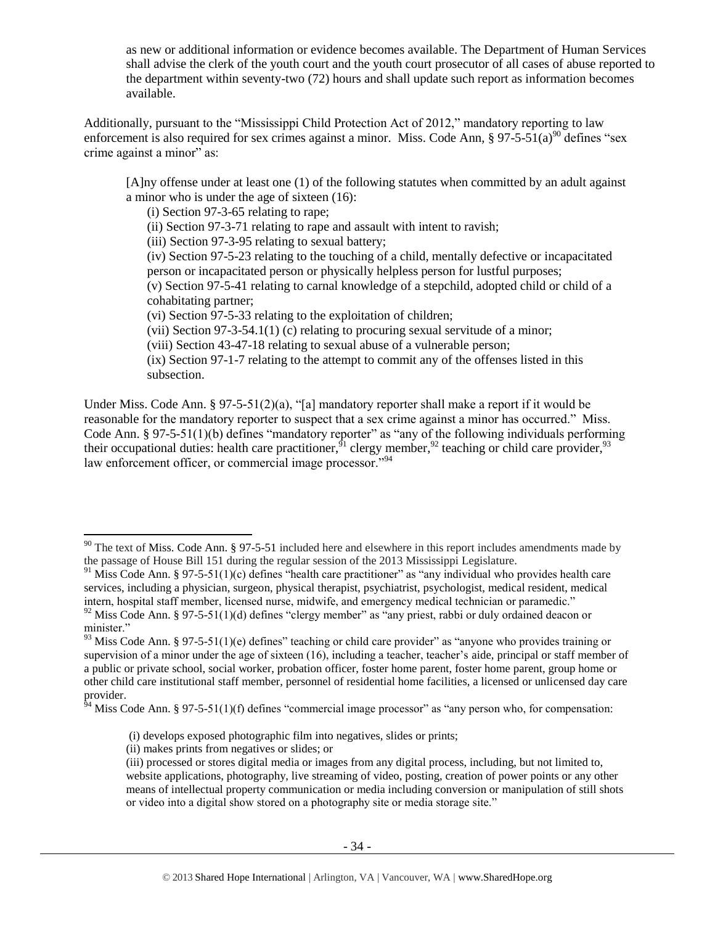as new or additional information or evidence becomes available. The Department of Human Services shall advise the clerk of the youth court and the youth court prosecutor of all cases of abuse reported to the department within seventy-two (72) hours and shall update such report as information becomes available.

Additionally, pursuant to the "Mississippi Child Protection Act of 2012," mandatory reporting to law enforcement is also required for sex crimes against a minor. Miss. Code Ann,  $\S 97-5-51(a)^{90}$  defines "sex crime against a minor" as:

[A]ny offense under at least one (1) of the following statutes when committed by an adult against a minor who is under the age of sixteen (16):

(i) Section 97-3-65 relating to rape;

(ii) Section 97-3-71 relating to rape and assault with intent to ravish;

(iii) Section 97-3-95 relating to sexual battery;

(iv) Section 97-5-23 relating to the touching of a child, mentally defective or incapacitated person or incapacitated person or physically helpless person for lustful purposes;

(v) Section 97-5-41 relating to carnal knowledge of a stepchild, adopted child or child of a cohabitating partner;

(vi) Section 97-5-33 relating to the exploitation of children;

(vii) Section 97-3-54.1(1) (c) relating to procuring sexual servitude of a minor;

(viii) Section 43-47-18 relating to sexual abuse of a vulnerable person;

(ix) Section 97-1-7 relating to the attempt to commit any of the offenses listed in this subsection.

Under Miss. Code Ann. § 97-5-51(2)(a), "[a] mandatory reporter shall make a report if it would be reasonable for the mandatory reporter to suspect that a sex crime against a minor has occurred." Miss. Code Ann. § 97-5-51(1)(b) defines "mandatory reporter" as "any of the following individuals performing their occupational duties: health care practitioner,<sup>91</sup> clergy member,<sup>92</sup> teaching or child care provider,<sup>93</sup> law enforcement officer, or commercial image processor."<sup>94</sup>

 $90$  The text of Miss. Code Ann. § 97-5-51 included here and elsewhere in this report includes amendments made by the passage of House Bill 151 during the regular session of the 2013 Mississippi Legislature.

<sup>&</sup>lt;sup>91</sup> Miss Code Ann. § 97-5-51(1)(c) defines "health care practitioner" as "any individual who provides health care services, including a physician, surgeon, physical therapist, psychiatrist, psychologist, medical resident, medical intern, hospital staff member, licensed nurse, midwife, and emergency medical technician or paramedic."

<sup>&</sup>lt;sup>92</sup> Miss Code Ann. § 97-5-51(1)(d) defines "clergy member" as "any priest, rabbi or duly ordained deacon or minister."

 $93$  Miss Code Ann. § 97-5-51(1)(e) defines" teaching or child care provider" as "anyone who provides training or supervision of a minor under the age of sixteen (16), including a teacher, teacher's aide, principal or staff member of a public or private school, social worker, probation officer, foster home parent, foster home parent, group home or other child care institutional staff member, personnel of residential home facilities, a licensed or unlicensed day care provider.

 $64$  Miss Code Ann. § 97-5-51(1)(f) defines "commercial image processor" as "any person who, for compensation:

<sup>(</sup>i) develops exposed photographic film into negatives, slides or prints;

<sup>(</sup>ii) makes prints from negatives or slides; or

<sup>(</sup>iii) processed or stores digital media or images from any digital process, including, but not limited to, website applications, photography, live streaming of video, posting, creation of power points or any other means of intellectual property communication or media including conversion or manipulation of still shots or video into a digital show stored on a photography site or media storage site."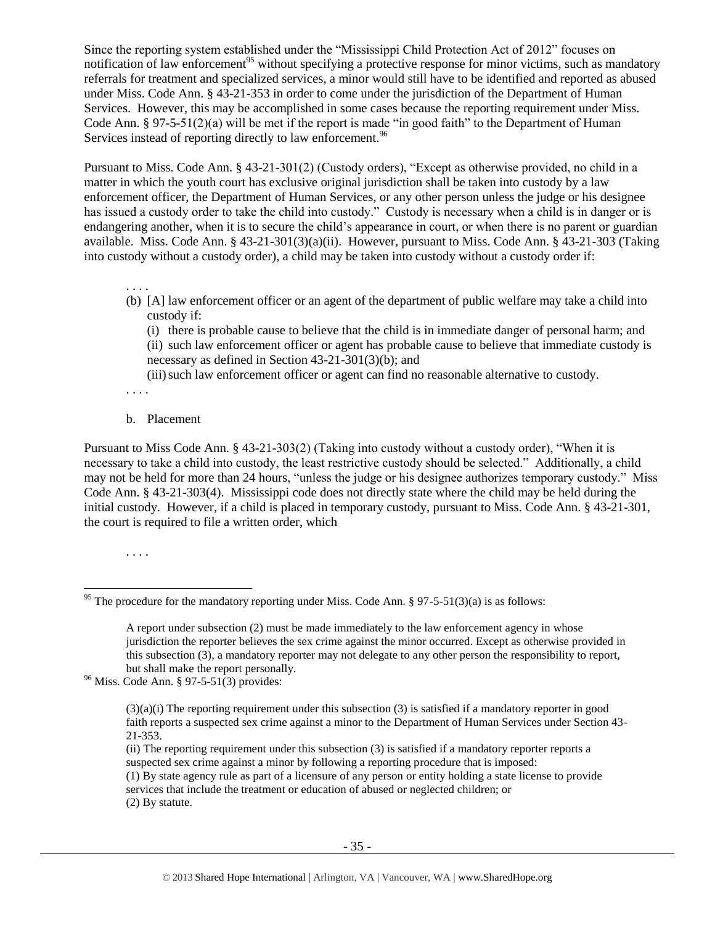Since the reporting system established under the "Mississippi Child Protection Act of 2012" focuses on notification of law enforcement<sup>95</sup> without specifying a protective response for minor victims, such as mandatory referrals for treatment and specialized services, a minor would still have to be identified and reported as abused under Miss. Code Ann. § 43-21-353 in order to come under the jurisdiction of the Department of Human Services. However, this may be accomplished in some cases because the reporting requirement under Miss. Code Ann. § 97-5-51(2)(a) will be met if the report is made "in good faith" to the Department of Human Services instead of reporting directly to law enforcement.<sup>96</sup>

Pursuant to Miss. Code Ann. § 43-21-301(2) (Custody orders), "Except as otherwise provided, no child in a matter in which the youth court has exclusive original jurisdiction shall be taken into custody by a law enforcement officer, the Department of Human Services, or any other person unless the judge or his designee has issued a custody order to take the child into custody." Custody is necessary when a child is in danger or is endangering another, when it is to secure the child's appearance in court, or when there is no parent or guardian available. Miss. Code Ann. § 43-21-301(3)(a)(ii). However, pursuant to Miss. Code Ann. § 43-21-303 (Taking into custody without a custody order), a child may be taken into custody without a custody order if:

. . . .

(b) [A] law enforcement officer or an agent of the department of public welfare may take a child into custody if:

(i) there is probable cause to believe that the child is in immediate danger of personal harm; and (ii) such law enforcement officer or agent has probable cause to believe that immediate custody is necessary as defined in Section 43-21-301(3)(b); and

(iii)such law enforcement officer or agent can find no reasonable alternative to custody.

- . . . .
- b. Placement

Pursuant to Miss Code Ann. § 43-21-303(2) (Taking into custody without a custody order), "When it is necessary to take a child into custody, the least restrictive custody should be selected." Additionally, a child may not be held for more than 24 hours, "unless the judge or his designee authorizes temporary custody." Miss Code Ann. § 43-21-303(4). Mississippi code does not directly state where the child may be held during the initial custody. However, if a child is placed in temporary custody, pursuant to Miss. Code Ann. § 43-21-301, the court is required to file a written order, which

. . . .

 $\overline{a}$ 

 $96$  Miss. Code Ann. § 97-5-51(3) provides:

<sup>&</sup>lt;sup>95</sup> The procedure for the mandatory reporting under Miss. Code Ann. § 97-5-51(3)(a) is as follows:

A report under subsection (2) must be made immediately to the law enforcement agency in whose jurisdiction the reporter believes the sex crime against the minor occurred. Except as otherwise provided in this subsection (3), a mandatory reporter may not delegate to any other person the responsibility to report, but shall make the report personally.

 $(3)(a)(i)$  The reporting requirement under this subsection (3) is satisfied if a mandatory reporter in good faith reports a suspected sex crime against a minor to the Department of Human Services under Section 43- 21-353.

<sup>(</sup>ii) The reporting requirement under this subsection (3) is satisfied if a mandatory reporter reports a suspected sex crime against a minor by following a reporting procedure that is imposed: (1) By state agency rule as part of a licensure of any person or entity holding a state license to provide services that include the treatment or education of abused or neglected children; or (2) By statute.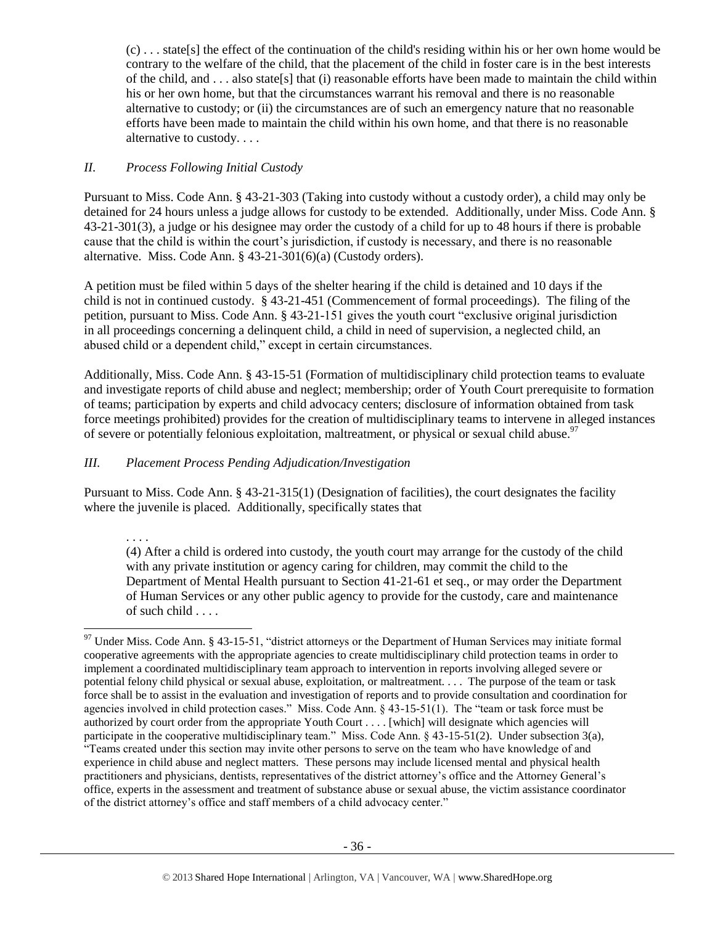(c) . . . state[s] the effect of the continuation of the child's residing within his or her own home would be contrary to the welfare of the child, that the placement of the child in foster care is in the best interests of the child, and . . . also state[s] that (i) reasonable efforts have been made to maintain the child within his or her own home, but that the circumstances warrant his removal and there is no reasonable alternative to custody; or (ii) the circumstances are of such an emergency nature that no reasonable efforts have been made to maintain the child within his own home, and that there is no reasonable alternative to custody. . . .

# *II. Process Following Initial Custody*

Pursuant to Miss. Code Ann. § 43-21-303 (Taking into custody without a custody order), a child may only be detained for 24 hours unless a judge allows for custody to be extended. Additionally, under Miss. Code Ann. § 43-21-301(3), a judge or his designee may order the custody of a child for up to 48 hours if there is probable cause that the child is within the court's jurisdiction, if custody is necessary, and there is no reasonable alternative. Miss. Code Ann. § 43-21-301(6)(a) (Custody orders).

A petition must be filed within 5 days of the shelter hearing if the child is detained and 10 days if the child is not in continued custody. § 43-21-451 (Commencement of formal proceedings). The filing of the petition, pursuant to Miss. Code Ann. § 43-21-151 gives the youth court "exclusive original jurisdiction in all proceedings concerning a delinquent child, a child in need of supervision, a neglected child, an abused child or a dependent child," except in certain circumstances.

Additionally, Miss. Code Ann. § 43-15-51 (Formation of multidisciplinary child protection teams to evaluate and investigate reports of child abuse and neglect; membership; order of Youth Court prerequisite to formation of teams; participation by experts and child advocacy centers; disclosure of information obtained from task force meetings prohibited) provides for the creation of multidisciplinary teams to intervene in alleged instances of severe or potentially felonious exploitation, maltreatment, or physical or sexual child abuse.<sup>97</sup>

# *III. Placement Process Pending Adjudication/Investigation*

Pursuant to Miss. Code Ann. § 43-21-315(1) (Designation of facilities), the court designates the facility where the juvenile is placed. Additionally, specifically states that

. . . .

 $\overline{\phantom{a}}$ 

(4) After a child is ordered into custody, the youth court may arrange for the custody of the child with any private institution or agency caring for children, may commit the child to the Department of Mental Health pursuant to Section 41-21-61 et seq., or may order the Department of Human Services or any other public agency to provide for the custody, care and maintenance of such child . . . .

 $97$  Under Miss. Code Ann. § 43-15-51, "district attorneys or the Department of Human Services may initiate formal cooperative agreements with the appropriate agencies to create multidisciplinary child protection teams in order to implement a coordinated multidisciplinary team approach to intervention in reports involving alleged severe or potential felony child physical or sexual abuse, exploitation, or maltreatment. . . . The purpose of the team or task force shall be to assist in the evaluation and investigation of reports and to provide consultation and coordination for agencies involved in child protection cases." Miss. Code Ann. § 43-15-51(1). The "team or task force must be authorized by court order from the appropriate Youth Court . . . . [which] will designate which agencies will participate in the cooperative multidisciplinary team." Miss. Code Ann. § 43-15-51(2). Under subsection 3(a), "Teams created under this section may invite other persons to serve on the team who have knowledge of and experience in child abuse and neglect matters. These persons may include licensed mental and physical health practitioners and physicians, dentists, representatives of the district attorney's office and the Attorney General's office, experts in the assessment and treatment of substance abuse or sexual abuse, the victim assistance coordinator of the district attorney's office and staff members of a child advocacy center."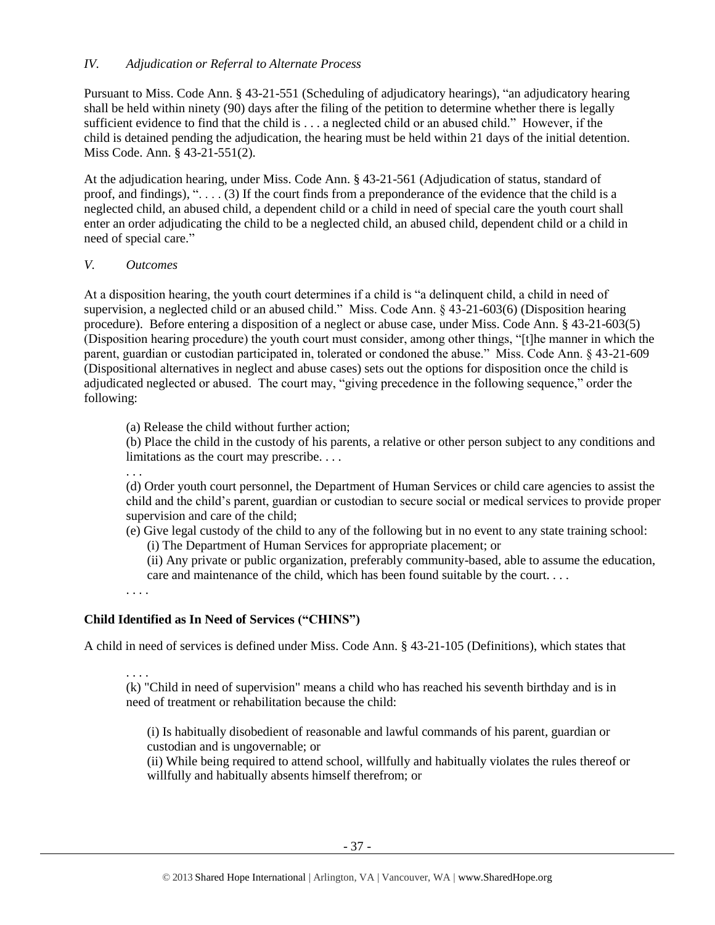#### *IV. Adjudication or Referral to Alternate Process*

Pursuant to Miss. Code Ann. § 43-21-551 (Scheduling of adjudicatory hearings), "an adjudicatory hearing shall be held within ninety (90) days after the filing of the petition to determine whether there is legally sufficient evidence to find that the child is . . . a neglected child or an abused child." However, if the child is detained pending the adjudication, the hearing must be held within 21 days of the initial detention. Miss Code. Ann. § 43-21-551(2).

At the adjudication hearing, under Miss. Code Ann. § 43-21-561 (Adjudication of status, standard of proof, and findings), ". . . . (3) If the court finds from a preponderance of the evidence that the child is a neglected child, an abused child, a dependent child or a child in need of special care the youth court shall enter an order adjudicating the child to be a neglected child, an abused child, dependent child or a child in need of special care."

#### *V. Outcomes*

At a disposition hearing, the youth court determines if a child is "a delinquent child, a child in need of supervision, a neglected child or an abused child." Miss. Code Ann. § 43-21-603(6) (Disposition hearing procedure). Before entering a disposition of a neglect or abuse case, under Miss. Code Ann. § 43-21-603(5) (Disposition hearing procedure) the youth court must consider, among other things, "[t]he manner in which the parent, guardian or custodian participated in, tolerated or condoned the abuse." Miss. Code Ann. § 43-21-609 (Dispositional alternatives in neglect and abuse cases) sets out the options for disposition once the child is adjudicated neglected or abused. The court may, "giving precedence in the following sequence," order the following:

(a) Release the child without further action;

(b) Place the child in the custody of his parents, a relative or other person subject to any conditions and limitations as the court may prescribe. . . .

. . .

(d) Order youth court personnel, the Department of Human Services or child care agencies to assist the child and the child's parent, guardian or custodian to secure social or medical services to provide proper supervision and care of the child;

(e) Give legal custody of the child to any of the following but in no event to any state training school: (i) The Department of Human Services for appropriate placement; or

(ii) Any private or public organization, preferably community-based, able to assume the education, care and maintenance of the child, which has been found suitable by the court. . . .

. . . .

# **Child Identified as In Need of Services ("CHINS")**

A child in need of services is defined under Miss. Code Ann. § 43-21-105 (Definitions), which states that

. . . .

(k) "Child in need of supervision" means a child who has reached his seventh birthday and is in need of treatment or rehabilitation because the child:

(i) Is habitually disobedient of reasonable and lawful commands of his parent, guardian or custodian and is ungovernable; or

(ii) While being required to attend school, willfully and habitually violates the rules thereof or willfully and habitually absents himself therefrom; or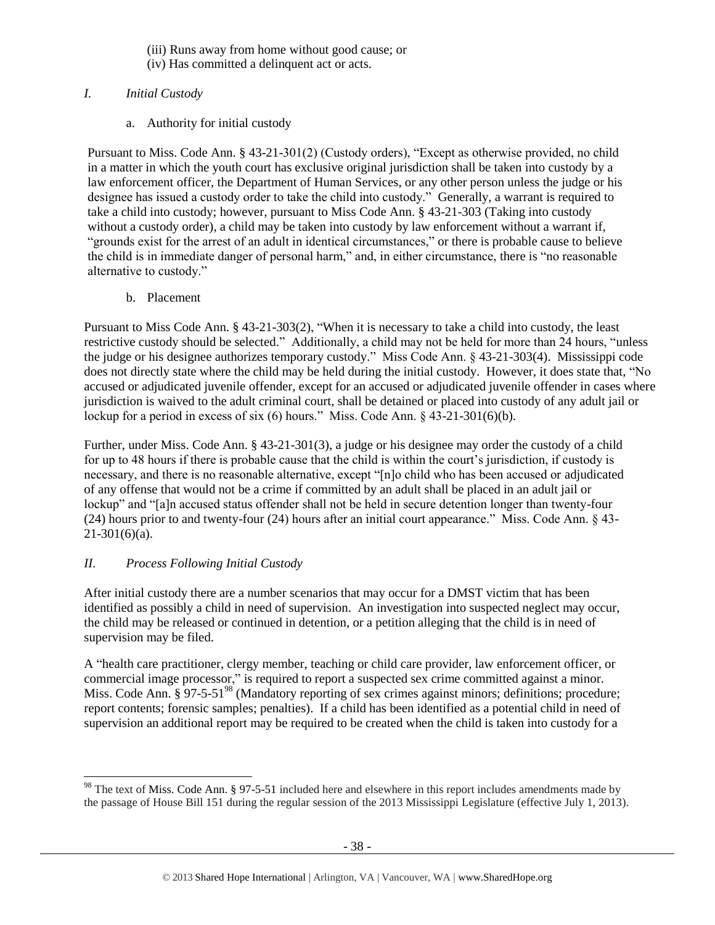- (iii) Runs away from home without good cause; or
- (iv) Has committed a delinquent act or acts.

# *I. Initial Custody*

a. Authority for initial custody

Pursuant to Miss. Code Ann. § 43-21-301(2) (Custody orders), "Except as otherwise provided, no child in a matter in which the youth court has exclusive original jurisdiction shall be taken into custody by a law enforcement officer, the Department of Human Services, or any other person unless the judge or his designee has issued a custody order to take the child into custody." Generally, a warrant is required to take a child into custody; however, pursuant to Miss Code Ann. § 43-21-303 (Taking into custody without a custody order), a child may be taken into custody by law enforcement without a warrant if, "grounds exist for the arrest of an adult in identical circumstances," or there is probable cause to believe the child is in immediate danger of personal harm," and, in either circumstance, there is "no reasonable alternative to custody."

b. Placement

Pursuant to Miss Code Ann. § 43-21-303(2), "When it is necessary to take a child into custody, the least restrictive custody should be selected." Additionally, a child may not be held for more than 24 hours, "unless the judge or his designee authorizes temporary custody." Miss Code Ann. § 43-21-303(4). Mississippi code does not directly state where the child may be held during the initial custody. However, it does state that, "No accused or adjudicated juvenile offender, except for an accused or adjudicated juvenile offender in cases where jurisdiction is waived to the adult criminal court, shall be detained or placed into custody of any adult jail or lockup for a period in excess of six (6) hours." Miss. Code Ann. § 43-21-301(6)(b).

Further, under Miss. Code Ann. § 43-21-301(3), a judge or his designee may order the custody of a child for up to 48 hours if there is probable cause that the child is within the court's jurisdiction, if custody is necessary, and there is no reasonable alternative, except "[n]o child who has been accused or adjudicated of any offense that would not be a crime if committed by an adult shall be placed in an adult jail or lockup" and "[a]n accused status offender shall not be held in secure detention longer than twenty-four (24) hours prior to and twenty-four (24) hours after an initial court appearance." Miss. Code Ann. § 43-  $21-301(6)(a)$ .

# *II. Process Following Initial Custody*

After initial custody there are a number scenarios that may occur for a DMST victim that has been identified as possibly a child in need of supervision. An investigation into suspected neglect may occur, the child may be released or continued in detention, or a petition alleging that the child is in need of supervision may be filed.

A "health care practitioner, clergy member, teaching or child care provider, law enforcement officer, or commercial image processor," is required to report a suspected sex crime committed against a minor. Miss. Code Ann.  $\S 97-5-51^{98}$  (Mandatory reporting of sex crimes against minors; definitions; procedure; report contents; forensic samples; penalties). If a child has been identified as a potential child in need of supervision an additional report may be required to be created when the child is taken into custody for a

l  $98$  The text of Miss. Code Ann. § 97-5-51 included here and elsewhere in this report includes amendments made by the passage of House Bill 151 during the regular session of the 2013 Mississippi Legislature (effective July 1, 2013).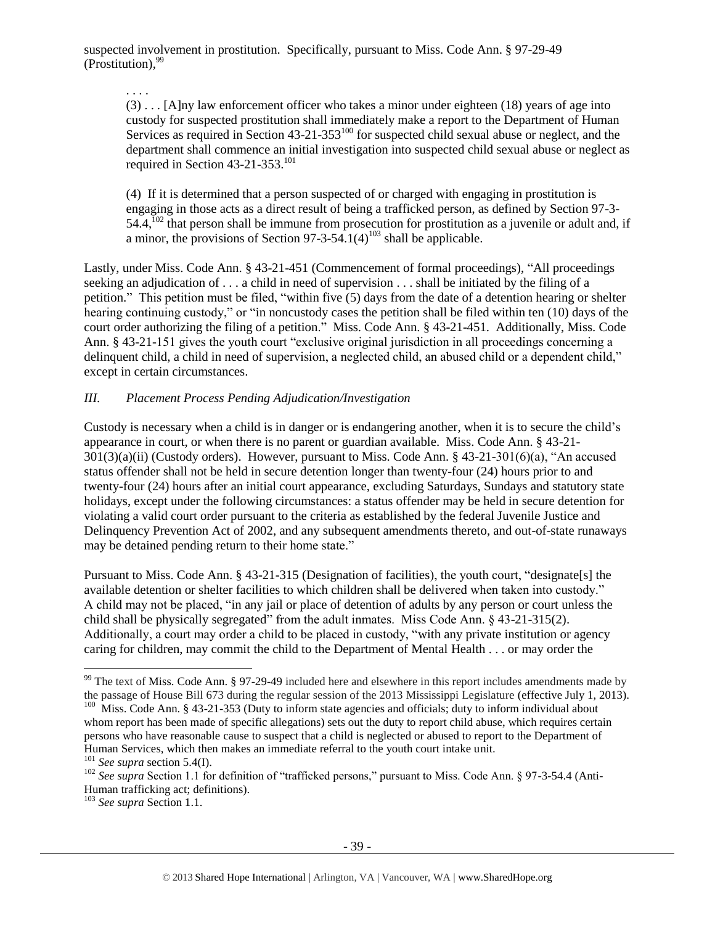suspected involvement in prostitution. Specifically, pursuant to Miss. Code Ann. § 97-29-49 (Prostitution), 99

. . . .

(3) . . . [A]ny law enforcement officer who takes a minor under eighteen (18) years of age into custody for suspected prostitution shall immediately make a report to the Department of Human Services as required in Section 43-21-353<sup>100</sup> for suspected child sexual abuse or neglect, and the department shall commence an initial investigation into suspected child sexual abuse or neglect as required in Section 43-21-353.<sup>101</sup>

(4) If it is determined that a person suspected of or charged with engaging in prostitution is engaging in those acts as a direct result of being a trafficked person, as defined by Section 97-3-  $54.4$ ,  $^{102}$  that person shall be immune from prosecution for prostitution as a juvenile or adult and, if a minor, the provisions of Section  $97-3-54.1(4)^{103}$  shall be applicable.

Lastly, under Miss. Code Ann. § 43-21-451 (Commencement of formal proceedings), "All proceedings seeking an adjudication of . . . a child in need of supervision . . . shall be initiated by the filing of a petition." This petition must be filed, "within five (5) days from the date of a detention hearing or shelter hearing continuing custody," or "in noncustody cases the petition shall be filed within ten (10) days of the court order authorizing the filing of a petition." Miss. Code Ann. § 43-21-451. Additionally, Miss. Code Ann. § 43-21-151 gives the youth court "exclusive original jurisdiction in all proceedings concerning a delinquent child, a child in need of supervision, a neglected child, an abused child or a dependent child," except in certain circumstances.

# *III. Placement Process Pending Adjudication/Investigation*

Custody is necessary when a child is in danger or is endangering another, when it is to secure the child's appearance in court, or when there is no parent or guardian available. Miss. Code Ann. § 43-21- 301(3)(a)(ii) (Custody orders). However, pursuant to Miss. Code Ann. § 43-21-301(6)(a), "An accused status offender shall not be held in secure detention longer than twenty-four (24) hours prior to and twenty-four (24) hours after an initial court appearance, excluding Saturdays, Sundays and statutory state holidays, except under the following circumstances: a status offender may be held in secure detention for violating a valid court order pursuant to the criteria as established by the federal Juvenile Justice and Delinquency Prevention Act of 2002, and any subsequent amendments thereto, and out-of-state runaways may be detained pending return to their home state."

Pursuant to Miss. Code Ann. § 43-21-315 (Designation of facilities), the youth court, "designate[s] the available detention or shelter facilities to which children shall be delivered when taken into custody." A child may not be placed, "in any jail or place of detention of adults by any person or court unless the child shall be physically segregated" from the adult inmates. Miss Code Ann. § 43-21-315(2). Additionally, a court may order a child to be placed in custody, "with any private institution or agency caring for children, may commit the child to the Department of Mental Health . . . or may order the

 $\overline{a}$ 

 $99$  The text of Miss. Code Ann. § 97-29-49 included here and elsewhere in this report includes amendments made by the passage of House Bill 673 during the regular session of the 2013 Mississippi Legislature (effective July 1, 2013).

<sup>&</sup>lt;sup>100</sup> Miss. Code Ann. § 43-21-353 (Duty to inform state agencies and officials; duty to inform individual about whom report has been made of specific allegations) sets out the duty to report child abuse, which requires certain persons who have reasonable cause to suspect that a child is neglected or abused to report to the Department of Human Services, which then makes an immediate referral to the youth court intake unit.

<sup>101</sup> *See supra* section 5.4(I).

<sup>&</sup>lt;sup>102</sup> *See supra* Section 1.1 for definition of "trafficked persons," pursuant to Miss. Code Ann. § 97-3-54.4 (Anti-Human trafficking act; definitions).

<sup>103</sup> *See supra* Section 1.1.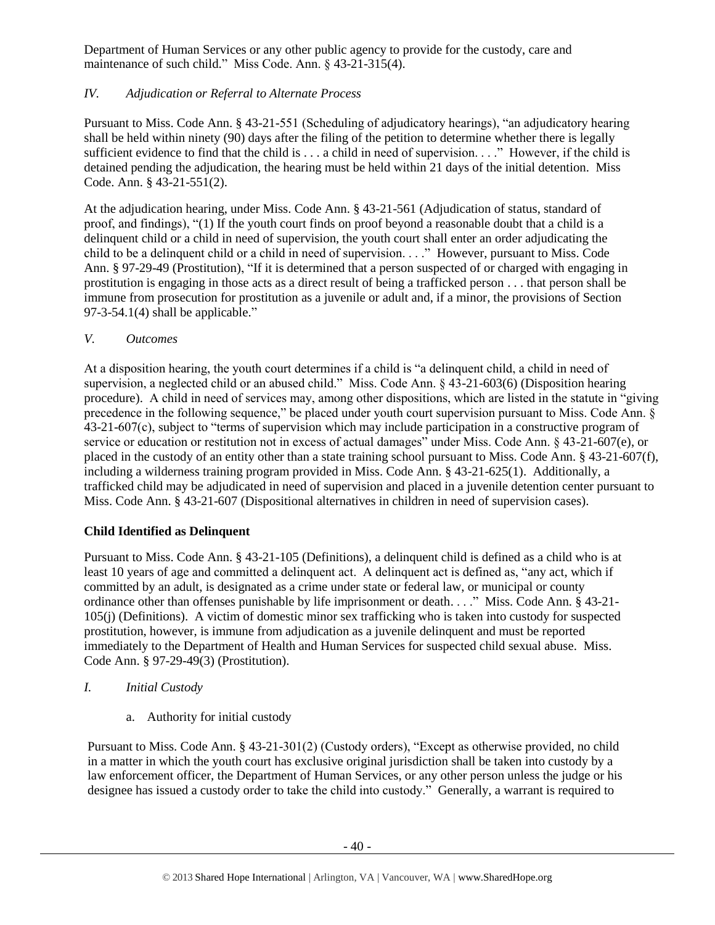Department of Human Services or any other public agency to provide for the custody, care and maintenance of such child." Miss Code. Ann. § 43-21-315(4).

# *IV. Adjudication or Referral to Alternate Process*

Pursuant to Miss. Code Ann. § 43-21-551 (Scheduling of adjudicatory hearings), "an adjudicatory hearing shall be held within ninety (90) days after the filing of the petition to determine whether there is legally sufficient evidence to find that the child is . . . a child in need of supervision. . . ." However, if the child is detained pending the adjudication, the hearing must be held within 21 days of the initial detention. Miss Code. Ann. § 43-21-551(2).

At the adjudication hearing, under Miss. Code Ann. § 43-21-561 (Adjudication of status, standard of proof, and findings), "(1) If the youth court finds on proof beyond a reasonable doubt that a child is a delinquent child or a child in need of supervision, the youth court shall enter an order adjudicating the child to be a delinquent child or a child in need of supervision. . . ." However, pursuant to Miss. Code Ann. § 97-29-49 (Prostitution), "If it is determined that a person suspected of or charged with engaging in prostitution is engaging in those acts as a direct result of being a trafficked person . . . that person shall be immune from prosecution for prostitution as a juvenile or adult and, if a minor, the provisions of Section  $97-3-54.1(4)$  shall be applicable."

*V. Outcomes*

At a disposition hearing, the youth court determines if a child is "a delinquent child, a child in need of supervision, a neglected child or an abused child." Miss. Code Ann. § 43-21-603(6) (Disposition hearing procedure). A child in need of services may, among other dispositions, which are listed in the statute in "giving precedence in the following sequence," be placed under youth court supervision pursuant to Miss. Code Ann. § 43-21-607(c), subject to "terms of supervision which may include participation in a constructive program of service or education or restitution not in excess of actual damages" under Miss. Code Ann. § 43-21-607(e), or placed in the custody of an entity other than a state training school pursuant to Miss. Code Ann. § 43-21-607(f), including a wilderness training program provided in Miss. Code Ann. § 43-21-625(1). Additionally, a trafficked child may be adjudicated in need of supervision and placed in a juvenile detention center pursuant to Miss. Code Ann. § 43-21-607 (Dispositional alternatives in children in need of supervision cases).

# **Child Identified as Delinquent**

Pursuant to Miss. Code Ann. § 43-21-105 (Definitions), a delinquent child is defined as a child who is at least 10 years of age and committed a delinquent act. A delinquent act is defined as, "any act, which if committed by an adult, is designated as a crime under state or federal law, or municipal or county ordinance other than offenses punishable by life imprisonment or death. . . ." Miss. Code Ann. § 43-21- 105(j) (Definitions). A victim of domestic minor sex trafficking who is taken into custody for suspected prostitution, however, is immune from adjudication as a juvenile delinquent and must be reported immediately to the Department of Health and Human Services for suspected child sexual abuse. Miss. Code Ann. § 97-29-49(3) (Prostitution).

- *I. Initial Custody*
	- a. Authority for initial custody

Pursuant to Miss. Code Ann. § 43-21-301(2) (Custody orders), "Except as otherwise provided, no child in a matter in which the youth court has exclusive original jurisdiction shall be taken into custody by a law enforcement officer, the Department of Human Services, or any other person unless the judge or his designee has issued a custody order to take the child into custody." Generally, a warrant is required to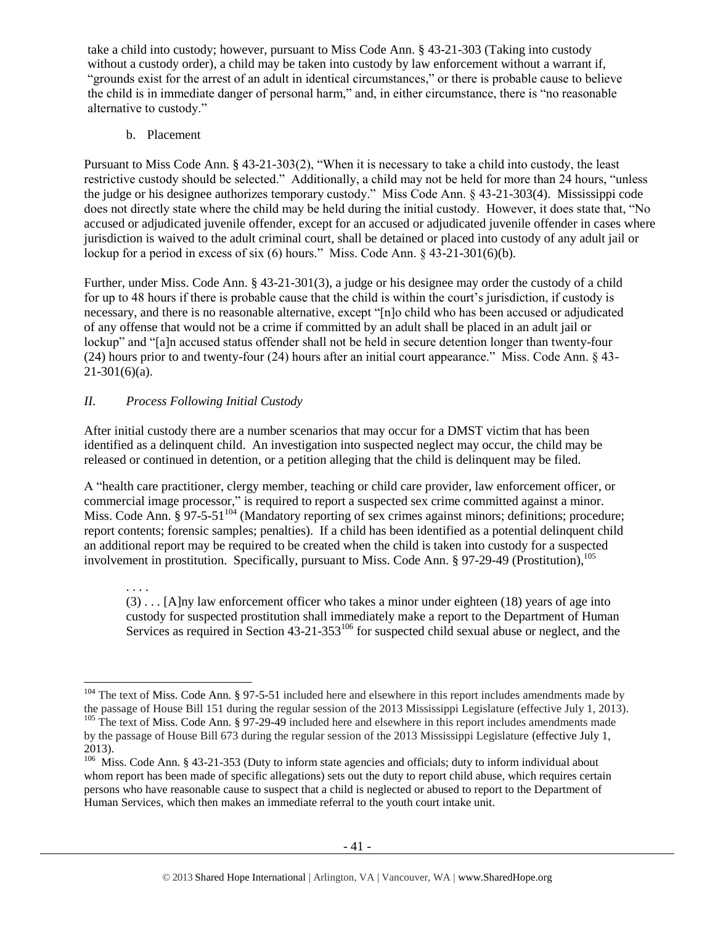take a child into custody; however, pursuant to Miss Code Ann. § 43-21-303 (Taking into custody without a custody order), a child may be taken into custody by law enforcement without a warrant if, "grounds exist for the arrest of an adult in identical circumstances," or there is probable cause to believe the child is in immediate danger of personal harm," and, in either circumstance, there is "no reasonable alternative to custody."

b. Placement

Pursuant to Miss Code Ann. § 43-21-303(2), "When it is necessary to take a child into custody, the least restrictive custody should be selected." Additionally, a child may not be held for more than 24 hours, "unless the judge or his designee authorizes temporary custody." Miss Code Ann. § 43-21-303(4). Mississippi code does not directly state where the child may be held during the initial custody. However, it does state that, "No accused or adjudicated juvenile offender, except for an accused or adjudicated juvenile offender in cases where jurisdiction is waived to the adult criminal court, shall be detained or placed into custody of any adult jail or lockup for a period in excess of six (6) hours." Miss. Code Ann. § 43-21-301(6)(b).

Further, under Miss. Code Ann. § 43-21-301(3), a judge or his designee may order the custody of a child for up to 48 hours if there is probable cause that the child is within the court's jurisdiction, if custody is necessary, and there is no reasonable alternative, except "[n]o child who has been accused or adjudicated of any offense that would not be a crime if committed by an adult shall be placed in an adult jail or lockup" and "[a]n accused status offender shall not be held in secure detention longer than twenty-four (24) hours prior to and twenty-four (24) hours after an initial court appearance." Miss. Code Ann. § 43-  $21-301(6)(a)$ .

# *II. Process Following Initial Custody*

After initial custody there are a number scenarios that may occur for a DMST victim that has been identified as a delinquent child. An investigation into suspected neglect may occur, the child may be released or continued in detention, or a petition alleging that the child is delinquent may be filed.

A "health care practitioner, clergy member, teaching or child care provider, law enforcement officer, or commercial image processor," is required to report a suspected sex crime committed against a minor. Miss. Code Ann. § 97-5-51<sup>104</sup> (Mandatory reporting of sex crimes against minors; definitions; procedure; report contents; forensic samples; penalties). If a child has been identified as a potential delinquent child an additional report may be required to be created when the child is taken into custody for a suspected involvement in prostitution. Specifically, pursuant to Miss. Code Ann. § 97-29-49 (Prostitution), 105

. . . . (3) . . . [A]ny law enforcement officer who takes a minor under eighteen (18) years of age into custody for suspected prostitution shall immediately make a report to the Department of Human Services as required in Section 43-21-353<sup>106</sup> for suspected child sexual abuse or neglect, and the

l  $104$  The text of Miss. Code Ann. § 97-5-51 included here and elsewhere in this report includes amendments made by the passage of House Bill 151 during the regular session of the 2013 Mississippi Legislature (effective July 1, 2013). <sup>105</sup> The text of Miss. Code Ann. § 97-29-49 included here and elsewhere in this report includes amendments made

by the passage of House Bill 673 during the regular session of the 2013 Mississippi Legislature (effective July 1, 2013).

<sup>&</sup>lt;sup>106</sup> Miss. Code Ann. § 43-21-353 (Duty to inform state agencies and officials; duty to inform individual about whom report has been made of specific allegations) sets out the duty to report child abuse, which requires certain persons who have reasonable cause to suspect that a child is neglected or abused to report to the Department of Human Services, which then makes an immediate referral to the youth court intake unit.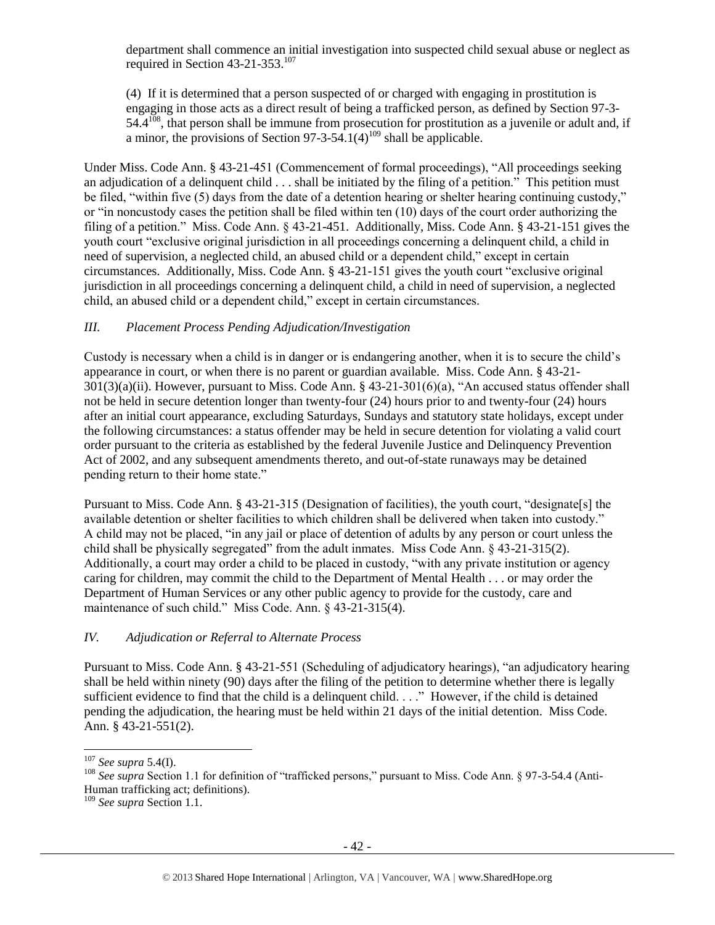department shall commence an initial investigation into suspected child sexual abuse or neglect as required in Section 43-21-353.<sup>107</sup>

(4) If it is determined that a person suspected of or charged with engaging in prostitution is engaging in those acts as a direct result of being a trafficked person, as defined by Section 97-3-  $54.4^{108}$ , that person shall be immune from prosecution for prostitution as a juvenile or adult and, if a minor, the provisions of Section 97-3-54.1(4)<sup>109</sup> shall be applicable.

Under Miss. Code Ann. § 43-21-451 (Commencement of formal proceedings), "All proceedings seeking an adjudication of a delinquent child . . . shall be initiated by the filing of a petition." This petition must be filed, "within five (5) days from the date of a detention hearing or shelter hearing continuing custody," or "in noncustody cases the petition shall be filed within ten (10) days of the court order authorizing the filing of a petition." Miss. Code Ann. § 43-21-451. Additionally, Miss. Code Ann. § 43-21-151 gives the youth court "exclusive original jurisdiction in all proceedings concerning a delinquent child, a child in need of supervision, a neglected child, an abused child or a dependent child," except in certain circumstances. Additionally, Miss. Code Ann. § 43-21-151 gives the youth court "exclusive original jurisdiction in all proceedings concerning a delinquent child, a child in need of supervision, a neglected child, an abused child or a dependent child," except in certain circumstances.

# *III. Placement Process Pending Adjudication/Investigation*

Custody is necessary when a child is in danger or is endangering another, when it is to secure the child's appearance in court, or when there is no parent or guardian available. Miss. Code Ann. § 43-21- 301(3)(a)(ii). However, pursuant to Miss. Code Ann. § 43-21-301(6)(a), "An accused status offender shall not be held in secure detention longer than twenty-four (24) hours prior to and twenty-four (24) hours after an initial court appearance, excluding Saturdays, Sundays and statutory state holidays, except under the following circumstances: a status offender may be held in secure detention for violating a valid court order pursuant to the criteria as established by the federal Juvenile Justice and Delinquency Prevention Act of 2002, and any subsequent amendments thereto, and out-of-state runaways may be detained pending return to their home state."

Pursuant to Miss. Code Ann. § 43-21-315 (Designation of facilities), the youth court, "designate[s] the available detention or shelter facilities to which children shall be delivered when taken into custody." A child may not be placed, "in any jail or place of detention of adults by any person or court unless the child shall be physically segregated" from the adult inmates. Miss Code Ann. § 43-21-315(2). Additionally, a court may order a child to be placed in custody, "with any private institution or agency caring for children, may commit the child to the Department of Mental Health . . . or may order the Department of Human Services or any other public agency to provide for the custody, care and maintenance of such child." Miss Code. Ann. § 43-21-315(4).

# *IV. Adjudication or Referral to Alternate Process*

Pursuant to Miss. Code Ann. § 43-21-551 (Scheduling of adjudicatory hearings), "an adjudicatory hearing shall be held within ninety (90) days after the filing of the petition to determine whether there is legally sufficient evidence to find that the child is a delinquent child. . . ." However, if the child is detained pending the adjudication, the hearing must be held within 21 days of the initial detention. Miss Code. Ann. § 43-21-551(2).

 $\overline{a}$ 

<sup>107</sup> *See supra* 5.4(I).

<sup>&</sup>lt;sup>108</sup> See supra Section 1.1 for definition of "trafficked persons," pursuant to Miss. Code Ann. § 97-3-54.4 (Anti-Human trafficking act; definitions).

<sup>109</sup> *See supra* Section 1.1.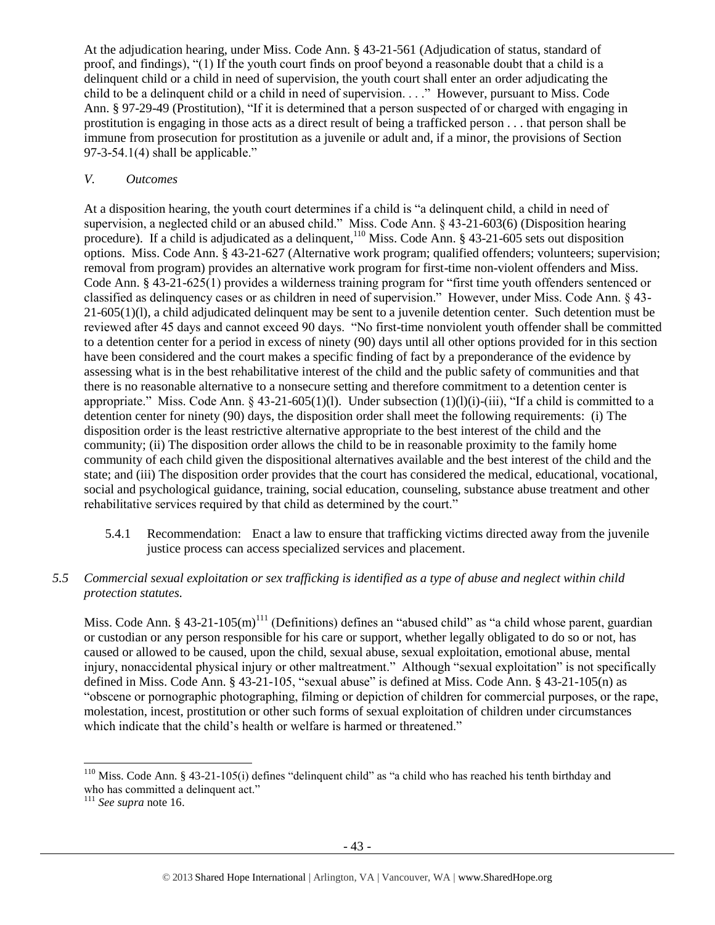At the adjudication hearing, under Miss. Code Ann. § 43-21-561 (Adjudication of status, standard of proof, and findings), "(1) If the youth court finds on proof beyond a reasonable doubt that a child is a delinquent child or a child in need of supervision, the youth court shall enter an order adjudicating the child to be a delinquent child or a child in need of supervision. . . ." However, pursuant to Miss. Code Ann. § 97-29-49 (Prostitution), "If it is determined that a person suspected of or charged with engaging in prostitution is engaging in those acts as a direct result of being a trafficked person . . . that person shall be immune from prosecution for prostitution as a juvenile or adult and, if a minor, the provisions of Section  $97-3-54.1(4)$  shall be applicable."

#### *V. Outcomes*

At a disposition hearing, the youth court determines if a child is "a delinquent child, a child in need of supervision, a neglected child or an abused child." Miss. Code Ann. § 43-21-603(6) (Disposition hearing procedure). If a child is adjudicated as a delinquent,<sup>110</sup> Miss. Code Ann. § 43-21-605 sets out disposition options. Miss. Code Ann. § 43-21-627 (Alternative work program; qualified offenders; volunteers; supervision; removal from program) provides an alternative work program for first-time non-violent offenders and Miss. Code Ann. § 43-21-625(1) provides a wilderness training program for "first time youth offenders sentenced or classified as delinquency cases or as children in need of supervision." However, under Miss. Code Ann. § 43- 21-605(1)(l), a child adjudicated delinquent may be sent to a juvenile detention center. Such detention must be reviewed after 45 days and cannot exceed 90 days. "No first-time nonviolent youth offender shall be committed to a detention center for a period in excess of ninety (90) days until all other options provided for in this section have been considered and the court makes a specific finding of fact by a preponderance of the evidence by assessing what is in the best rehabilitative interest of the child and the public safety of communities and that there is no reasonable alternative to a nonsecure setting and therefore commitment to a detention center is appropriate." Miss. Code Ann.  $\S$  43-21-605(1)(l). Under subsection (1)(l)(i)-(iii), "If a child is committed to a detention center for ninety (90) days, the disposition order shall meet the following requirements: (i) The disposition order is the least restrictive alternative appropriate to the best interest of the child and the community; (ii) The disposition order allows the child to be in reasonable proximity to the family home community of each child given the dispositional alternatives available and the best interest of the child and the state; and (iii) The disposition order provides that the court has considered the medical, educational, vocational, social and psychological guidance, training, social education, counseling, substance abuse treatment and other rehabilitative services required by that child as determined by the court."

- 5.4.1 Recommendation: Enact a law to ensure that trafficking victims directed away from the juvenile justice process can access specialized services and placement.
- *5.5 Commercial sexual exploitation or sex trafficking is identified as a type of abuse and neglect within child protection statutes.*

Miss. Code Ann. § 43-21-105 $(m)$ <sup>111</sup> (Definitions) defines an "abused child" as "a child whose parent, guardian or custodian or any person responsible for his care or support, whether legally obligated to do so or not, has caused or allowed to be caused, upon the child, sexual abuse, sexual exploitation, emotional abuse, mental injury, nonaccidental physical injury or other maltreatment." Although "sexual exploitation" is not specifically defined in Miss. Code Ann. § 43-21-105, "sexual abuse" is defined at Miss. Code Ann. § 43-21-105(n) as "obscene or pornographic photographing, filming or depiction of children for commercial purposes, or the rape, molestation, incest, prostitution or other such forms of sexual exploitation of children under circumstances which indicate that the child's health or welfare is harmed or threatened."

<sup>&</sup>lt;sup>110</sup> Miss. Code Ann. § 43-21-105(i) defines "delinquent child" as "a child who has reached his tenth birthday and who has committed a delinquent act."

<sup>111</sup> *See supra* not[e 16.](#page-4-1)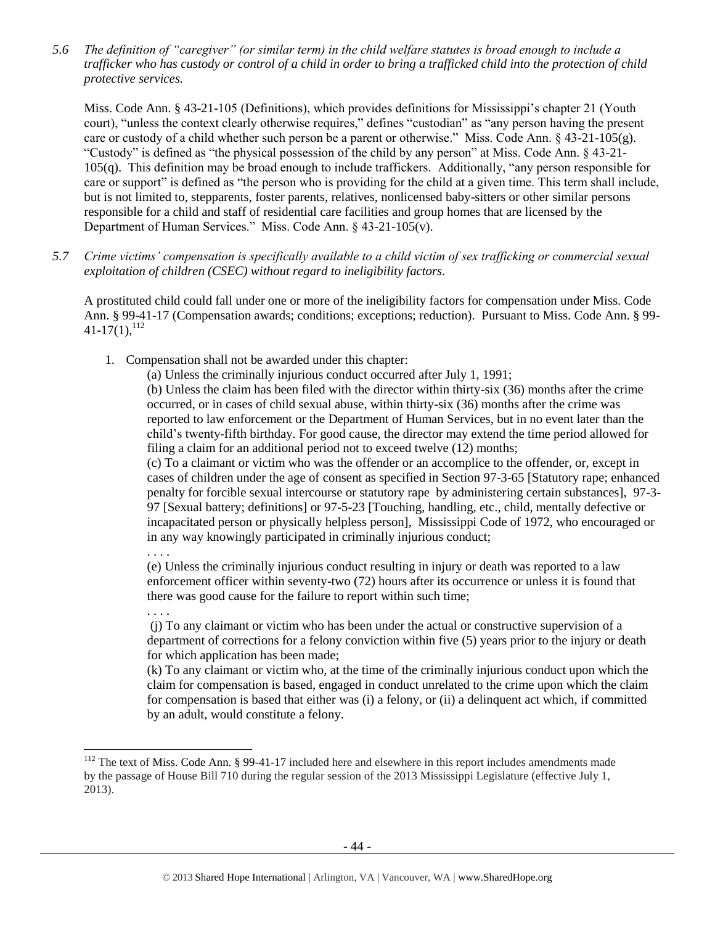*5.6 The definition of "caregiver" (or similar term) in the child welfare statutes is broad enough to include a trafficker who has custody or control of a child in order to bring a trafficked child into the protection of child protective services.*

Miss. Code Ann. § 43-21-105 (Definitions), which provides definitions for Mississippi's chapter 21 (Youth court), "unless the context clearly otherwise requires," defines "custodian" as "any person having the present care or custody of a child whether such person be a parent or otherwise." Miss. Code Ann. § 43-21-105(g). "Custody" is defined as "the physical possession of the child by any person" at Miss. Code Ann. § 43-21- 105(q). This definition may be broad enough to include traffickers. Additionally, "any person responsible for care or support" is defined as "the person who is providing for the child at a given time. This term shall include, but is not limited to, stepparents, foster parents, relatives, nonlicensed baby-sitters or other similar persons responsible for a child and staff of residential care facilities and group homes that are licensed by the Department of Human Services." Miss. Code Ann. § 43-21-105(v).

*5.7 Crime victims' compensation is specifically available to a child victim of sex trafficking or commercial sexual exploitation of children (CSEC) without regard to ineligibility factors.*

A prostituted child could fall under one or more of the ineligibility factors for compensation under Miss. Code Ann. § 99-41-17 (Compensation awards; conditions; exceptions; reduction). Pursuant to Miss. Code Ann. § 99-  $41-17(1)$ ,  $^{112}$ 

<span id="page-43-0"></span>1. Compensation shall not be awarded under this chapter:

. . . .

. . . .

 $\overline{a}$ 

(a) Unless the criminally injurious conduct occurred after July 1, 1991;

(b) Unless the claim has been filed with the director within thirty-six (36) months after the crime occurred, or in cases of child sexual abuse, within thirty-six (36) months after the crime was reported to law enforcement or the Department of Human Services, but in no event later than the child's twenty-fifth birthday. For good cause, the director may extend the time period allowed for filing a claim for an additional period not to exceed twelve (12) months;

(c) To a claimant or victim who was the offender or an accomplice to the offender, or, except in cases of children under the age of consent as specified in Section 97-3-65 [Statutory rape; enhanced penalty for forcible sexual intercourse or statutory rape by administering certain substances], 97-3- 97 [Sexual battery; definitions] or 97-5-23 [Touching, handling, etc., child, mentally defective or incapacitated person or physically helpless person], Mississippi Code of 1972, who encouraged or in any way knowingly participated in criminally injurious conduct;

(e) Unless the criminally injurious conduct resulting in injury or death was reported to a law enforcement officer within seventy-two (72) hours after its occurrence or unless it is found that there was good cause for the failure to report within such time;

(j) To any claimant or victim who has been under the actual or constructive supervision of a department of corrections for a felony conviction within five (5) years prior to the injury or death for which application has been made;

(k) To any claimant or victim who, at the time of the criminally injurious conduct upon which the claim for compensation is based, engaged in conduct unrelated to the crime upon which the claim for compensation is based that either was (i) a felony, or (ii) a delinquent act which, if committed by an adult, would constitute a felony.

 $112$  The text of Miss. Code Ann. § 99-41-17 included here and elsewhere in this report includes amendments made by the passage of House Bill 710 during the regular session of the 2013 Mississippi Legislature (effective July 1, 2013).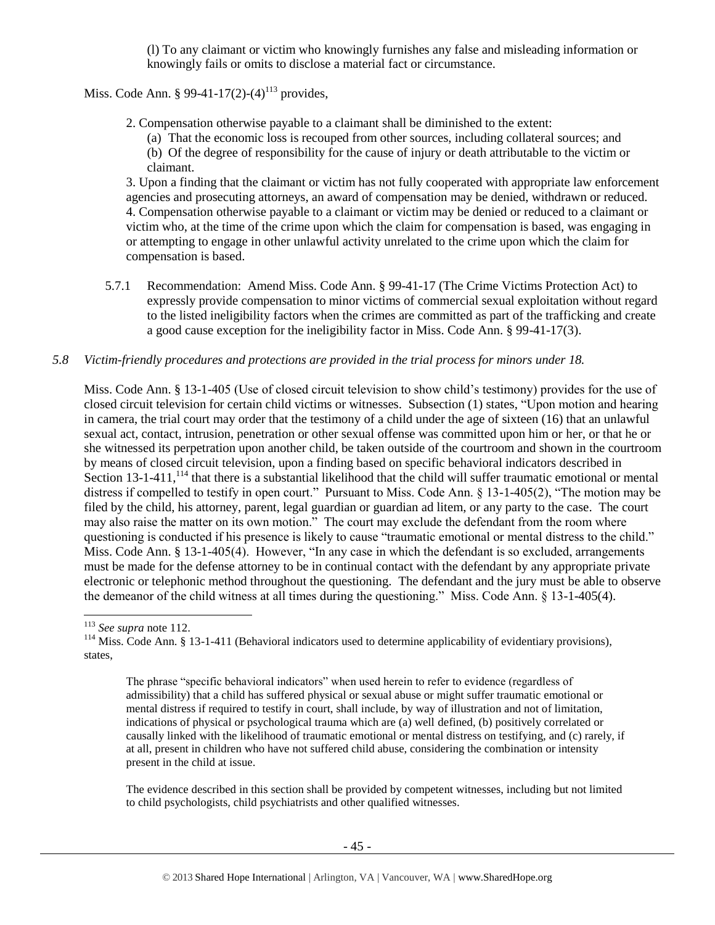(l) To any claimant or victim who knowingly furnishes any false and misleading information or knowingly fails or omits to disclose a material fact or circumstance.

Miss. Code Ann. § 99-41-17(2)-(4)<sup>113</sup> provides,

2. Compensation otherwise payable to a claimant shall be diminished to the extent:

(a) That the economic loss is recouped from other sources, including collateral sources; and (b) Of the degree of responsibility for the cause of injury or death attributable to the victim or claimant.

3. Upon a finding that the claimant or victim has not fully cooperated with appropriate law enforcement agencies and prosecuting attorneys, an award of compensation may be denied, withdrawn or reduced. 4. Compensation otherwise payable to a claimant or victim may be denied or reduced to a claimant or victim who, at the time of the crime upon which the claim for compensation is based, was engaging in or attempting to engage in other unlawful activity unrelated to the crime upon which the claim for compensation is based.

5.7.1 Recommendation: Amend Miss. Code Ann. § 99-41-17 (The Crime Victims Protection Act) to expressly provide compensation to minor victims of commercial sexual exploitation without regard to the listed ineligibility factors when the crimes are committed as part of the trafficking and create a good cause exception for the ineligibility factor in Miss. Code Ann. § 99-41-17(3).

# *5.8 Victim-friendly procedures and protections are provided in the trial process for minors under 18.*

Miss. Code Ann. § 13-1-405 (Use of closed circuit television to show child's testimony) provides for the use of closed circuit television for certain child victims or witnesses. Subsection (1) states, "Upon motion and hearing in camera, the trial court may order that the testimony of a child under the age of sixteen (16) that an unlawful sexual act, contact, intrusion, penetration or other sexual offense was committed upon him or her, or that he or she witnessed its perpetration upon another child, be taken outside of the courtroom and shown in the courtroom by means of closed circuit television, upon a finding based on specific behavioral indicators described in Section  $13$ -1-411,  $^{114}$  that there is a substantial likelihood that the child will suffer traumatic emotional or mental distress if compelled to testify in open court." Pursuant to Miss. Code Ann. § 13-1-405(2), "The motion may be filed by the child, his attorney, parent, legal guardian or guardian ad litem, or any party to the case. The court may also raise the matter on its own motion." The court may exclude the defendant from the room where questioning is conducted if his presence is likely to cause "traumatic emotional or mental distress to the child." Miss. Code Ann. § 13-1-405(4). However, "In any case in which the defendant is so excluded, arrangements must be made for the defense attorney to be in continual contact with the defendant by any appropriate private electronic or telephonic method throughout the questioning. The defendant and the jury must be able to observe the demeanor of the child witness at all times during the questioning." Miss. Code Ann. § 13-1-405(4).

l

The phrase "specific behavioral indicators" when used herein to refer to evidence (regardless of admissibility) that a child has suffered physical or sexual abuse or might suffer traumatic emotional or mental distress if required to testify in court, shall include, by way of illustration and not of limitation, indications of physical or psychological trauma which are (a) well defined, (b) positively correlated or causally linked with the likelihood of traumatic emotional or mental distress on testifying, and (c) rarely, if at all, present in children who have not suffered child abuse, considering the combination or intensity present in the child at issue.

The evidence described in this section shall be provided by competent witnesses, including but not limited to child psychologists, child psychiatrists and other qualified witnesses.

<sup>113</sup> *See supra* not[e 112.](#page-43-0)

<sup>&</sup>lt;sup>114</sup> Miss. Code Ann. § 13-1-411 (Behavioral indicators used to determine applicability of evidentiary provisions), states,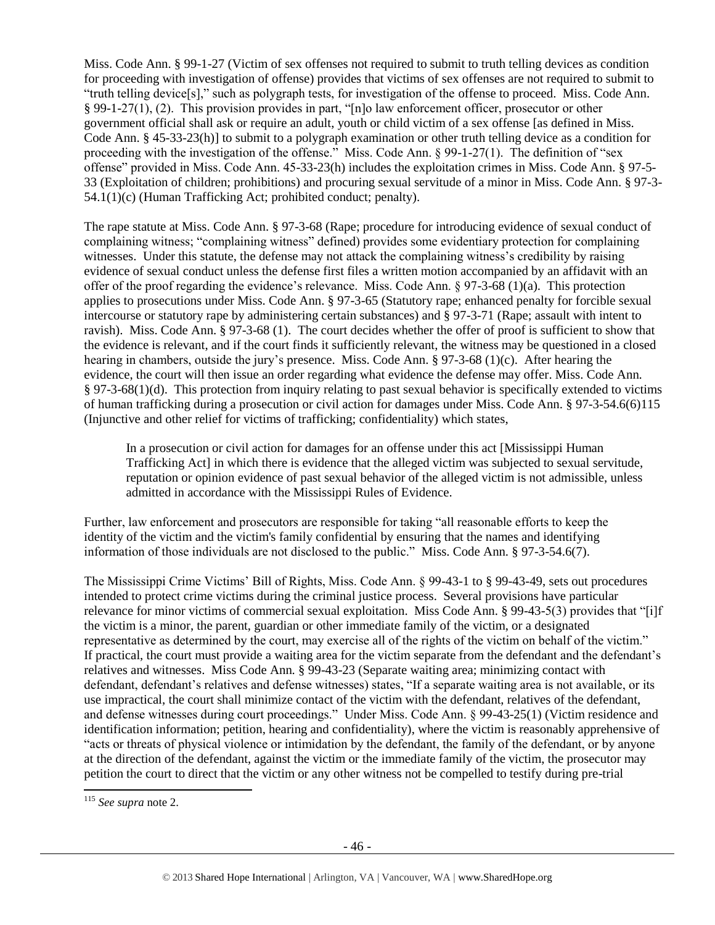Miss. Code Ann. § 99-1-27 (Victim of sex offenses not required to submit to truth telling devices as condition for proceeding with investigation of offense) provides that victims of sex offenses are not required to submit to "truth telling device[s]," such as polygraph tests, for investigation of the offense to proceed. Miss. Code Ann. § 99-1-27(1), (2). This provision provides in part, "[n]o law enforcement officer, prosecutor or other government official shall ask or require an adult, youth or child victim of a sex offense [as defined in Miss. Code Ann. § 45-33-23(h)] to submit to a polygraph examination or other truth telling device as a condition for proceeding with the investigation of the offense." Miss. Code Ann. § 99-1-27(1). The definition of "sex offense" provided in Miss. Code Ann. 45-33-23(h) includes the exploitation crimes in Miss. Code Ann. § 97-5- 33 (Exploitation of children; prohibitions) and procuring sexual servitude of a minor in Miss. Code Ann. § 97-3- 54.1(1)(c) (Human Trafficking Act; prohibited conduct; penalty).

The rape statute at Miss. Code Ann. § 97-3-68 (Rape; procedure for introducing evidence of sexual conduct of complaining witness; "complaining witness" defined) provides some evidentiary protection for complaining witnesses. Under this statute, the defense may not attack the complaining witness's credibility by raising evidence of sexual conduct unless the defense first files a written motion accompanied by an affidavit with an offer of the proof regarding the evidence's relevance. Miss. Code Ann. § 97-3-68 (1)(a). This protection applies to prosecutions under Miss. Code Ann. § 97-3-65 (Statutory rape; enhanced penalty for forcible sexual intercourse or statutory rape by administering certain substances) and § 97-3-71 (Rape; assault with intent to ravish). Miss. Code Ann. § 97-3-68 (1). The court decides whether the offer of proof is sufficient to show that the evidence is relevant, and if the court finds it sufficiently relevant, the witness may be questioned in a closed hearing in chambers, outside the jury's presence. Miss. Code Ann. § 97-3-68 (1)(c). After hearing the evidence, the court will then issue an order regarding what evidence the defense may offer. Miss. Code Ann. § 97-3-68(1)(d). This protection from inquiry relating to past sexual behavior is specifically extended to victims of human trafficking during a prosecution or civil action for damages under Miss. Code Ann. § 97-3-54.6(6)115 (Injunctive and other relief for victims of trafficking; confidentiality) which states,

In a prosecution or civil action for damages for an offense under this act [Mississippi Human Trafficking Act] in which there is evidence that the alleged victim was subjected to sexual servitude, reputation or opinion evidence of past sexual behavior of the alleged victim is not admissible, unless admitted in accordance with the Mississippi Rules of Evidence.

Further, law enforcement and prosecutors are responsible for taking "all reasonable efforts to keep the identity of the victim and the victim's family confidential by ensuring that the names and identifying information of those individuals are not disclosed to the public." Miss. Code Ann. § 97-3-54.6(7).

The Mississippi Crime Victims' Bill of Rights, Miss. Code Ann. § 99-43-1 to § 99-43-49, sets out procedures intended to protect crime victims during the criminal justice process. Several provisions have particular relevance for minor victims of commercial sexual exploitation. Miss Code Ann. § 99-43-5(3) provides that "[i]f the victim is a minor, the parent, guardian or other immediate family of the victim, or a designated representative as determined by the court, may exercise all of the rights of the victim on behalf of the victim." If practical, the court must provide a waiting area for the victim separate from the defendant and the defendant's relatives and witnesses. Miss Code Ann. § 99-43-23 (Separate waiting area; minimizing contact with defendant, defendant's relatives and defense witnesses) states, "If a separate waiting area is not available, or its use impractical, the court shall minimize contact of the victim with the defendant, relatives of the defendant, and defense witnesses during court proceedings." Under Miss. Code Ann. § 99-43-25(1) (Victim residence and identification information; petition, hearing and confidentiality), where the victim is reasonably apprehensive of "acts or threats of physical violence or intimidation by the defendant, the family of the defendant, or by anyone at the direction of the defendant, against the victim or the immediate family of the victim, the prosecutor may petition the court to direct that the victim or any other witness not be compelled to testify during pre-trial

 $\overline{\phantom{a}}$ 

<sup>115</sup> *See supra* not[e 2.](#page-0-0)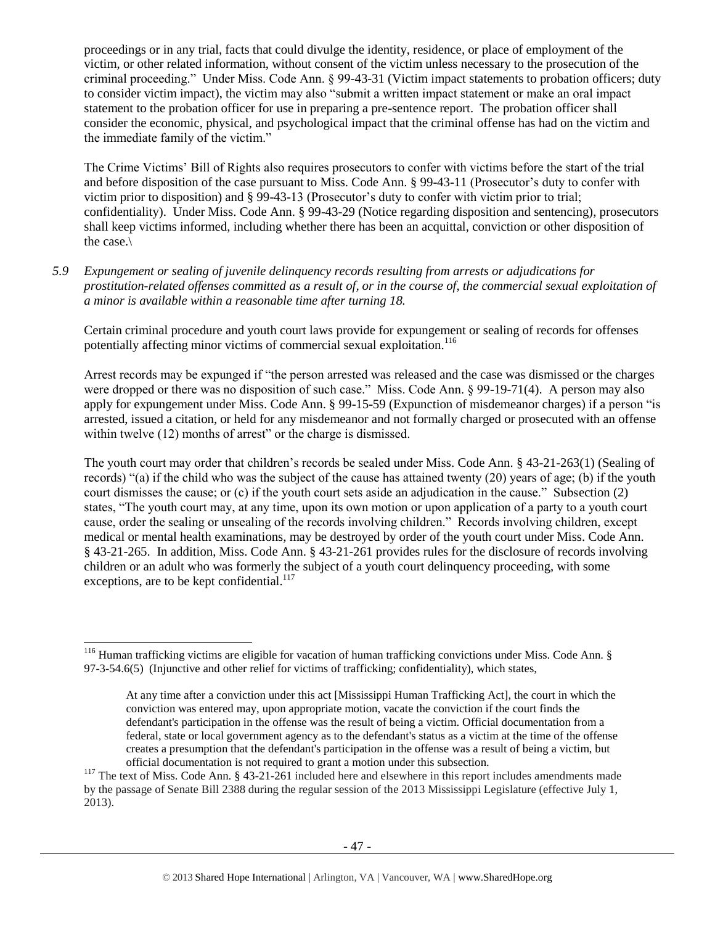proceedings or in any trial, facts that could divulge the identity, residence, or place of employment of the victim, or other related information, without consent of the victim unless necessary to the prosecution of the criminal proceeding." Under Miss. Code Ann. § 99-43-31 (Victim impact statements to probation officers; duty to consider victim impact), the victim may also "submit a written impact statement or make an oral impact statement to the probation officer for use in preparing a pre-sentence report. The probation officer shall consider the economic, physical, and psychological impact that the criminal offense has had on the victim and the immediate family of the victim."

The Crime Victims' Bill of Rights also requires prosecutors to confer with victims before the start of the trial and before disposition of the case pursuant to Miss. Code Ann. § 99-43-11 (Prosecutor's duty to confer with victim prior to disposition) and § 99-43-13 (Prosecutor's duty to confer with victim prior to trial; confidentiality). Under Miss. Code Ann. § 99-43-29 (Notice regarding disposition and sentencing), prosecutors shall keep victims informed, including whether there has been an acquittal, conviction or other disposition of the case.\

*5.9 Expungement or sealing of juvenile delinquency records resulting from arrests or adjudications for prostitution-related offenses committed as a result of, or in the course of, the commercial sexual exploitation of a minor is available within a reasonable time after turning 18.*

Certain criminal procedure and youth court laws provide for expungement or sealing of records for offenses potentially affecting minor victims of commercial sexual exploitation.<sup>116</sup>

Arrest records may be expunged if "the person arrested was released and the case was dismissed or the charges were dropped or there was no disposition of such case." Miss. Code Ann. § 99-19-71(4). A person may also apply for expungement under Miss. Code Ann. § 99-15-59 (Expunction of misdemeanor charges) if a person "is arrested, issued a citation, or held for any misdemeanor and not formally charged or prosecuted with an offense within twelve (12) months of arrest" or the charge is dismissed.

The youth court may order that children's records be sealed under Miss. Code Ann. § 43-21-263(1) (Sealing of records) "(a) if the child who was the subject of the cause has attained twenty (20) years of age; (b) if the youth court dismisses the cause; or (c) if the youth court sets aside an adjudication in the cause." Subsection (2) states, "The youth court may, at any time, upon its own motion or upon application of a party to a youth court cause, order the sealing or unsealing of the records involving children." Records involving children, except medical or mental health examinations, may be destroyed by order of the youth court under Miss. Code Ann. § 43-21-265. In addition, Miss. Code Ann. § 43-21-261 provides rules for the disclosure of records involving children or an adult who was formerly the subject of a youth court delinquency proceeding, with some exceptions, are to be kept confidential. $117$ 

<sup>&</sup>lt;sup>116</sup> Human trafficking victims are eligible for vacation of human trafficking convictions under Miss. Code Ann. § 97-3-54.6(5) (Injunctive and other relief for victims of trafficking; confidentiality), which states,

At any time after a conviction under this act [Mississippi Human Trafficking Act], the court in which the conviction was entered may, upon appropriate motion, vacate the conviction if the court finds the defendant's participation in the offense was the result of being a victim. Official documentation from a federal, state or local government agency as to the defendant's status as a victim at the time of the offense creates a presumption that the defendant's participation in the offense was a result of being a victim, but official documentation is not required to grant a motion under this subsection.

 $117$  The text of Miss. Code Ann. § 43-21-261 included here and elsewhere in this report includes amendments made by the passage of Senate Bill 2388 during the regular session of the 2013 Mississippi Legislature (effective July 1, 2013).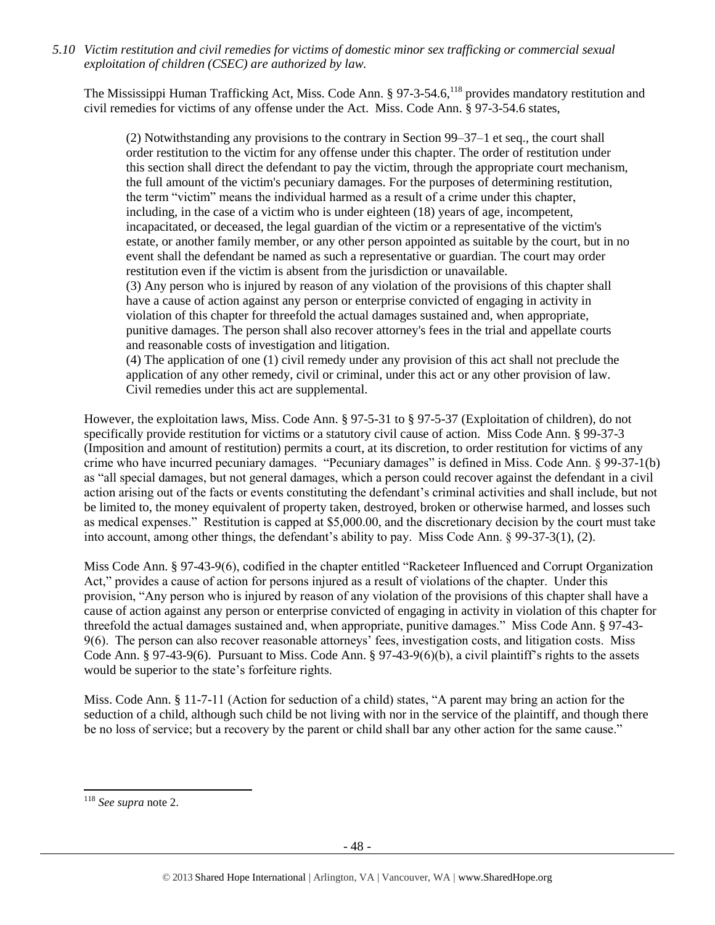*5.10 Victim restitution and civil remedies for victims of domestic minor sex trafficking or commercial sexual exploitation of children (CSEC) are authorized by law.* 

The Mississippi Human Trafficking Act, Miss. Code Ann. § 97-3-54.6,<sup>118</sup> provides mandatory restitution and civil remedies for victims of any offense under the Act. Miss. Code Ann. § 97-3-54.6 states,

(2) Notwithstanding any provisions to the contrary in Section 99–37–1 et seq., the court shall order restitution to the victim for any offense under this chapter. The order of restitution under this section shall direct the defendant to pay the victim, through the appropriate court mechanism, the full amount of the victim's pecuniary damages. For the purposes of determining restitution, the term "victim" means the individual harmed as a result of a crime under this chapter, including, in the case of a victim who is under eighteen (18) years of age, incompetent, incapacitated, or deceased, the legal guardian of the victim or a representative of the victim's estate, or another family member, or any other person appointed as suitable by the court, but in no event shall the defendant be named as such a representative or guardian. The court may order restitution even if the victim is absent from the jurisdiction or unavailable. (3) Any person who is injured by reason of any violation of the provisions of this chapter shall have a cause of action against any person or enterprise convicted of engaging in activity in violation of this chapter for threefold the actual damages sustained and, when appropriate, punitive damages. The person shall also recover attorney's fees in the trial and appellate courts and reasonable costs of investigation and litigation.

(4) The application of one (1) civil remedy under any provision of this act shall not preclude the application of any other remedy, civil or criminal, under this act or any other provision of law. Civil remedies under this act are supplemental.

However, the exploitation laws, Miss. Code Ann. § 97-5-31 to § 97-5-37 (Exploitation of children), do not specifically provide restitution for victims or a statutory civil cause of action. Miss Code Ann. § 99-37-3 (Imposition and amount of restitution) permits a court, at its discretion, to order restitution for victims of any crime who have incurred pecuniary damages. "Pecuniary damages" is defined in Miss. Code Ann. § 99-37-1(b) as "all special damages, but not general damages, which a person could recover against the defendant in a civil action arising out of the facts or events constituting the defendant's criminal activities and shall include, but not be limited to, the money equivalent of property taken, destroyed, broken or otherwise harmed, and losses such as medical expenses." Restitution is capped at \$5,000.00, and the discretionary decision by the court must take into account, among other things, the defendant's ability to pay. Miss Code Ann. § 99-37-3(1), (2).

Miss Code Ann. § 97-43-9(6), codified in the chapter entitled "Racketeer Influenced and Corrupt Organization Act," provides a cause of action for persons injured as a result of violations of the chapter. Under this provision, "Any person who is injured by reason of any violation of the provisions of this chapter shall have a cause of action against any person or enterprise convicted of engaging in activity in violation of this chapter for threefold the actual damages sustained and, when appropriate, punitive damages." Miss Code Ann. § 97-43- 9(6). The person can also recover reasonable attorneys' fees, investigation costs, and litigation costs. Miss Code Ann. § 97-43-9(6). Pursuant to Miss. Code Ann. § 97-43-9(6)(b), a civil plaintiff's rights to the assets would be superior to the state's forfeiture rights.

Miss. Code Ann. § 11-7-11 (Action for seduction of a child) states, "A parent may bring an action for the seduction of a child, although such child be not living with nor in the service of the plaintiff, and though there be no loss of service; but a recovery by the parent or child shall bar any other action for the same cause."

 $\overline{\phantom{a}}$ 

<sup>118</sup> *See supra* not[e 2.](#page-0-0)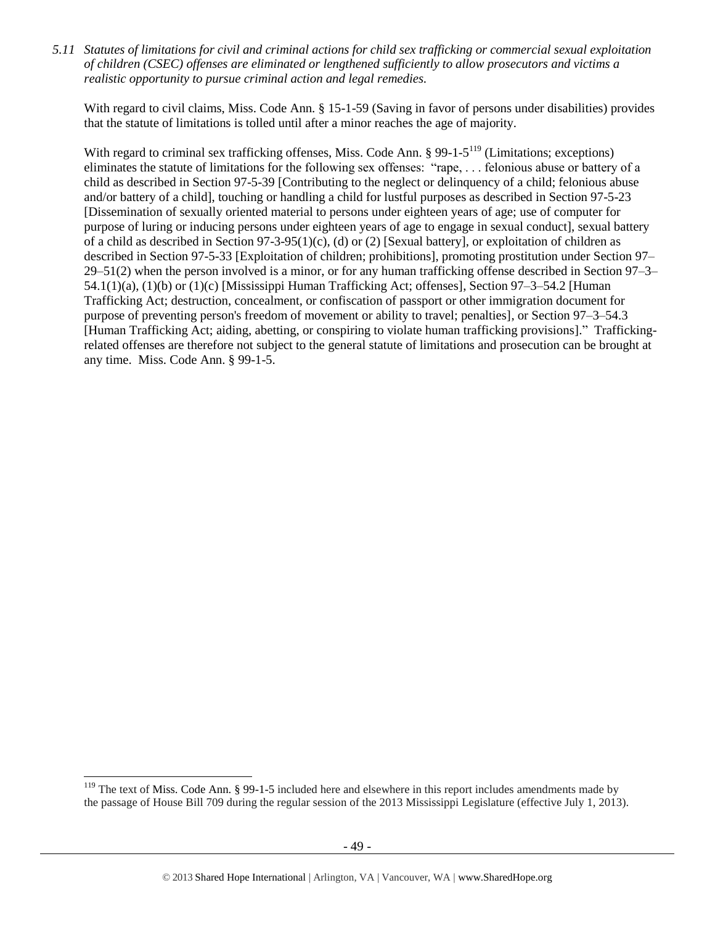*5.11 Statutes of limitations for civil and criminal actions for child sex trafficking or commercial sexual exploitation of children (CSEC) offenses are eliminated or lengthened sufficiently to allow prosecutors and victims a realistic opportunity to pursue criminal action and legal remedies.*

With regard to civil claims, Miss. Code Ann. § 15-1-59 (Saving in favor of persons under disabilities) provides that the statute of limitations is tolled until after a minor reaches the age of majority.

With regard to criminal sex trafficking offenses, Miss. Code Ann. § 99-1-5<sup>119</sup> (Limitations; exceptions) eliminates the statute of limitations for the following sex offenses: "rape, . . . felonious abuse or battery of a child as described in Section 97-5-39 [Contributing to the neglect or delinquency of a child; felonious abuse and/or battery of a child], touching or handling a child for lustful purposes as described in Section 97-5-23 [Dissemination of sexually oriented material to persons under eighteen years of age; use of computer for purpose of luring or inducing persons under eighteen years of age to engage in sexual conduct], sexual battery of a child as described in Section  $97-3-95(1)(c)$ , (d) or (2) [Sexual battery], or exploitation of children as described in Section 97-5-33 [Exploitation of children; prohibitions], promoting prostitution under Section 97– 29–51(2) when the person involved is a minor, or for any human trafficking offense described in Section 97–3– 54.1(1)(a), (1)(b) or (1)(c) [Mississippi Human Trafficking Act; offenses], Section 97–3–54.2 [Human Trafficking Act; destruction, concealment, or confiscation of passport or other immigration document for purpose of preventing person's freedom of movement or ability to travel; penalties], or Section 97–3–54.3 [Human Trafficking Act; aiding, abetting, or conspiring to violate human trafficking provisions]." Traffickingrelated offenses are therefore not subject to the general statute of limitations and prosecution can be brought at any time. Miss. Code Ann. § 99-1-5.

 $119$  The text of Miss. Code Ann. § 99-1-5 included here and elsewhere in this report includes amendments made by the passage of House Bill 709 during the regular session of the 2013 Mississippi Legislature (effective July 1, 2013).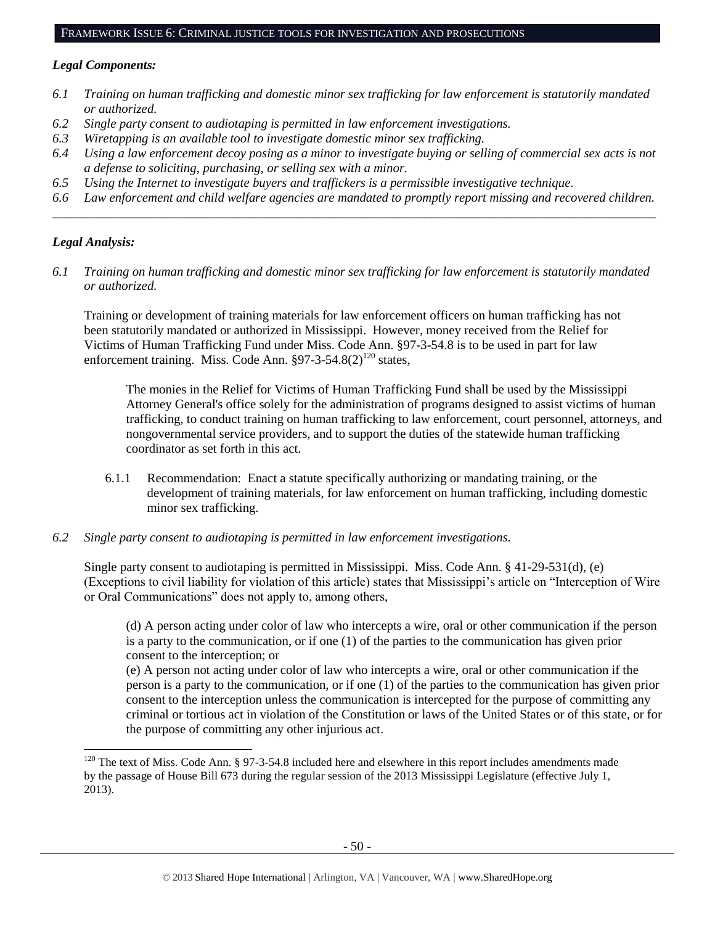#### FRAMEWORK ISSUE 6: CRIMINAL JUSTICE TOOLS FOR INVESTIGATION AND PROSECUTIONS

#### *Legal Components:*

- *6.1 Training on human trafficking and domestic minor sex trafficking for law enforcement is statutorily mandated or authorized.*
- *6.2 Single party consent to audiotaping is permitted in law enforcement investigations.*
- *6.3 Wiretapping is an available tool to investigate domestic minor sex trafficking.*
- *6.4 Using a law enforcement decoy posing as a minor to investigate buying or selling of commercial sex acts is not a defense to soliciting, purchasing, or selling sex with a minor.*
- *6.5 Using the Internet to investigate buyers and traffickers is a permissible investigative technique.*
- *6.6 Law enforcement and child welfare agencies are mandated to promptly report missing and recovered children. \_\_\_\_\_\_\_\_\_\_\_\_\_\_\_\_\_\_\_\_\_\_\_\_\_\_\_\_\_\_\_\_\_\_\_\_\_\_\_\_\_\_\_\_\_\_\_\_\_\_\_\_\_\_\_\_\_\_\_\_\_\_\_\_\_\_\_\_\_\_\_\_\_\_\_\_\_\_\_\_\_\_\_\_\_\_\_\_\_\_\_\_\_\_*

#### *Legal Analysis:*

 $\overline{a}$ 

*6.1 Training on human trafficking and domestic minor sex trafficking for law enforcement is statutorily mandated or authorized.*

Training or development of training materials for law enforcement officers on human trafficking has not been statutorily mandated or authorized in Mississippi. However, money received from the Relief for Victims of Human Trafficking Fund under Miss. Code Ann. §97-3-54.8 is to be used in part for law enforcement training. Miss. Code Ann.  $\S97-3-54.8(2)^{120}$  states,

The monies in the Relief for Victims of Human Trafficking Fund shall be used by the Mississippi Attorney General's office solely for the administration of programs designed to assist victims of human trafficking, to conduct training on human trafficking to law enforcement, court personnel, attorneys, and nongovernmental service providers, and to support the duties of the statewide human trafficking coordinator as set forth in this act.

- 6.1.1 Recommendation: Enact a statute specifically authorizing or mandating training, or the development of training materials, for law enforcement on human trafficking, including domestic minor sex trafficking.
- *6.2 Single party consent to audiotaping is permitted in law enforcement investigations.*

Single party consent to audiotaping is permitted in Mississippi. Miss. Code Ann. § 41-29-531(d), (e) (Exceptions to civil liability for violation of this article) states that Mississippi's article on "Interception of Wire or Oral Communications" does not apply to, among others,

(d) A person acting under color of law who intercepts a wire, oral or other communication if the person is a party to the communication, or if one (1) of the parties to the communication has given prior consent to the interception; or

(e) A person not acting under color of law who intercepts a wire, oral or other communication if the person is a party to the communication, or if one (1) of the parties to the communication has given prior consent to the interception unless the communication is intercepted for the purpose of committing any criminal or tortious act in violation of the Constitution or laws of the United States or of this state, or for the purpose of committing any other injurious act.

<sup>&</sup>lt;sup>120</sup> The text of Miss. Code Ann. § 97-3-54.8 included here and elsewhere in this report includes amendments made by the passage of House Bill 673 during the regular session of the 2013 Mississippi Legislature (effective July 1, 2013).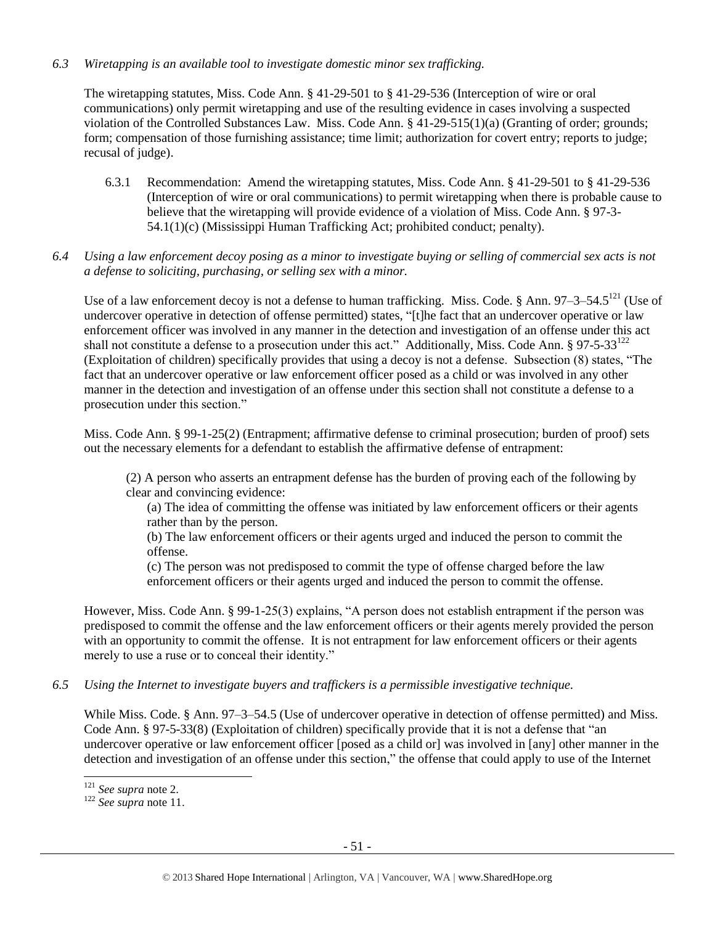### *6.3 Wiretapping is an available tool to investigate domestic minor sex trafficking.*

The wiretapping statutes, Miss. Code Ann. § 41-29-501 to § 41-29-536 (Interception of wire or oral communications) only permit wiretapping and use of the resulting evidence in cases involving a suspected violation of the Controlled Substances Law. Miss. Code Ann. § 41-29-515(1)(a) (Granting of order; grounds; form; compensation of those furnishing assistance; time limit; authorization for covert entry; reports to judge; recusal of judge).

- 6.3.1 Recommendation: Amend the wiretapping statutes, Miss. Code Ann. § 41-29-501 to § 41-29-536 (Interception of wire or oral communications) to permit wiretapping when there is probable cause to believe that the wiretapping will provide evidence of a violation of Miss. Code Ann. § 97-3- 54.1(1)(c) (Mississippi Human Trafficking Act; prohibited conduct; penalty).
- *6.4 Using a law enforcement decoy posing as a minor to investigate buying or selling of commercial sex acts is not a defense to soliciting, purchasing, or selling sex with a minor.*

Use of a law enforcement decoy is not a defense to human trafficking. Miss. Code. § Ann. 97–3–54.5<sup>121</sup> (Use of undercover operative in detection of offense permitted) states, "[t]he fact that an undercover operative or law enforcement officer was involved in any manner in the detection and investigation of an offense under this act shall not constitute a defense to a prosecution under this act." Additionally, Miss. Code Ann. § 97-5-33<sup>122</sup> (Exploitation of children) specifically provides that using a decoy is not a defense. Subsection (8) states, "The fact that an undercover operative or law enforcement officer posed as a child or was involved in any other manner in the detection and investigation of an offense under this section shall not constitute a defense to a prosecution under this section."

Miss. Code Ann. § 99-1-25(2) (Entrapment; affirmative defense to criminal prosecution; burden of proof) sets out the necessary elements for a defendant to establish the affirmative defense of entrapment:

(2) A person who asserts an entrapment defense has the burden of proving each of the following by clear and convincing evidence:

(a) The idea of committing the offense was initiated by law enforcement officers or their agents rather than by the person.

(b) The law enforcement officers or their agents urged and induced the person to commit the offense.

(c) The person was not predisposed to commit the type of offense charged before the law enforcement officers or their agents urged and induced the person to commit the offense.

However, Miss. Code Ann. § 99-1-25(3) explains, "A person does not establish entrapment if the person was predisposed to commit the offense and the law enforcement officers or their agents merely provided the person with an opportunity to commit the offense. It is not entrapment for law enforcement officers or their agents merely to use a ruse or to conceal their identity."

# *6.5 Using the Internet to investigate buyers and traffickers is a permissible investigative technique.*

While Miss. Code. § Ann. 97–3–54.5 (Use of undercover operative in detection of offense permitted) and Miss. Code Ann. § 97-5-33(8) (Exploitation of children) specifically provide that it is not a defense that "an undercover operative or law enforcement officer [posed as a child or] was involved in [any] other manner in the detection and investigation of an offense under this section," the offense that could apply to use of the Internet

l <sup>121</sup> *See supra* not[e 2.](#page-0-0)

<sup>122</sup> *See supra* not[e 11.](#page-3-1)